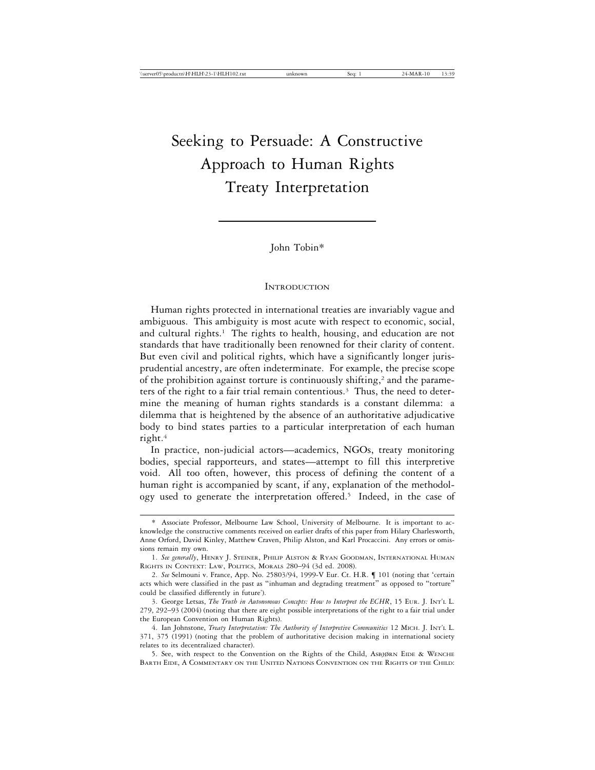# Seeking to Persuade: A Constructive Approach to Human Rights Treaty Interpretation

John Tobin\*

#### **INTRODUCTION**

Human rights protected in international treaties are invariably vague and ambiguous. This ambiguity is most acute with respect to economic, social, and cultural rights.<sup>1</sup> The rights to health, housing, and education are not standards that have traditionally been renowned for their clarity of content. But even civil and political rights, which have a significantly longer jurisprudential ancestry, are often indeterminate. For example, the precise scope of the prohibition against torture is continuously shifting,<sup>2</sup> and the parameters of the right to a fair trial remain contentious.<sup>3</sup> Thus, the need to determine the meaning of human rights standards is a constant dilemma: a dilemma that is heightened by the absence of an authoritative adjudicative body to bind states parties to a particular interpretation of each human right.4

In practice, non-judicial actors—academics, NGOs, treaty monitoring bodies, special rapporteurs, and states—attempt to fill this interpretive void. All too often, however, this process of defining the content of a human right is accompanied by scant, if any, explanation of the methodology used to generate the interpretation offered.<sup>5</sup> Indeed, in the case of

<sup>\*</sup> Associate Professor, Melbourne Law School, University of Melbourne. It is important to acknowledge the constructive comments received on earlier drafts of this paper from Hilary Charlesworth, Anne Orford, David Kinley, Matthew Craven, Philip Alston, and Karl Procaccini. Any errors or omissions remain my own.

<sup>1.</sup> *See generally*, HENRY J. STEINER, PHILIP ALSTON & RYAN GOODMAN, INTERNATIONAL HUMAN RIGHTS IN CONTEXT: LAW, POLITICS, MORALS 280–94 (3d ed. 2008).

<sup>2.</sup> *See* Selmouni v. France, App. No. 25803/94, 1999-V Eur. Ct. H.R. ¶ 101 (noting that 'certain acts which were classified in the past as "inhuman and degrading treatment" as opposed to "torture" could be classified differently in future').

<sup>3.</sup> George Letsas, *The Truth in Autonomous Concepts: How to Interpret the ECHR*, 15 EUR. J. INT'L L. 279, 292–93 (2004) (noting that there are eight possible interpretations of the right to a fair trial under the European Convention on Human Rights).

<sup>4.</sup> Ian Johnstone, *Treaty Interpretation: The Authority of Interpretive Communities* 12 MICH. J. INT'L L. 371, 375 (1991) (noting that the problem of authoritative decision making in international society relates to its decentralized character).

<sup>5.</sup> See, with respect to the Convention on the Rights of the Child, ASBJøRN EIDE & WENCHE BARTH EIDE, A COMMENTARY ON THE UNITED NATIONS CONVENTION ON THE RIGHTS OF THE CHILD: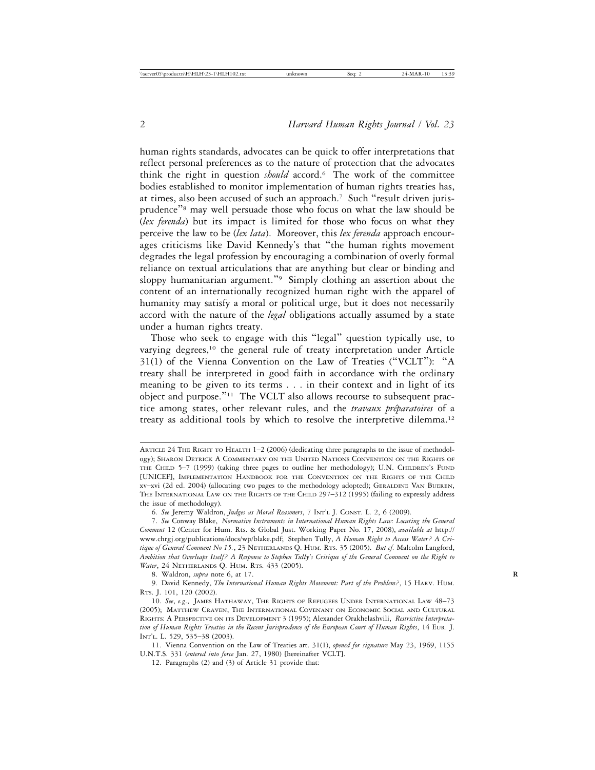human rights standards, advocates can be quick to offer interpretations that reflect personal preferences as to the nature of protection that the advocates think the right in question *should* accord.6 The work of the committee bodies established to monitor implementation of human rights treaties has, at times, also been accused of such an approach.<sup>7</sup> Such "result driven jurisprudence"8 may well persuade those who focus on what the law should be (*lex ferenda*) but its impact is limited for those who focus on what they perceive the law to be (*lex lata*). Moreover, this *lex ferenda* approach encourages criticisms like David Kennedy's that "the human rights movement degrades the legal profession by encouraging a combination of overly formal reliance on textual articulations that are anything but clear or binding and sloppy humanitarian argument."<sup>9</sup> Simply clothing an assertion about the content of an internationally recognized human right with the apparel of humanity may satisfy a moral or political urge, but it does not necessarily accord with the nature of the *legal* obligations actually assumed by a state under a human rights treaty.

Those who seek to engage with this "legal" question typically use, to varying degrees,<sup>10</sup> the general rule of treaty interpretation under Article 31(1) of the Vienna Convention on the Law of Treaties ("VCLT"): "A treaty shall be interpreted in good faith in accordance with the ordinary meaning to be given to its terms . . . in their context and in light of its object and purpose."11 The VCLT also allows recourse to subsequent practice among states, other relevant rules, and the *travaux préparatoires* of a treaty as additional tools by which to resolve the interpretive dilemma.<sup>12</sup>

8. Waldron, *supra* note 6, at 17. **R**

ARTICLE 24 THE RIGHT TO HEALTH 1–2 (2006) (dedicating three paragraphs to the issue of methodology); SHARON DETRICK A COMMENTARY ON THE UNITED NATIONS CONVENTION ON THE RIGHTS OF THE CHILD 5–7 (1999) (taking three pages to outline her methodology); U.N. CHILDREN'S FUND [UNICEF], IMPLEMENTATION HANDBOOK FOR THE CONVENTION ON THE RIGHTS OF THE CHILD xv–xvi (2d ed. 2004) (allocating two pages to the methodology adopted); GERALDINE VAN BUEREN, THE INTERNATIONAL LAW ON THE RIGHTS OF THE CHILD 297–312 (1995) (failing to expressly address the issue of methodology).

<sup>6.</sup> *See* Jeremy Waldron, *Judges as Moral Reasoners*, 7 INT'L J. CONST. L. 2, 6 (2009).

<sup>7.</sup> *See* Conway Blake, *Normative Instruments in International Human Rights Law: Locating the General Comment* 12 (Center for Hum. Rts. & Global Just. Working Paper No. 17, 2008), *available at* http:// www.chrgj.org/publications/docs/wp/blake.pdf; Stephen Tully, *A Human Right to Access Water? A Critique of General Comment No 15.*, 23 NETHERLANDS Q. HUM. RTS. 35 (2005). *But cf.* Malcolm Langford, *Ambition that Overleaps Itself? A Response to Stephen Tully's Critique of the General Comment on the Right to Water*, 24 NETHERLANDS Q. HUM. RTS. 433 (2005).

<sup>9.</sup> David Kennedy, *The International Human Rights Movement: Part of the Problem?*, 15 HARV. HUM. RTS. J. 101, 120 (2002).

<sup>10.</sup> *See*, *e.g*., JAMES HATHAWAY, THE RIGHTS OF REFUGEES UNDER INTERNATIONAL LAW 48–73 (2005); MATTHEW CRAVEN, THE INTERNATIONAL COVENANT ON ECONOMIC SOCIAL AND CULTURAL RIGHTS: A PERSPECTIVE ON ITS DEVELOPMENT 3 (1995); Alexander Orakhelashvili, *Restrictive Interpretation of Human Rights Treaties in the Recent Jurisprudence of the European Court of Human Rights*, 14 EUR. J. INT'L. L. 529, 535–38 (2003).

<sup>11.</sup> Vienna Convention on the Law of Treaties art. 31(1), *opened for signature* May 23, 1969, 1155 U.N.T.S. 331 (*entered into force* Jan. 27, 1980) [hereinafter VCLT].

<sup>12.</sup> Paragraphs (2) and (3) of Article 31 provide that: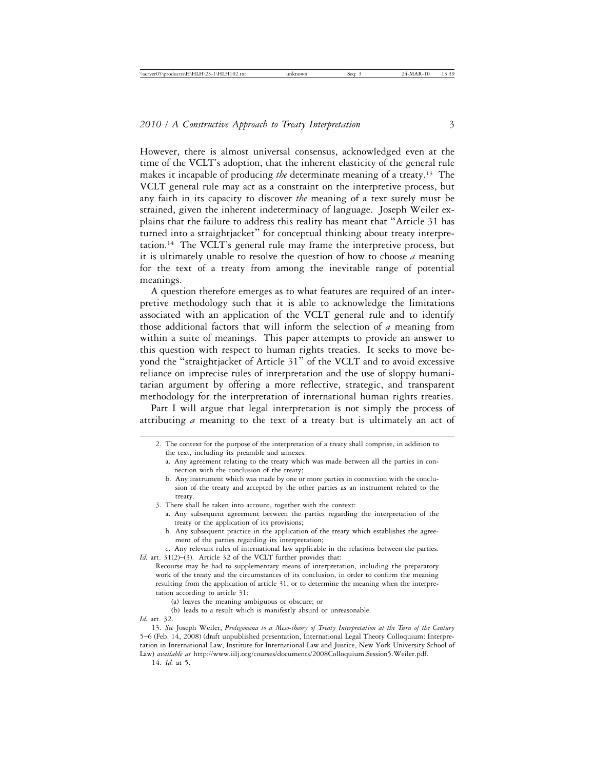However, there is almost universal consensus, acknowledged even at the time of the VCLT's adoption, that the inherent elasticity of the general rule makes it incapable of producing *the* determinate meaning of a treaty.13 The VCLT general rule may act as a constraint on the interpretive process, but any faith in its capacity to discover *the* meaning of a text surely must be strained, given the inherent indeterminacy of language. Joseph Weiler explains that the failure to address this reality has meant that "Article 31 has turned into a straightjacket" for conceptual thinking about treaty interpretation.14 The VCLT's general rule may frame the interpretive process, but it is ultimately unable to resolve the question of how to choose *a* meaning for the text of a treaty from among the inevitable range of potential meanings.

A question therefore emerges as to what features are required of an interpretive methodology such that it is able to acknowledge the limitations associated with an application of the VCLT general rule and to identify those additional factors that will inform the selection of *a* meaning from within a suite of meanings. This paper attempts to provide an answer to this question with respect to human rights treaties. It seeks to move beyond the "straightjacket of Article 31" of the VCLT and to avoid excessive reliance on imprecise rules of interpretation and the use of sloppy humanitarian argument by offering a more reflective, strategic, and transparent methodology for the interpretation of international human rights treaties.

Part I will argue that legal interpretation is not simply the process of attributing *a* meaning to the text of a treaty but is ultimately an act of

- 2. The context for the purpose of the interpretation of a treaty shall comprise, in addition to the text, including its preamble and annexes:
	- a. Any agreement relating to the treaty which was made between all the parties in connection with the conclusion of the treaty;
	- b. Any instrument which was made by one or more parties in connection with the conclusion of the treaty and accepted by the other parties as an instrument related to the treaty.
- 3. There shall be taken into account, together with the context:
	- a. Any subsequent agreement between the parties regarding the interpretation of the treaty or the application of its provisions;
	- b. Any subsequent practice in the application of the treaty which establishes the agreement of the parties regarding its interpretation;

c. Any relevant rules of international law applicable in the relations between the parties. *Id.* art. 31(2)–(3). Article 32 of the VCLT further provides that:

Recourse may be had to supplementary means of interpretation, including the preparatory work of the treaty and the circumstances of its conclusion, in order to confirm the meaning resulting from the application of article 31, or to determine the meaning when the interpretation according to article 31:

- (a) leaves the meaning ambiguous or obscure; or
- (b) leads to a result which is manifestly absurd or unreasonable.

14. *Id.* at 5.

*Id.* art. 32.

<sup>13.</sup> *See* Joseph Weiler, *Prolegomena to a Meso-theory of Treaty Interpretation at the Turn of the Century* 5–6 (Feb. 14, 2008) (draft unpublished presentation, International Legal Theory Colloquium: Interpretation in International Law, Institute for International Law and Justice, New York University School of Law) *available at* http://www.iilj.org/courses/documents/2008Colloquium.Session5.Weiler.pdf.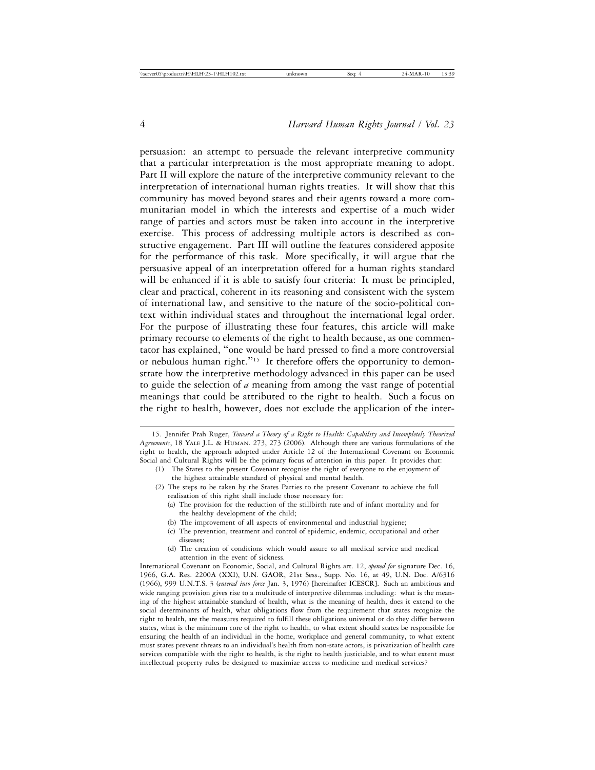persuasion: an attempt to persuade the relevant interpretive community that a particular interpretation is the most appropriate meaning to adopt. Part II will explore the nature of the interpretive community relevant to the interpretation of international human rights treaties. It will show that this community has moved beyond states and their agents toward a more communitarian model in which the interests and expertise of a much wider range of parties and actors must be taken into account in the interpretive exercise. This process of addressing multiple actors is described as constructive engagement. Part III will outline the features considered apposite for the performance of this task. More specifically, it will argue that the persuasive appeal of an interpretation offered for a human rights standard will be enhanced if it is able to satisfy four criteria: It must be principled, clear and practical, coherent in its reasoning and consistent with the system of international law, and sensitive to the nature of the socio-political context within individual states and throughout the international legal order. For the purpose of illustrating these four features, this article will make primary recourse to elements of the right to health because, as one commentator has explained, "one would be hard pressed to find a more controversial or nebulous human right."<sup>15</sup> It therefore offers the opportunity to demonstrate how the interpretive methodology advanced in this paper can be used to guide the selection of *a* meaning from among the vast range of potential meanings that could be attributed to the right to health. Such a focus on the right to health, however, does not exclude the application of the inter-

- (a) The provision for the reduction of the stillbirth rate and of infant mortality and for the healthy development of the child;
- (b) The improvement of all aspects of environmental and industrial hygiene;
- (c) The prevention, treatment and control of epidemic, endemic, occupational and other diseases;
- (d) The creation of conditions which would assure to all medical service and medical attention in the event of sickness.

<sup>15.</sup> Jennifer Prah Ruger, *Toward a Theory of a Right to Health: Capability and Incompletely Theorized Agreements*, 18 YALE J.L. & HUMAN. 273, 273 (2006). Although there are various formulations of the right to health, the approach adopted under Article 12 of the International Covenant on Economic Social and Cultural Rights will be the primary focus of attention in this paper. It provides that:

<sup>(1)</sup> The States to the present Covenant recognise the right of everyone to the enjoyment of the highest attainable standard of physical and mental health.

<sup>(2)</sup> The steps to be taken by the States Parties to the present Covenant to achieve the full realisation of this right shall include those necessary for:

International Covenant on Economic, Social, and Cultural Rights art. 12, *opened for* signature Dec. 16, 1966, G.A. Res. 2200A (XXI), U.N. GAOR, 21st Sess., Supp. No. 16, at 49, U.N. Doc. A/6316 (1966), 999 U.N.T.S. 3 (*entered into force* Jan. 3, 1976) [hereinafter ICESCR]. Such an ambitious and wide ranging provision gives rise to a multitude of interpretive dilemmas including: what is the meaning of the highest attainable standard of health, what is the meaning of health, does it extend to the social determinants of health, what obligations flow from the requirement that states recognize the right to health, are the measures required to fulfill these obligations universal or do they differ between states, what is the minimum core of the right to health, to what extent should states be responsible for ensuring the health of an individual in the home, workplace and general community, to what extent must states prevent threats to an individual's health from non-state actors, is privatization of health care services compatible with the right to health, is the right to health justiciable, and to what extent must intellectual property rules be designed to maximize access to medicine and medical services?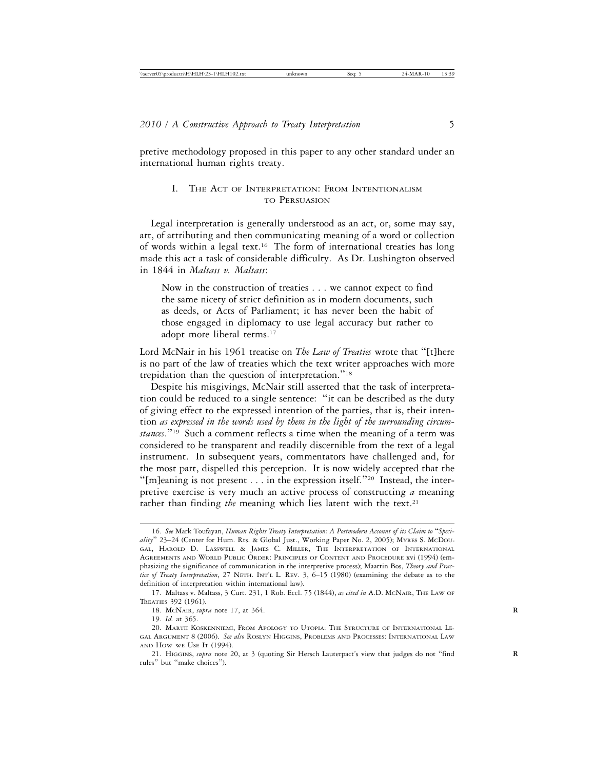pretive methodology proposed in this paper to any other standard under an international human rights treaty.

## I. THE ACT OF INTERPRETATION: FROM INTENTIONALISMTO PERSUASION

Legal interpretation is generally understood as an act, or, some may say, art, of attributing and then communicating meaning of a word or collection of words within a legal text.16 The form of international treaties has long made this act a task of considerable difficulty. As Dr. Lushington observed in 1844 in *Maltass v. Maltass*:

Now in the construction of treaties . . . we cannot expect to find the same nicety of strict definition as in modern documents, such as deeds, or Acts of Parliament; it has never been the habit of those engaged in diplomacy to use legal accuracy but rather to adopt more liberal terms.17

Lord McNair in his 1961 treatise on *The Law of Treaties* wrote that "[t]here is no part of the law of treaties which the text writer approaches with more trepidation than the question of interpretation."<sup>18</sup>

Despite his misgivings, McNair still asserted that the task of interpretation could be reduced to a single sentence: "it can be described as the duty of giving effect to the expressed intention of the parties, that is, their intention *as expressed in the words used by them in the light of the surrounding circumstances*."19 Such a comment reflects a time when the meaning of a term was considered to be transparent and readily discernible from the text of a legal instrument. In subsequent years, commentators have challenged and, for the most part, dispelled this perception. It is now widely accepted that the "[m]eaning is not present . . . in the expression itself."<sup>20</sup> Instead, the interpretive exercise is very much an active process of constructing *a* meaning rather than finding the meaning which lies latent with the text.<sup>21</sup>

18. MCNAIR, *supra* note 17, at 364. **R**

19. *Id.* at 365.

<sup>16.</sup> *See* Mark Toufayan, *Human Rights Treaty Interpretation: A Postmodern Account of its Claim to* "*Speciality*" 23–24 (Center for Hum. Rts. & Global Just., Working Paper No. 2, 2005); MYRES S. MCDOU-GAL, HAROLD D. LASSWELL & JAMES C. MILLER, THE INTERPRETATION OF INTERNATIONAL AGREEMENTS AND WORLD PUBLIC ORDER: PRINCIPLES OF CONTENT AND PROCEDURE xvi (1994) (emphasizing the significance of communication in the interpretive process); Maartin Bos, *Theory and Practice of Treaty Interpretation*, 27 NETH. INT'L L. REV. 3, 6–15 (1980) (examining the debate as to the definition of interpretation within international law).

<sup>17.</sup> Maltass v. Maltass, 3 Curt. 231, 1 Rob. Eccl. 75 (1844), *as cited in* A.D. MCNAIR, THE LAW OF TREATIES 392 (1961).

<sup>20.</sup> MARTII KOSKENNIEMI, FROM APOLOGY TO UTOPIA: THE STRUCTURE OF INTERNATIONAL LE-GAL ARGUMENT 8 (2006). *See also* ROSLYN HIGGINS, PROBLEMS AND PROCESSES: INTERNATIONAL LAW AND HOW WE USE IT (1994).

<sup>21.</sup> HIGGINS, *supra* note 20, at 3 (quoting Sir Hersch Lauterpact's view that judges do not "find **R** rules" but "make choices").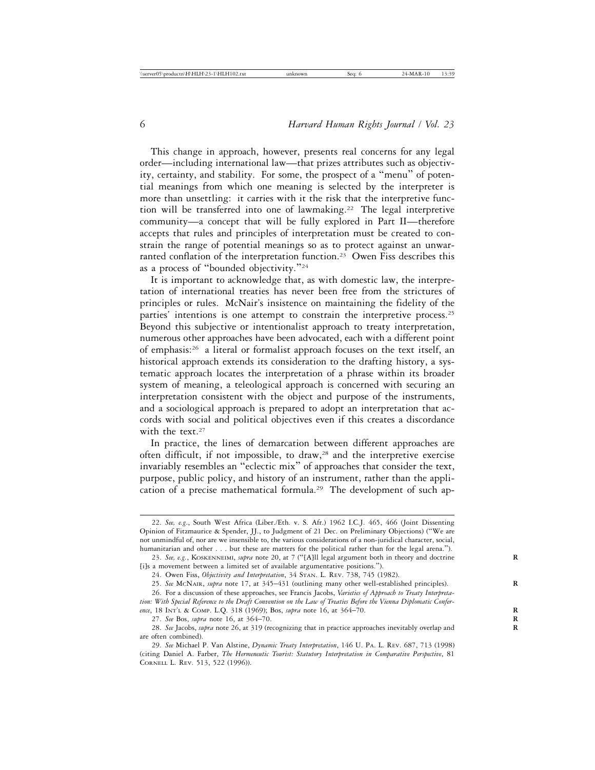This change in approach, however, presents real concerns for any legal order—including international law—that prizes attributes such as objectivity, certainty, and stability. For some, the prospect of a "menu" of potential meanings from which one meaning is selected by the interpreter is more than unsettling: it carries with it the risk that the interpretive function will be transferred into one of lawmaking.<sup>22</sup> The legal interpretive community—a concept that will be fully explored in Part II—therefore accepts that rules and principles of interpretation must be created to constrain the range of potential meanings so as to protect against an unwarranted conflation of the interpretation function.<sup>23</sup> Owen Fiss describes this as a process of "bounded objectivity."<sup>24</sup>

It is important to acknowledge that, as with domestic law, the interpretation of international treaties has never been free from the strictures of principles or rules. McNair's insistence on maintaining the fidelity of the parties' intentions is one attempt to constrain the interpretive process.<sup>25</sup> Beyond this subjective or intentionalist approach to treaty interpretation, numerous other approaches have been advocated, each with a different point of emphasis:26 a literal or formalist approach focuses on the text itself, an historical approach extends its consideration to the drafting history, a systematic approach locates the interpretation of a phrase within its broader system of meaning, a teleological approach is concerned with securing an interpretation consistent with the object and purpose of the instruments, and a sociological approach is prepared to adopt an interpretation that accords with social and political objectives even if this creates a discordance with the text.<sup>27</sup>

In practice, the lines of demarcation between different approaches are often difficult, if not impossible, to draw,<sup>28</sup> and the interpretive exercise invariably resembles an "eclectic mix" of approaches that consider the text, purpose, public policy, and history of an instrument, rather than the application of a precise mathematical formula.<sup>29</sup> The development of such ap-

<sup>22.</sup> *See, e.g*., South West Africa (Liber./Eth. v. S. Afr.) 1962 I.C.J. 465, 466 (Joint Dissenting Opinion of Fitzmaurice & Spender, JJ., to Judgment of 21 Dec. on Preliminary Objections) ("We are not unmindful of, nor are we insensible to, the various considerations of a non-juridical character, social, humanitarian and other . . . but these are matters for the political rather than for the legal arena.").

<sup>23.</sup> *See, e.g.*, KOSKENNEIMI, *supra* note 20, at 7 ("[A]ll legal argument both in theory and doctrine **R** [i]s a movement between a limited set of available argumentative positions.").

<sup>24.</sup> Owen Fiss, *Objectivity and Interpretation*, 34 STAN. L. REV. 738, 745 (1982).

<sup>25.</sup> *See* MCNAIR, *supra* note 17, at 345–431 (outlining many other well-established principles). **R**

<sup>26.</sup> For a discussion of these approaches, see Francis Jacobs, *Varieties of Approach to Treaty Interpretation: With Special Reference to the Draft Convention on the Law of Treaties Before the Vienna Diplomatic Conference*, 18 INT'L & COMP. L.Q. 318 (1969); Bos, *supra* note 16, at 364–70. **R**

<sup>27.</sup> *See* Bos, *supra* note 16, at 364–70. **R**

<sup>28.</sup> *See* Jacobs, *supra* note 26, at 319 (recognizing that in practice approaches inevitably overlap and **R** are often combined).

<sup>29.</sup> *See* Michael P. Van Alstine, *Dynamic Treaty Interpretation*, 146 U. PA. L. REV. 687, 713 (1998) (citing Daniel A. Farber, *The Hermeneutic Tourist: Statutory Interpretation in Comparative Perspective*, 81 CORNELL L. REV. 513, 522 (1996)).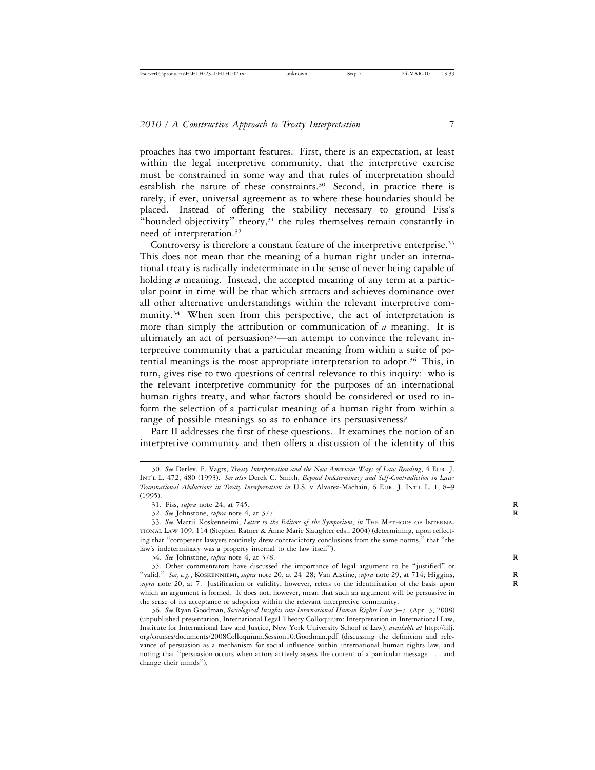proaches has two important features. First, there is an expectation, at least within the legal interpretive community, that the interpretive exercise must be constrained in some way and that rules of interpretation should establish the nature of these constraints.<sup>30</sup> Second, in practice there is rarely, if ever, universal agreement as to where these boundaries should be placed. Instead of offering the stability necessary to ground Fiss's "bounded objectivity" theory,<sup>31</sup> the rules themselves remain constantly in need of interpretation.32

Controversy is therefore a constant feature of the interpretive enterprise.<sup>33</sup> This does not mean that the meaning of a human right under an international treaty is radically indeterminate in the sense of never being capable of holding *a* meaning. Instead, the accepted meaning of any term at a particular point in time will be that which attracts and achieves dominance over all other alternative understandings within the relevant interpretive community.<sup>34</sup> When seen from this perspective, the act of interpretation is more than simply the attribution or communication of *a* meaning. It is ultimately an act of persuasion<sup>35</sup>—an attempt to convince the relevant interpretive community that a particular meaning from within a suite of potential meanings is the most appropriate interpretation to adopt.<sup>36</sup> This, in turn, gives rise to two questions of central relevance to this inquiry: who is the relevant interpretive community for the purposes of an international human rights treaty, and what factors should be considered or used to inform the selection of a particular meaning of a human right from within a range of possible meanings so as to enhance its persuasiveness?

Part II addresses the first of these questions. It examines the notion of an interpretive community and then offers a discussion of the identity of this

<sup>30.</sup> *See* Detlev. F. Vagts, *Treaty Interpretation and the New American Ways of Law Reading*, 4 EUR. J. INT'L L. 472, 480 (1993). *See also* Derek C. Smith, *Beyond Indeterminacy and Self-Contradiction in Law: Transnational Abductions in Treaty Interpretation in* U.S. v Alvarez-Machain, 6 EUR. J. INT'L L. 1, 8–9 (1995).

<sup>31.</sup> Fiss, *supra* note 24, at 745. **R**

<sup>32.</sup> *See* Johnstone, *supra* note 4, at 377. **R**

<sup>33.</sup> *See* Martii Koskenneimi, *Letter to the Editors of the Symposium*, *in* THE METHODS OF INTERNA-TIONAL LAW 109, 114 (Stephen Ratner & Anne Marie Slaughter eds., 2004) (determining, upon reflecting that "competent lawyers routinely drew contradictory conclusions from the same norms," that "the law's indeterminacy was a property internal to the law itself").

<sup>34.</sup> *See* Johnstone, *supra* note 4, at 378. **R**

<sup>35.</sup> Other commentators have discussed the importance of legal argument to be "justified" or "valid." See, e.g., KOSKENNIEMI, *supra* note 20, at 24-28; Van Alstine, *supra* note 29, at 714; Higgins, *supra* note 20, at 7. Justification or validity, however, refers to the identification of the basis upon **R** which an argument is formed. It does not, however, mean that such an argument will be persuasive in the sense of its acceptance or adoption within the relevant interpretive community.

<sup>36.</sup> *See* Ryan Goodman, *Sociological Insights into International Human Rights Law* 5–7 (Apr. 3, 2008) (unpublished presentation, International Legal Theory Colloquium: Interpretation in International Law, Institute for International Law and Justice, New York University School of Law), *available at* http://iilj. org/courses/documents/2008Colloquium.Session10.Goodman.pdf (discussing the definition and relevance of persuasion as a mechanism for social influence within international human rights law, and noting that "persuasion occurs when actors actively assess the content of a particular message . . . and change their minds").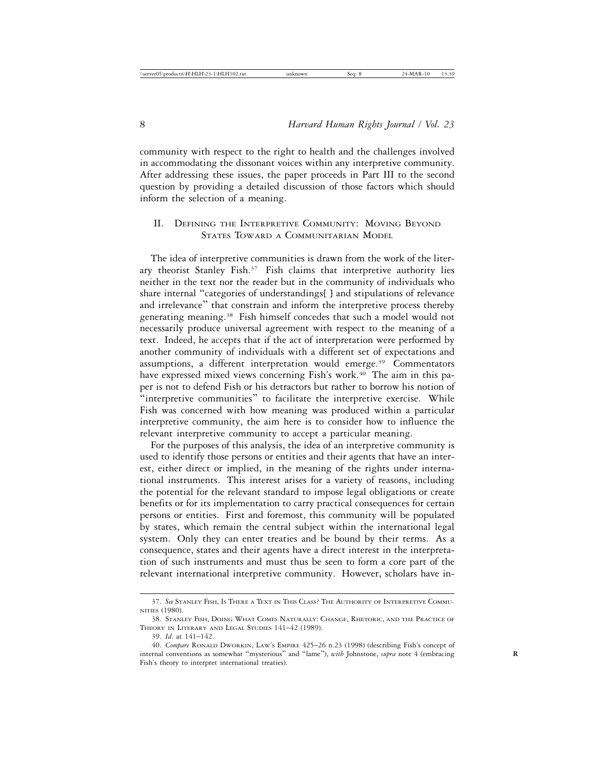community with respect to the right to health and the challenges involved in accommodating the dissonant voices within any interpretive community. After addressing these issues, the paper proceeds in Part III to the second question by providing a detailed discussion of those factors which should inform the selection of a meaning.

## II. DEFINING THE INTERPRETIVE COMMUNITY: MOVING BEYOND STATES TOWARD A COMMUNITARIAN MODEL

The idea of interpretive communities is drawn from the work of the literary theorist Stanley Fish.37 Fish claims that interpretive authority lies neither in the text nor the reader but in the community of individuals who share internal "categories of understandings[ ] and stipulations of relevance and irrelevance" that constrain and inform the interpretive process thereby generating meaning.38 Fish himself concedes that such a model would not necessarily produce universal agreement with respect to the meaning of a text. Indeed, he accepts that if the act of interpretation were performed by another community of individuals with a different set of expectations and assumptions, a different interpretation would emerge.<sup>39</sup> Commentators have expressed mixed views concerning Fish's work.<sup>40</sup> The aim in this paper is not to defend Fish or his detractors but rather to borrow his notion of "interpretive communities" to facilitate the interpretive exercise. While Fish was concerned with how meaning was produced within a particular interpretive community, the aim here is to consider how to influence the relevant interpretive community to accept a particular meaning.

For the purposes of this analysis, the idea of an interpretive community is used to identify those persons or entities and their agents that have an interest, either direct or implied, in the meaning of the rights under international instruments. This interest arises for a variety of reasons, including the potential for the relevant standard to impose legal obligations or create benefits or for its implementation to carry practical consequences for certain persons or entities. First and foremost, this community will be populated by states, which remain the central subject within the international legal system. Only they can enter treaties and be bound by their terms. As a consequence, states and their agents have a direct interest in the interpretation of such instruments and must thus be seen to form a core part of the relevant international interpretive community. However, scholars have in-

<sup>37.</sup> *See* STANLEY FISH, IS THERE A TEXT IN THIS CLASS? THE AUTHORITY OF INTERPRETIVE COMMU-NITIES (1980).

<sup>38.</sup> STANLEY FISH, DOING WHAT COMES NATURALLY: CHANGE, RHETORIC, AND THE PRACTICE OF THEORY IN LITERARY AND LEGAL STUDIES 141–42 (1989).

<sup>39.</sup> *Id*. at 141–142.

<sup>40.</sup> *Compare* RONALD DWORKIN, LAW'S EMPIRE 425–26 n.23 (1998) (describing Fish's concept of internal conventions as somewhat "mysterious" and "lame"), *with* Johnstone, *supra* note 4 (embracing **R** Fish's theory to interpret international treaties).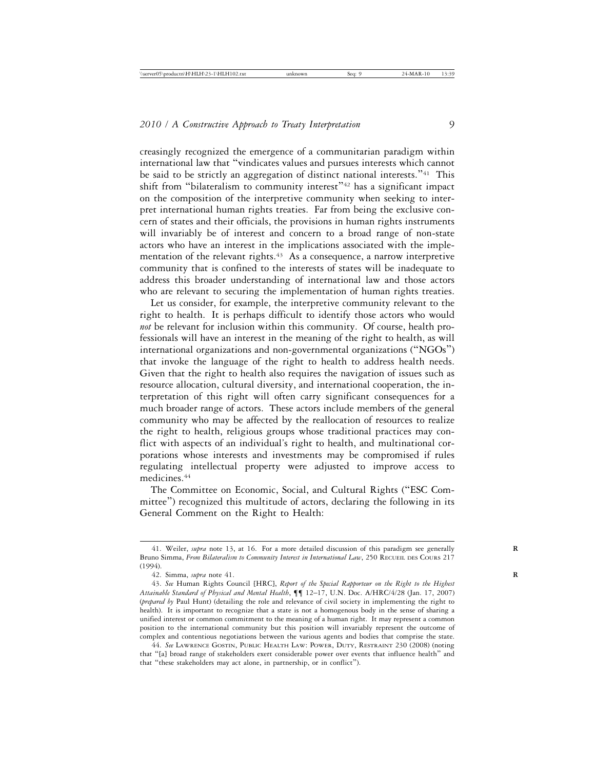creasingly recognized the emergence of a communitarian paradigm within international law that "vindicates values and pursues interests which cannot be said to be strictly an aggregation of distinct national interests."<sup>41</sup> This shift from "bilateralism to community interest"<sup>42</sup> has a significant impact on the composition of the interpretive community when seeking to interpret international human rights treaties. Far from being the exclusive concern of states and their officials, the provisions in human rights instruments will invariably be of interest and concern to a broad range of non-state actors who have an interest in the implications associated with the implementation of the relevant rights.<sup>43</sup> As a consequence, a narrow interpretive community that is confined to the interests of states will be inadequate to address this broader understanding of international law and those actors who are relevant to securing the implementation of human rights treaties.

Let us consider, for example, the interpretive community relevant to the right to health. It is perhaps difficult to identify those actors who would *not* be relevant for inclusion within this community. Of course, health professionals will have an interest in the meaning of the right to health, as will international organizations and non-governmental organizations ("NGOs") that invoke the language of the right to health to address health needs. Given that the right to health also requires the navigation of issues such as resource allocation, cultural diversity, and international cooperation, the interpretation of this right will often carry significant consequences for a much broader range of actors. These actors include members of the general community who may be affected by the reallocation of resources to realize the right to health, religious groups whose traditional practices may conflict with aspects of an individual's right to health, and multinational corporations whose interests and investments may be compromised if rules regulating intellectual property were adjusted to improve access to medicines.44

The Committee on Economic, Social, and Cultural Rights ("ESC Committee") recognized this multitude of actors, declaring the following in its General Comment on the Right to Health:

<sup>41.</sup> Weiler, *supra* note 13, at 16. For a more detailed discussion of this paradigm see generally **R** Bruno Simma, *From Bilateralism to Community Interest in International Law*, 250 RECUEIL DES COURS 217 (1994).

<sup>42.</sup> Simma, *supra* note 41. **R**

<sup>43.</sup> *See* Human Rights Council [HRC], *Report of the Special Rapporteur on the Right to the Highest Attainable Standard of Physical and Mental Health*, ¶¶ 12–17, U.N. Doc. A/HRC/4/28 (Jan. 17, 2007) (*prepared by* Paul Hunt) (detailing the role and relevance of civil society in implementing the right to health). It is important to recognize that a state is not a homogenous body in the sense of sharing a unified interest or common commitment to the meaning of a human right. It may represent a common position to the international community but this position will invariably represent the outcome of complex and contentious negotiations between the various agents and bodies that comprise the state.

<sup>44.</sup> *See* LAWRENCE GOSTIN, PUBLIC HEALTH LAW: POWER, DUTY, RESTRAINT 230 (2008) (noting that "[a] broad range of stakeholders exert considerable power over events that influence health" and that "these stakeholders may act alone, in partnership, or in conflict").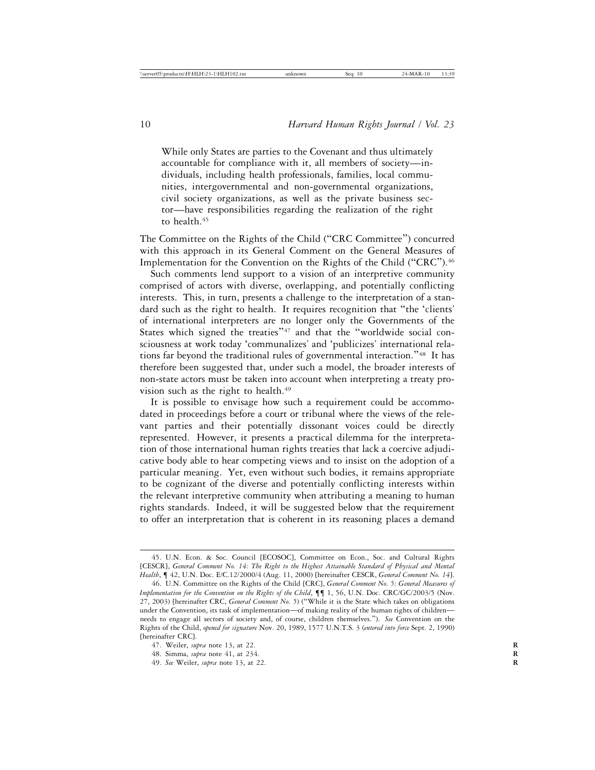While only States are parties to the Covenant and thus ultimately accountable for compliance with it, all members of society—individuals, including health professionals, families, local communities, intergovernmental and non-governmental organizations, civil society organizations, as well as the private business sector—have responsibilities regarding the realization of the right to health.<sup>45</sup>

The Committee on the Rights of the Child ("CRC Committee") concurred with this approach in its General Comment on the General Measures of Implementation for the Convention on the Rights of the Child ("CRC").<sup>46</sup>

Such comments lend support to a vision of an interpretive community comprised of actors with diverse, overlapping, and potentially conflicting interests. This, in turn, presents a challenge to the interpretation of a standard such as the right to health. It requires recognition that "the 'clients' of international interpreters are no longer only the Governments of the States which signed the treaties"<sup>47</sup> and that the "worldwide social consciousness at work today 'communalizes' and 'publicizes' international relations far beyond the traditional rules of governmental interaction."48 It has therefore been suggested that, under such a model, the broader interests of non-state actors must be taken into account when interpreting a treaty provision such as the right to health.<sup>49</sup>

It is possible to envisage how such a requirement could be accommodated in proceedings before a court or tribunal where the views of the relevant parties and their potentially dissonant voices could be directly represented. However, it presents a practical dilemma for the interpretation of those international human rights treaties that lack a coercive adjudicative body able to hear competing views and to insist on the adoption of a particular meaning. Yet, even without such bodies, it remains appropriate to be cognizant of the diverse and potentially conflicting interests within the relevant interpretive community when attributing a meaning to human rights standards. Indeed, it will be suggested below that the requirement to offer an interpretation that is coherent in its reasoning places a demand

<sup>45.</sup> U.N. Econ. & Soc. Council [ECOSOC], Committee on Econ., Soc. and Cultural Rights [CESCR], *General Comment No. 14: The Right to the Highest Attainable Standard of Physical and Mental Health*, ¶ 42, U.N. Doc. E/C.12/2000/4 (Aug. 11, 2000) [hereinafter CESCR, *General Comment No. 14*].

<sup>46.</sup> U.N. Committee on the Rights of the Child [CRC], *General Comment No. 5: General Measures of Implementation for the Convention on the Rights of the Child*, ¶¶ 1, 56, U.N. Doc. CRC/GC/2003/5 (Nov. 27, 2003) [hereinafter CRC, *General Comment No. 5*) ("While it is the State which takes on obligations under the Convention, its task of implementation—of making reality of the human rights of children needs to engage all sectors of society and, of course, children themselves."). *See* Convention on the Rights of the Child, *opened for signature* Nov. 20, 1989, 1577 U.N.T.S. 3 (*entered into force* Sept. 2, 1990) [hereinafter CRC].

<sup>47.</sup> Weiler, *supra* note 13, at 22. **R**

<sup>48.</sup> Simma, *supra* note 41, at 234. **R**

<sup>49.</sup> *See* Weiler, *supra* note 13, at 22. **R**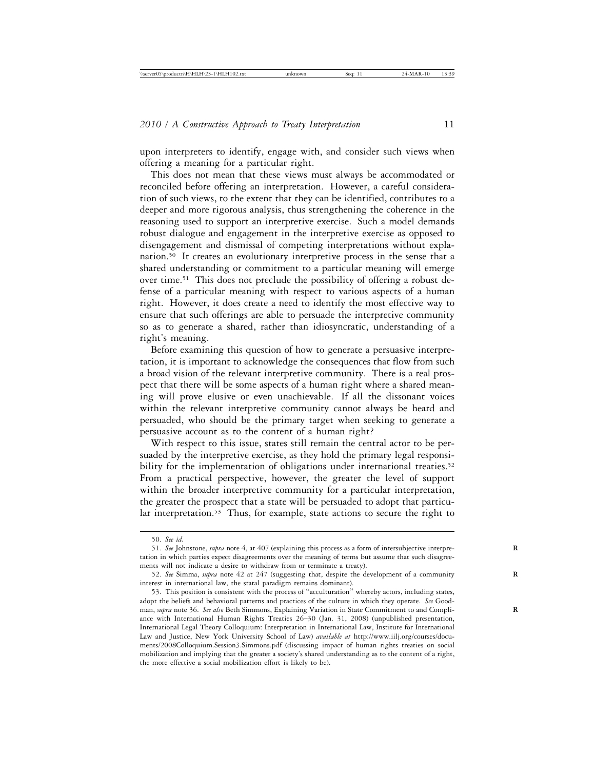upon interpreters to identify, engage with, and consider such views when offering a meaning for a particular right.

This does not mean that these views must always be accommodated or reconciled before offering an interpretation. However, a careful consideration of such views, to the extent that they can be identified, contributes to a deeper and more rigorous analysis, thus strengthening the coherence in the reasoning used to support an interpretive exercise. Such a model demands robust dialogue and engagement in the interpretive exercise as opposed to disengagement and dismissal of competing interpretations without explanation.50 It creates an evolutionary interpretive process in the sense that a shared understanding or commitment to a particular meaning will emerge over time.51 This does not preclude the possibility of offering a robust defense of a particular meaning with respect to various aspects of a human right. However, it does create a need to identify the most effective way to ensure that such offerings are able to persuade the interpretive community so as to generate a shared, rather than idiosyncratic, understanding of a right's meaning.

Before examining this question of how to generate a persuasive interpretation, it is important to acknowledge the consequences that flow from such a broad vision of the relevant interpretive community. There is a real prospect that there will be some aspects of a human right where a shared meaning will prove elusive or even unachievable. If all the dissonant voices within the relevant interpretive community cannot always be heard and persuaded, who should be the primary target when seeking to generate a persuasive account as to the content of a human right?

With respect to this issue, states still remain the central actor to be persuaded by the interpretive exercise, as they hold the primary legal responsibility for the implementation of obligations under international treaties.<sup>52</sup> From a practical perspective, however, the greater the level of support within the broader interpretive community for a particular interpretation, the greater the prospect that a state will be persuaded to adopt that particular interpretation.<sup>53</sup> Thus, for example, state actions to secure the right to

<sup>50.</sup> *See id.*

<sup>51.</sup> *See* Johnstone, *supra* note 4, at 407 (explaining this process as a form of intersubjective interpre- **R** tation in which parties expect disagreements over the meaning of terms but assume that such disagreements will not indicate a desire to withdraw from or terminate a treaty).

<sup>52.</sup> *See* Simma, *supra* note 42 at 247 (suggesting that, despite the development of a community **R** interest in international law, the statal paradigm remains dominant).

<sup>53.</sup> This position is consistent with the process of "acculturation" whereby actors, including states, adopt the beliefs and behavioral patterns and practices of the culture in which they operate. *See* Goodman, *supra* note 36. *See also* Beth Simmons, Explaining Variation in State Commitment to and Compli- **R** ance with International Human Rights Treaties 26–30 (Jan. 31, 2008) (unpublished presentation, International Legal Theory Colloquium: Interpretation in International Law, Institute for International Law and Justice, New York University School of Law) *available at* http://www.iilj.org/courses/documents/2008Colloquium.Session3.Simmons.pdf (discussing impact of human rights treaties on social mobilization and implying that the greater a society's shared understanding as to the content of a right, the more effective a social mobilization effort is likely to be).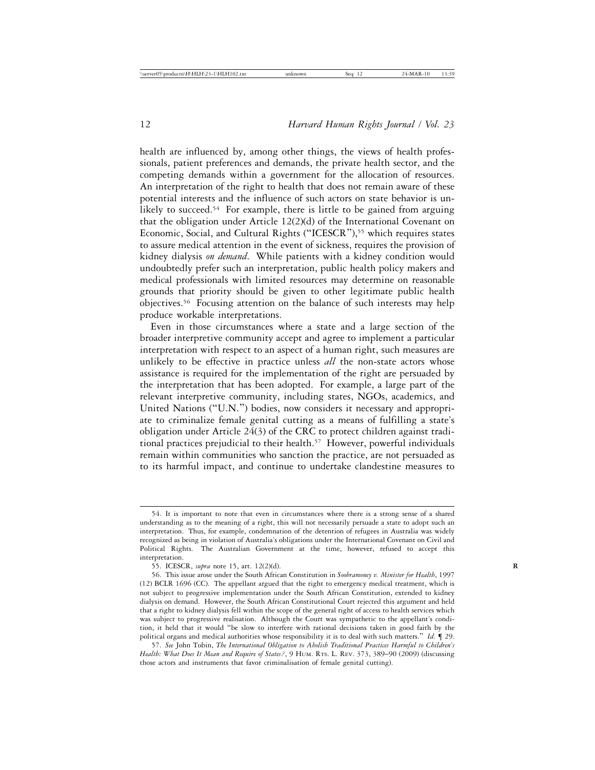health are influenced by, among other things, the views of health professionals, patient preferences and demands, the private health sector, and the competing demands within a government for the allocation of resources. An interpretation of the right to health that does not remain aware of these potential interests and the influence of such actors on state behavior is unlikely to succeed.<sup>54</sup> For example, there is little to be gained from arguing that the obligation under Article 12(2)(d) of the International Covenant on Economic, Social, and Cultural Rights ("ICESCR"),<sup>55</sup> which requires states to assure medical attention in the event of sickness, requires the provision of kidney dialysis *on demand*. While patients with a kidney condition would undoubtedly prefer such an interpretation, public health policy makers and medical professionals with limited resources may determine on reasonable grounds that priority should be given to other legitimate public health objectives.56 Focusing attention on the balance of such interests may help produce workable interpretations.

Even in those circumstances where a state and a large section of the broader interpretive community accept and agree to implement a particular interpretation with respect to an aspect of a human right, such measures are unlikely to be effective in practice unless *all* the non-state actors whose assistance is required for the implementation of the right are persuaded by the interpretation that has been adopted. For example, a large part of the relevant interpretive community, including states, NGOs, academics, and United Nations ("U.N.") bodies, now considers it necessary and appropriate to criminalize female genital cutting as a means of fulfilling a state's obligation under Article 24(3) of the CRC to protect children against traditional practices prejudicial to their health.<sup>57</sup> However, powerful individuals remain within communities who sanction the practice, are not persuaded as to its harmful impact, and continue to undertake clandestine measures to

<sup>54.</sup> It is important to note that even in circumstances where there is a strong sense of a shared understanding as to the meaning of a right, this will not necessarily persuade a state to adopt such an interpretation. Thus, for example, condemnation of the detention of refugees in Australia was widely recognized as being in violation of Australia's obligations under the International Covenant on Civil and Political Rights. The Australian Government at the time, however, refused to accept this interpretation.

<sup>55.</sup> ICESCR, *supra* note 15, art. 12(2)(d). **R**

<sup>56.</sup> This issue arose under the South African Constitution in *Soobramoney v. Minister for Health*, 1997 (12) BCLR 1696 (CC). The appellant argued that the right to emergency medical treatment, which is not subject to progressive implementation under the South African Constitution, extended to kidney dialysis on demand. However, the South African Constitutional Court rejected this argument and held that a right to kidney dialysis fell within the scope of the general right of access to health services which was subject to progressive realisation. Although the Court was sympathetic to the appellant's condition, it held that it would "be slow to interfere with rational decisions taken in good faith by the political organs and medical authorities whose responsibility it is to deal with such matters." *Id.* ¶ 29.

<sup>57.</sup> *See* John Tobin, *The International Obligation to Abolish Traditional Practices Harmful to Children's Health: What Does It Mean and Require of States?*, 9 HUM. RTS. L. REV. 373, 389–90 (2009) (discussing those actors and instruments that favor criminalisation of female genital cutting).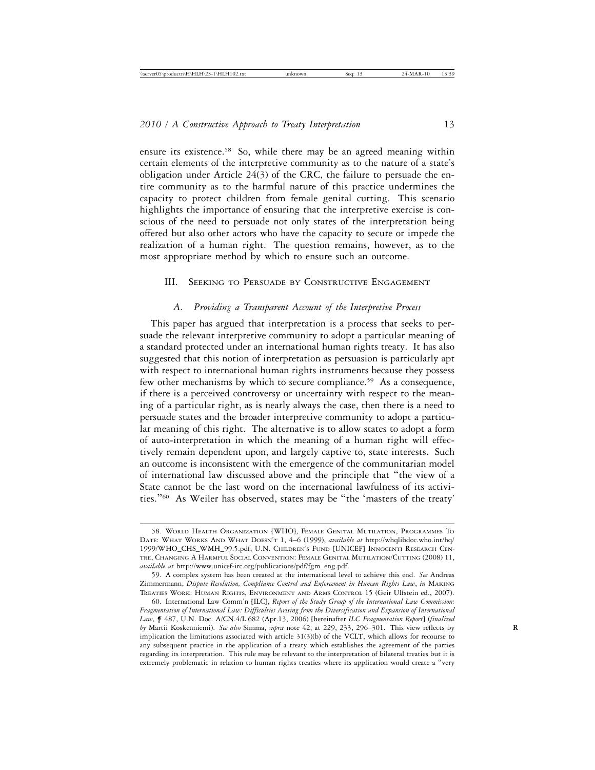ensure its existence.58 So, while there may be an agreed meaning within certain elements of the interpretive community as to the nature of a state's obligation under Article 24(3) of the CRC, the failure to persuade the entire community as to the harmful nature of this practice undermines the capacity to protect children from female genital cutting. This scenario highlights the importance of ensuring that the interpretive exercise is conscious of the need to persuade not only states of the interpretation being offered but also other actors who have the capacity to secure or impede the realization of a human right. The question remains, however, as to the most appropriate method by which to ensure such an outcome.

### III. SEEKING TO PERSUADE BY CONSTRUCTIVE ENGAGEMENT

#### *A. Providing a Transparent Account of the Interpretive Process*

This paper has argued that interpretation is a process that seeks to persuade the relevant interpretive community to adopt a particular meaning of a standard protected under an international human rights treaty. It has also suggested that this notion of interpretation as persuasion is particularly apt with respect to international human rights instruments because they possess few other mechanisms by which to secure compliance.59 As a consequence, if there is a perceived controversy or uncertainty with respect to the meaning of a particular right, as is nearly always the case, then there is a need to persuade states and the broader interpretive community to adopt a particular meaning of this right. The alternative is to allow states to adopt a form of auto-interpretation in which the meaning of a human right will effectively remain dependent upon, and largely captive to, state interests. Such an outcome is inconsistent with the emergence of the communitarian model of international law discussed above and the principle that "the view of a State cannot be the last word on the international lawfulness of its activities."60 As Weiler has observed, states may be "the 'masters of the treaty'

<sup>58.</sup> WORLD HEALTH ORGANIZATION [WHO], FEMALE GENITAL MUTILATION, PROGRAMMES TO DATE: WHAT WORKS AND WHAT DOESN'T 1, 4–6 (1999), *available at* http://whqlibdoc.who.int/hq/ 1999/WHO\_CHS\_WMH\_99.5.pdf; U.N. CHILDREN'S FUND [UNICEF] INNOCENTI RESEARCH CEN-TRE, CHANGING A HARMFUL SOCIAL CONVENTION: FEMALE GENITAL MUTILATION/CUTTING (2008) 11, *available at* http://www.unicef-irc.org/publications/pdf/fgm\_eng.pdf.

<sup>59.</sup> A complex system has been created at the international level to achieve this end. *See* Andreas Zimmermann, *Dispute Resolution, Compliance Control and Enforcement in Human Rights Law*, *in* MAKING TREATIES WORK: HUMAN RIGHTS, ENVIRONMENT AND ARMS CONTROL 15 (Geir Ulfstein ed., 2007).

<sup>60.</sup> International Law Comm'n [ILC], *Report of the Study Group of the International Law Commission: Fragmentation of International Law: Difficulties Arising from the Diversification and Expansion of International Law*, *¶* 487, U.N. Doc. A/CN.4/L.682 (Apr.13, 2006) [hereinafter *ILC Fragmentation Report*] (*finalized by* Martii Koskenniemi). *See also* Simma, *supra* note 42, at 229, 233, 296–301. This view reflects by **R** implication the limitations associated with article 31(3)(b) of the VCLT, which allows for recourse to any subsequent practice in the application of a treaty which establishes the agreement of the parties regarding its interpretation. This rule may be relevant to the interpretation of bilateral treaties but it is extremely problematic in relation to human rights treaties where its application would create a "very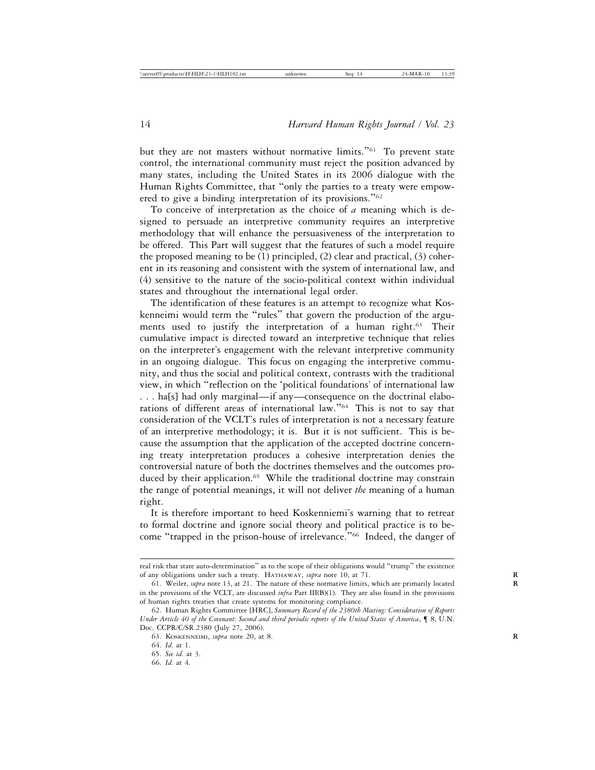but they are not masters without normative limits."<sup>61</sup> To prevent state control, the international community must reject the position advanced by many states, including the United States in its 2006 dialogue with the Human Rights Committee, that "only the parties to a treaty were empowered to give a binding interpretation of its provisions."<sup>62</sup>

To conceive of interpretation as the choice of *a* meaning which is designed to persuade an interpretive community requires an interpretive methodology that will enhance the persuasiveness of the interpretation to be offered. This Part will suggest that the features of such a model require the proposed meaning to be (1) principled, (2) clear and practical, (3) coherent in its reasoning and consistent with the system of international law, and (4) sensitive to the nature of the socio-political context within individual states and throughout the international legal order.

The identification of these features is an attempt to recognize what Koskenneimi would term the "rules" that govern the production of the arguments used to justify the interpretation of a human right.<sup>63</sup> Their cumulative impact is directed toward an interpretive technique that relies on the interpreter's engagement with the relevant interpretive community in an ongoing dialogue. This focus on engaging the interpretive community, and thus the social and political context, contrasts with the traditional view, in which "reflection on the 'political foundations' of international law . . . ha[s] had only marginal—if any—consequence on the doctrinal elaborations of different areas of international law."64 This is not to say that consideration of the VCLT's rules of interpretation is not a necessary feature of an interpretive methodology; it is. But it is not sufficient. This is because the assumption that the application of the accepted doctrine concerning treaty interpretation produces a cohesive interpretation denies the controversial nature of both the doctrines themselves and the outcomes produced by their application.<sup>65</sup> While the traditional doctrine may constrain the range of potential meanings, it will not deliver *the* meaning of a human right.

It is therefore important to heed Koskenniemi's warning that to retreat to formal doctrine and ignore social theory and political practice is to become "trapped in the prison-house of irrelevance."<sup>66</sup> Indeed, the danger of

real risk that state auto-determination" as to the scope of their obligations would "trump" the existence of any obligations under such a treaty. HATHAWAY, *supra* note 10, at 71. **R**

<sup>61.</sup> Weiler, *supra* note 13, at 21. The nature of these normative limits, which are primarily located **R** in the provisions of the VCLT, are discussed *infra* Part III(B)(1). They are also found in the provisions of human rights treaties that create systems for monitoring compliance.

<sup>62.</sup> Human Rights Committee [HRC], *Summary Record of the 2380th Meeting: Consideration of Reports Under Article 40 of the Covenant: Second and third periodic reports of the United States of America*, ¶ 8, U.N. Doc. CCPR/C/SR.2380 (July 27, 2006).

<sup>63.</sup> KOSKENNEIMI, *supra* note 20, at 8. **R**

<sup>64.</sup> *Id.* at 1.

<sup>65.</sup> *See id.* at 3.

<sup>66.</sup> *Id.* at 4.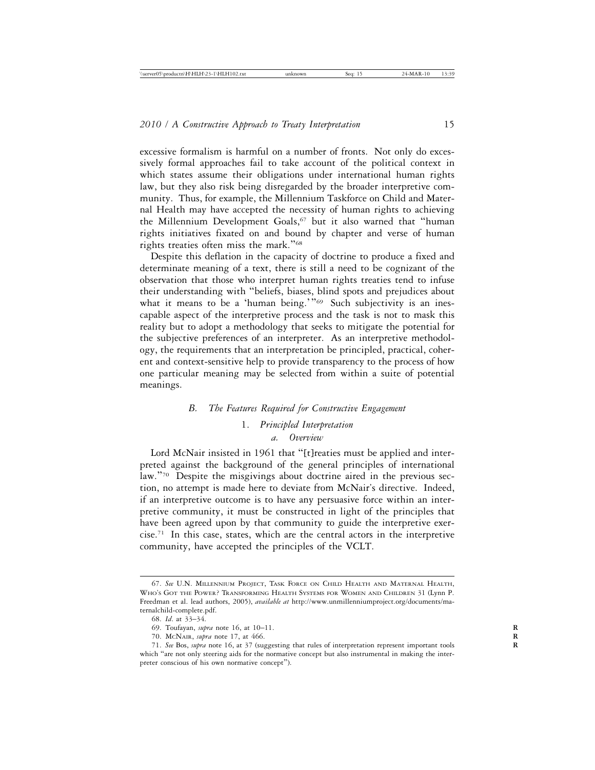excessive formalism is harmful on a number of fronts. Not only do excessively formal approaches fail to take account of the political context in which states assume their obligations under international human rights law, but they also risk being disregarded by the broader interpretive community. Thus, for example, the Millennium Taskforce on Child and Maternal Health may have accepted the necessity of human rights to achieving the Millennium Development Goals,<sup>67</sup> but it also warned that "human rights initiatives fixated on and bound by chapter and verse of human rights treaties often miss the mark."<sup>68</sup>

Despite this deflation in the capacity of doctrine to produce a fixed and determinate meaning of a text, there is still a need to be cognizant of the observation that those who interpret human rights treaties tend to infuse their understanding with "beliefs, biases, blind spots and prejudices about what it means to be a 'human being.'"<sup>69</sup> Such subjectivity is an inescapable aspect of the interpretive process and the task is not to mask this reality but to adopt a methodology that seeks to mitigate the potential for the subjective preferences of an interpreter. As an interpretive methodology, the requirements that an interpretation be principled, practical, coherent and context-sensitive help to provide transparency to the process of how one particular meaning may be selected from within a suite of potential meanings.

#### *B. The Features Required for Constructive Engagement*

## 1. *Principled Interpretation a. Overview*

Lord McNair insisted in 1961 that "[t]reaties must be applied and interpreted against the background of the general principles of international law."70 Despite the misgivings about doctrine aired in the previous section, no attempt is made here to deviate from McNair's directive. Indeed, if an interpretive outcome is to have any persuasive force within an interpretive community, it must be constructed in light of the principles that have been agreed upon by that community to guide the interpretive exercise.71 In this case, states, which are the central actors in the interpretive community, have accepted the principles of the VCLT.

<sup>67.</sup> *See* U.N. MILLENNIUM PROJECT, TASK FORCE ON CHILD HEALTH AND MATERNAL HEALTH, WHO'S GOT THE POWER? TRANSFORMING HEALTH SYSTEMS FOR WOMEN AND CHILDREN 31 (Lynn P. Freedman et al. lead authors, 2005), *available at* http://www.unmillenniumproject.org/documents/maternalchild-complete.pdf.

<sup>68.</sup> *Id*. at 33–34.

<sup>69.</sup> Toufayan, *supra* note 16, at 10–11. **R**

<sup>70.</sup> MCNAIR, *supra* note 17, at 466. **R**

<sup>71.</sup> *See* Bos, *supra* note 16, at 37 (suggesting that rules of interpretation represent important tools **R** which "are not only steering aids for the normative concept but also instrumental in making the interpreter conscious of his own normative concept").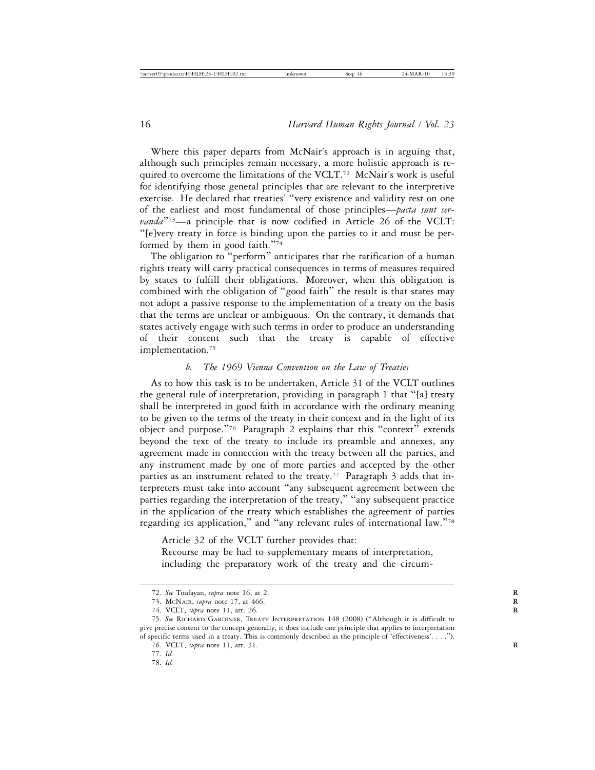Where this paper departs from McNair's approach is in arguing that, although such principles remain necessary, a more holistic approach is required to overcome the limitations of the VCLT.<sup>72</sup> McNair's work is useful for identifying those general principles that are relevant to the interpretive exercise. He declared that treaties' "very existence and validity rest on one of the earliest and most fundamental of those principles—*pacta sunt servanda*"<sup>73</sup>—a principle that is now codified in Article 26 of the VCLT: "[e]very treaty in force is binding upon the parties to it and must be performed by them in good faith."74

The obligation to "perform" anticipates that the ratification of a human rights treaty will carry practical consequences in terms of measures required by states to fulfill their obligations. Moreover, when this obligation is combined with the obligation of "good faith" the result is that states may not adopt a passive response to the implementation of a treaty on the basis that the terms are unclear or ambiguous. On the contrary, it demands that states actively engage with such terms in order to produce an understanding of their content such that the treaty is capable of effective implementation.<sup>75</sup>

## *b. The 1969 Vienna Convention on the Law of Treaties*

As to how this task is to be undertaken, Article 31 of the VCLT outlines the general rule of interpretation, providing in paragraph 1 that "[a] treaty shall be interpreted in good faith in accordance with the ordinary meaning to be given to the terms of the treaty in their context and in the light of its object and purpose."76 Paragraph 2 explains that this "context" extends beyond the text of the treaty to include its preamble and annexes, any agreement made in connection with the treaty between all the parties, and any instrument made by one of more parties and accepted by the other parties as an instrument related to the treaty.<sup>77</sup> Paragraph 3 adds that interpreters must take into account "any subsequent agreement between the parties regarding the interpretation of the treaty," "any subsequent practice in the application of the treaty which establishes the agreement of parties regarding its application," and "any relevant rules of international law."<sup>78</sup>

Article 32 of the VCLT further provides that: Recourse may be had to supplementary means of interpretation, including the preparatory work of the treaty and the circum-

<sup>72.</sup> *See* Toufayan, *supra* note 16, at 2. **R**

<sup>73.</sup> MCNAIR, *supra* note 17, at 466. **R**

<sup>74.</sup> VCLT, *supra* note 11, art. 26. **R**

<sup>75.</sup> *See* RICHARD GARDINER, TREATY INTERPRETATION 148 (2008) ("Although it is difficult to give precise content to the concept generally, it does include one principle that applies to interpretation of specific terms used in a treaty. This is commonly described as the principle of 'effectiveness'. . . .").

<sup>76.</sup> VCLT, *supra* note 11, art. 31. **R**

<sup>77.</sup> *Id.*

<sup>78.</sup> *Id.*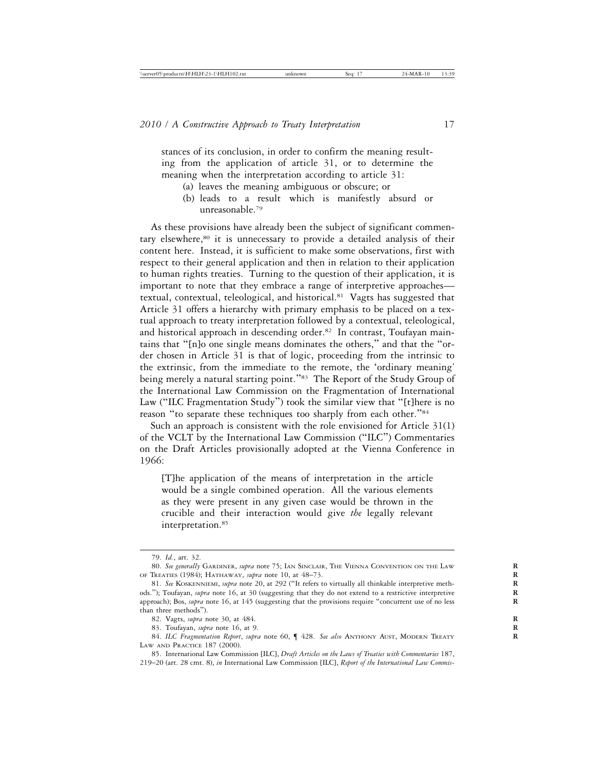stances of its conclusion, in order to confirm the meaning resulting from the application of article 31, or to determine the meaning when the interpretation according to article 31:

- (a) leaves the meaning ambiguous or obscure; or
- (b) leads to a result which is manifestly absurd or unreasonable.79

As these provisions have already been the subject of significant commentary elsewhere,<sup>80</sup> it is unnecessary to provide a detailed analysis of their content here. Instead, it is sufficient to make some observations, first with respect to their general application and then in relation to their application to human rights treaties. Turning to the question of their application, it is important to note that they embrace a range of interpretive approaches textual, contextual, teleological, and historical.81 Vagts has suggested that Article 31 offers a hierarchy with primary emphasis to be placed on a textual approach to treaty interpretation followed by a contextual, teleological, and historical approach in descending order.<sup>82</sup> In contrast, Toufayan maintains that "[n]o one single means dominates the others," and that the "order chosen in Article 31 is that of logic, proceeding from the intrinsic to the extrinsic, from the immediate to the remote, the 'ordinary meaning' being merely a natural starting point."<sup>83</sup> The Report of the Study Group of the International Law Commission on the Fragmentation of International Law ("ILC Fragmentation Study") took the similar view that "[t]here is no reason "to separate these techniques too sharply from each other."<sup>84</sup>

Such an approach is consistent with the role envisioned for Article 31(1) of the VCLT by the International Law Commission ("ILC") Commentaries on the Draft Articles provisionally adopted at the Vienna Conference in 1966:

[T]he application of the means of interpretation in the article would be a single combined operation. All the various elements as they were present in any given case would be thrown in the crucible and their interaction would give *the* legally relevant interpretation.85

<sup>79.</sup> *Id.*, art. 32.

<sup>80.</sup> *See generally* GARDINER, *supra* note 75; IAN SINCLAIR, THE VIENNA CONVENTION ON THE LAW **R** OF TREATIES (1984); HATHAWAY, *supra* note 10, at 48–73. **R**

<sup>81.</sup> *See* KOSKENNIEMI, *supra* note 20, at 292 ("It refers to virtually all thinkable interpretive meth- **R** ods."); Toufayan, *supra* note 16, at 30 (suggesting that they do not extend to a restrictive interpretive approach); Bos, *supra* note 16, at 145 (suggesting that the provisions require "concurrent use of no less than three methods").

<sup>82.</sup> Vagts, *supra* note 30, at 484. **R**

<sup>83.</sup> Toufayan, *supra* note 16, at 9. **R**

<sup>84.</sup> ILC Fragmentation Report, supra note 60,  $\blacksquare$  428. See also ANTHONY AUST, MODERN TREATY LAW AND PRACTICE 187 (2000).

<sup>85.</sup> International Law Commission [ILC], *Draft Articles on the Laws of Treaties with Commentaries* 187, 219–20 (art. 28 cmt. 8), *in* International Law Commission [ILC], *Report of the International Law Commis-*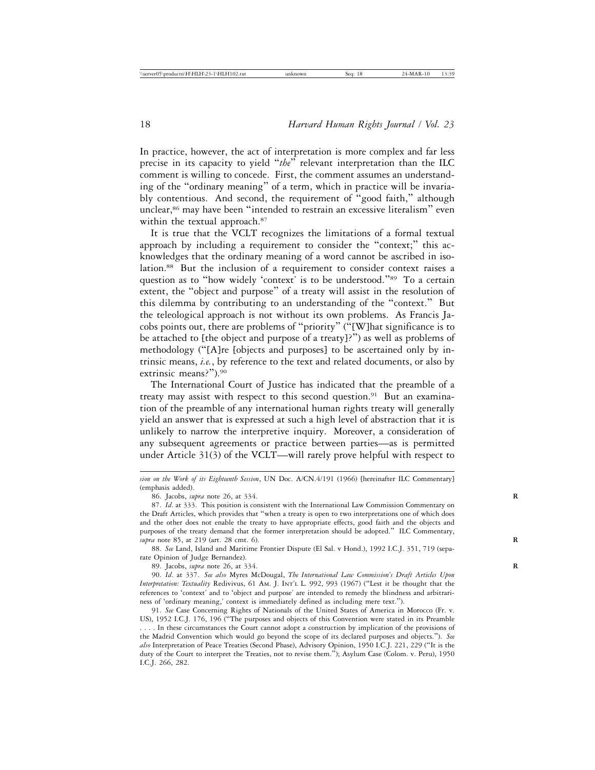In practice, however, the act of interpretation is more complex and far less precise in its capacity to yield "*the*" relevant interpretation than the ILC comment is willing to concede. First, the comment assumes an understanding of the "ordinary meaning" of a term, which in practice will be invariably contentious. And second, the requirement of "good faith," although unclear,<sup>86</sup> may have been "intended to restrain an excessive literalism" even within the textual approach.<sup>87</sup>

It is true that the VCLT recognizes the limitations of a formal textual approach by including a requirement to consider the "context;" this acknowledges that the ordinary meaning of a word cannot be ascribed in isolation.<sup>88</sup> But the inclusion of a requirement to consider context raises a question as to "how widely 'context' is to be understood."<sup>89</sup> To a certain extent, the "object and purpose" of a treaty will assist in the resolution of this dilemma by contributing to an understanding of the "context." But the teleological approach is not without its own problems. As Francis Jacobs points out, there are problems of "priority" ("[W]hat significance is to be attached to [the object and purpose of a treaty]?") as well as problems of methodology ("[A]re [objects and purposes] to be ascertained only by intrinsic means, *i.e.*, by reference to the text and related documents, or also by extrinsic means?").90

The International Court of Justice has indicated that the preamble of a treaty may assist with respect to this second question.<sup>91</sup> But an examination of the preamble of any international human rights treaty will generally yield an answer that is expressed at such a high level of abstraction that it is unlikely to narrow the interpretive inquiry. Moreover, a consideration of any subsequent agreements or practice between parties—as is permitted under Article 31(3) of the VCLT—will rarely prove helpful with respect to

88. *See* Land, Island and Maritime Frontier Dispute (El Sal. v Hond.), 1992 I.C.J. 351, 719 (separate Opinion of Judge Bernandez).

89. Jacobs, *supra* note 26, at 334. **R**

90. *Id*. at 337. *See also* Myres McDougal, *The International Law Commission's Draft Articles Upon Interpretation: Textuality* Redivivus, 61 AM. J. INT'L L. 992, 993 (1967) ("Lest it be thought that the references to 'context' and to 'object and purpose' are intended to remedy the blindness and arbitrariness of 'ordinary meaning,' context is immediately defined as including mere text.").

91. *See* Case Concerning Rights of Nationals of the United States of America in Morocco (Fr. v. US), 1952 I.C.J. 176, 196 ("The purposes and objects of this Convention were stated in its Preamble . . . . In these circumstances the Court cannot adopt a construction by implication of the provisions of the Madrid Convention which would go beyond the scope of its declared purposes and objects."). *See also* Interpretation of Peace Treaties (Second Phase), Advisory Opinion, 1950 I.C.J. 221, 229 ("It is the duty of the Court to interpret the Treaties, not to revise them."); Asylum Case (Colom. v. Peru), 1950 I.C.J. 266, 282.

*sion on the Work of its Eighteenth Session*, UN Doc. A/CN.4/191 (1966) [hereinafter ILC Commentary] (emphasis added).

<sup>86.</sup> Jacobs, *supra* note 26, at 334. **R**

<sup>87.</sup> *Id*. at 333. This position is consistent with the International Law Commission Commentary on the Draft Articles, which provides that "when a treaty is open to two interpretations one of which does and the other does not enable the treaty to have appropriate effects, good faith and the objects and purposes of the treaty demand that the former interpretation should be adopted." ILC Commentary, *supra* note 85, at 219 (art. 28 cmt. 6). **R**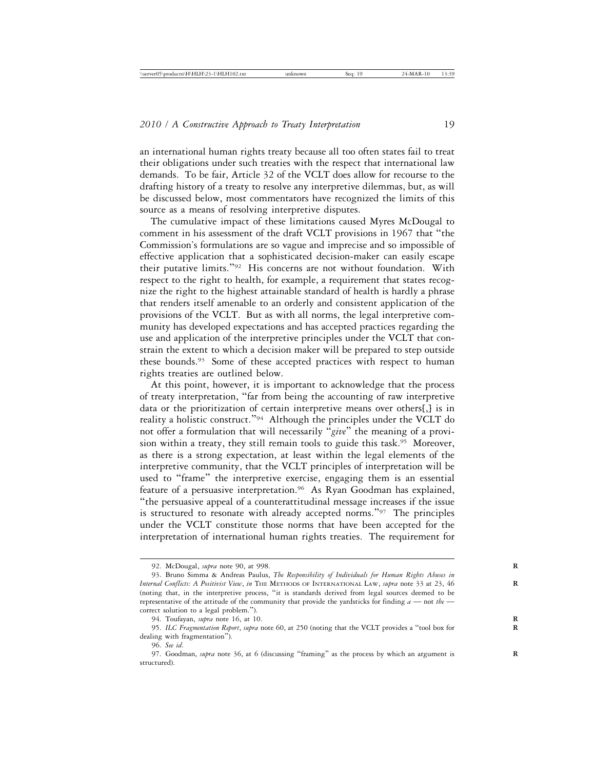an international human rights treaty because all too often states fail to treat their obligations under such treaties with the respect that international law demands. To be fair, Article 32 of the VCLT does allow for recourse to the drafting history of a treaty to resolve any interpretive dilemmas, but, as will be discussed below, most commentators have recognized the limits of this source as a means of resolving interpretive disputes.

The cumulative impact of these limitations caused Myres McDougal to comment in his assessment of the draft VCLT provisions in 1967 that "the Commission's formulations are so vague and imprecise and so impossible of effective application that a sophisticated decision-maker can easily escape their putative limits."92 His concerns are not without foundation. With respect to the right to health, for example, a requirement that states recognize the right to the highest attainable standard of health is hardly a phrase that renders itself amenable to an orderly and consistent application of the provisions of the VCLT. But as with all norms, the legal interpretive community has developed expectations and has accepted practices regarding the use and application of the interpretive principles under the VCLT that constrain the extent to which a decision maker will be prepared to step outside these bounds.<sup>93</sup> Some of these accepted practices with respect to human rights treaties are outlined below.

At this point, however, it is important to acknowledge that the process of treaty interpretation, "far from being the accounting of raw interpretive data or the prioritization of certain interpretive means over others[,] is in reality a holistic construct."94 Although the principles under the VCLT do not offer a formulation that will necessarily "*give*" the meaning of a provision within a treaty, they still remain tools to guide this task.<sup>95</sup> Moreover, as there is a strong expectation, at least within the legal elements of the interpretive community, that the VCLT principles of interpretation will be used to "frame" the interpretive exercise, engaging them is an essential feature of a persuasive interpretation.<sup>96</sup> As Ryan Goodman has explained, "the persuasive appeal of a counterattitudinal message increases if the issue is structured to resonate with already accepted norms."97 The principles under the VCLT constitute those norms that have been accepted for the interpretation of international human rights treaties. The requirement for

<sup>92.</sup> McDougal, *supra* note 90, at 998. **R**

<sup>93.</sup> Bruno Simma & Andreas Paulus, *The Responsibility of Individuals for Human Rights Abuses in Internal Conflicts: A Positivist View*, *in* THE METHODS OF INTERNATIONAL LAW, *supra* note 33 at 23, 46 **R** (noting that, in the interpretive process, "it is standards derived from legal sources deemed to be representative of the attitude of the community that provide the yardsticks for finding *a* — not *the*  correct solution to a legal problem.").

<sup>94.</sup> Toufayan, *supra* note 16, at 10. **R**

<sup>95.</sup> *ILC Fragmentation Report*, *supra* note 60, at 250 (noting that the VCLT provides a "tool box for **R** dealing with fragmentation").

<sup>96.</sup> *See id*.

<sup>97.</sup> Goodman, *supra* note 36, at 6 (discussing "framing" as the process by which an argument is structured).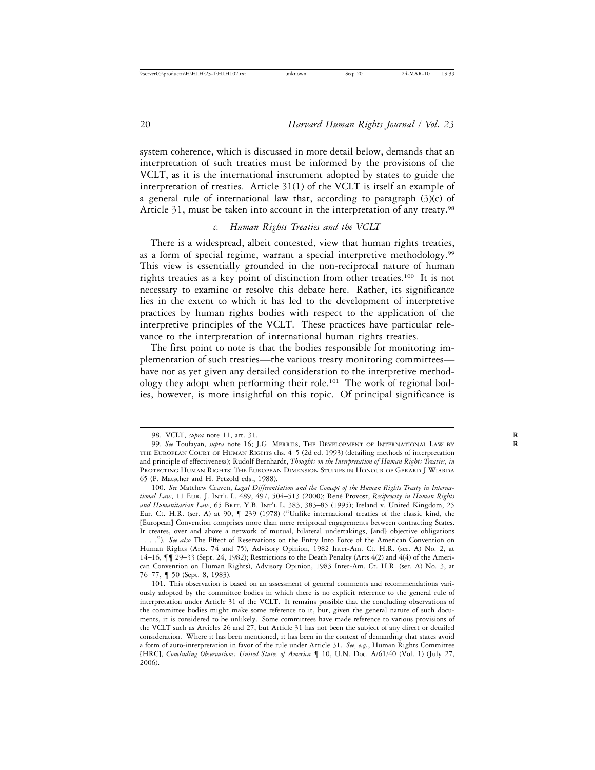system coherence, which is discussed in more detail below, demands that an interpretation of such treaties must be informed by the provisions of the VCLT, as it is the international instrument adopted by states to guide the interpretation of treaties. Article 31(1) of the VCLT is itself an example of a general rule of international law that, according to paragraph (3)(c) of Article 31, must be taken into account in the interpretation of any treaty.<sup>98</sup>

## *c. Human Rights Treaties and the VCLT*

There is a widespread, albeit contested, view that human rights treaties, as a form of special regime, warrant a special interpretive methodology.<sup>99</sup> This view is essentially grounded in the non-reciprocal nature of human rights treaties as a key point of distinction from other treaties.100 It is not necessary to examine or resolve this debate here. Rather, its significance lies in the extent to which it has led to the development of interpretive practices by human rights bodies with respect to the application of the interpretive principles of the VCLT. These practices have particular relevance to the interpretation of international human rights treaties.

The first point to note is that the bodies responsible for monitoring implementation of such treaties—the various treaty monitoring committees have not as yet given any detailed consideration to the interpretive methodology they adopt when performing their role.101 The work of regional bodies, however, is more insightful on this topic. Of principal significance is

<sup>98.</sup> VCLT, *supra* note 11, art. 31. **R**

<sup>99.</sup> *See* Toufayan, *supra* note 16; J.G. MERRILS, THE DEVELOPMENT OF INTERNATIONAL LAW BY **R** THE EUROPEAN COURT OF HUMAN RIGHTS chs. 4–5 (2d ed. 1993) (detailing methods of interpretation and principle of effectiveness); Rudolf Bernhardt, *Thoughts on the Interpretation of Human Rights Treaties, in* PROTECTING HUMAN RIGHTS: THE EUROPEAN DIMENSION STUDIES IN HONOUR OF GERARD J WIARDA 65 (F. Matscher and H. Petzold eds., 1988).

<sup>100.</sup> *See* Matthew Craven, *Legal Differentiation and the Concept of the Human Rights Treaty in International Law*, 11 EUR. J. INT'L L. 489, 497, 504–513 (2000); Ren´e Provost, *Reciprocity in Human Rights and Humanitarian Law*, 65 BRIT. Y.B. INT'L L. 383, 383–85 (1995); Ireland v. United Kingdom, 25 Eur. Ct. H.R. (ser. A) at 90, ¶ 239 (1978) ("Unlike international treaties of the classic kind, the [European] Convention comprises more than mere reciprocal engagements between contracting States. It creates, over and above a network of mutual, bilateral undertakings, [and] objective obligations . . . ."). *See also* The Effect of Reservations on the Entry Into Force of the American Convention on Human Rights (Arts. 74 and 75), Advisory Opinion, 1982 Inter-Am. Ct. H.R. (ser. A) No. 2, at 14–16, ¶¶ 29–33 (Sept. 24, 1982); Restrictions to the Death Penalty (Arts 4(2) and 4(4) of the American Convention on Human Rights), Advisory Opinion, 1983 Inter-Am. Ct. H.R. (ser. A) No. 3, at 76–77, ¶ 50 (Sept. 8, 1983).

<sup>101.</sup> This observation is based on an assessment of general comments and recommendations variously adopted by the committee bodies in which there is no explicit reference to the general rule of interpretation under Article 31 of the VCLT. It remains possible that the concluding observations of the committee bodies might make some reference to it, but, given the general nature of such documents, it is considered to be unlikely. Some committees have made reference to various provisions of the VCLT such as Articles 26 and 27, but Article 31 has not been the subject of any direct or detailed consideration. Where it has been mentioned, it has been in the context of demanding that states avoid a form of auto-interpretation in favor of the rule under Article 31. *See, e.g.*, Human Rights Committee [HRC], *Concluding Observations: United States of America* ¶ 10, U.N. Doc. A/61/40 (Vol. 1) (July 27, 2006).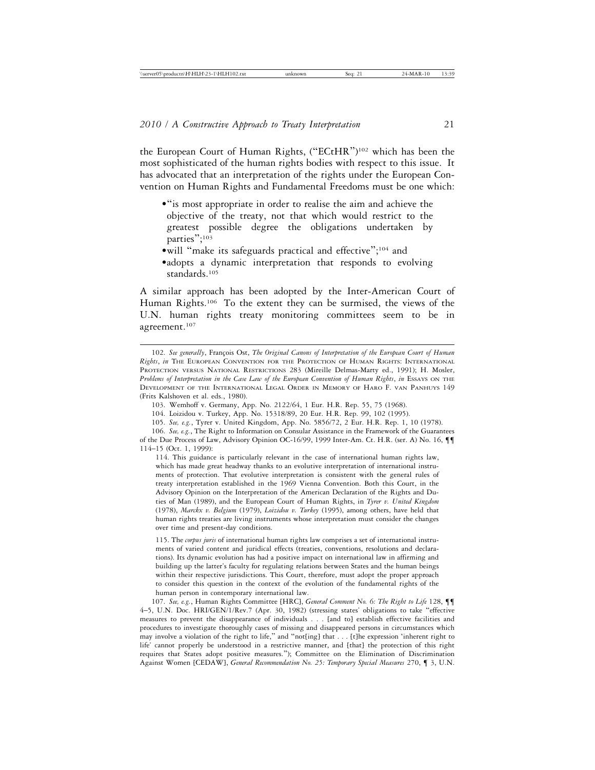the European Court of Human Rights, ("ECtHR")102 which has been the most sophisticated of the human rights bodies with respect to this issue. It has advocated that an interpretation of the rights under the European Convention on Human Rights and Fundamental Freedoms must be one which:

- •"is most appropriate in order to realise the aim and achieve the objective of the treaty, not that which would restrict to the greatest possible degree the obligations undertaken by parties"; 103
- •will "make its safeguards practical and effective"; 104 and
- •adopts a dynamic interpretation that responds to evolving standards.<sup>105</sup>

A similar approach has been adopted by the Inter-American Court of Human Rights.<sup>106</sup> To the extent they can be surmised, the views of the U.N. human rights treaty monitoring committees seem to be in agreement.107

114. This guidance is particularly relevant in the case of international human rights law, which has made great headway thanks to an evolutive interpretation of international instruments of protection. That evolutive interpretation is consistent with the general rules of treaty interpretation established in the 1969 Vienna Convention. Both this Court, in the Advisory Opinion on the Interpretation of the American Declaration of the Rights and Duties of Man (1989), and the European Court of Human Rights, in *Tyrer v. United Kingdom* (1978), *Marckx v. Belgium* (1979), *Loizidou v. Turkey* (1995), among others, have held that human rights treaties are living instruments whose interpretation must consider the changes over time and present-day conditions.

115. The *corpus juris* of international human rights law comprises a set of international instruments of varied content and juridical effects (treaties, conventions, resolutions and declarations). Its dynamic evolution has had a positive impact on international law in affirming and building up the latter's faculty for regulating relations between States and the human beings within their respective jurisdictions. This Court, therefore, must adopt the proper approach to consider this question in the context of the evolution of the fundamental rights of the human person in contemporary international law.

107. *See, e.g.*, Human Rights Committee [HRC], *General Comment No. 6: The Right to Life* 128, ¶¶ 4–5, U.N. Doc. HRI/GEN/1/Rev.7 (Apr. 30, 1982) (stressing states' obligations to take "effective measures to prevent the disappearance of individuals . . . [and to] establish effective facilities and procedures to investigate thoroughly cases of missing and disappeared persons in circumstances which may involve a violation of the right to life," and "not[ing] that . . . [t]he expression 'inherent right to life' cannot properly be understood in a restrictive manner, and [that] the protection of this right requires that States adopt positive measures."); Committee on the Elimination of Discrimination Against Women [CEDAW], *General Recommendation No. 25: Temporary Special Measures* 270, ¶ 3, U.N.

<sup>102.</sup> See generally, François Ost, *The Original Canons of Interpretation of the European Court of Human Rights*, *in* THE EUROPEAN CONVENTION FOR THE PROTECTION OF HUMAN RIGHTS: INTERNATIONAL PROTECTION VERSUS NATIONAL RESTRICTIONS 283 (Mireille Delmas-Marty ed., 1991); H. Mosler, *Problems of Interpretation in the Case Law of the European Convention of Human Rights*, *in* ESSAYS ON THE DEVELOPMENT OF THE INTERNATIONAL LEGAL ORDER IN MEMORY OF HARO F. VAN PANHUYS 149 (Frits Kalshoven et al. eds., 1980).

<sup>103.</sup> Wemhoff v. Germany, App. No. 2122/64, 1 Eur. H.R. Rep. 55, 75 (1968).

<sup>104.</sup> Loizidou v. Turkey, App. No. 15318/89, 20 Eur. H.R. Rep. 99, 102 (1995).

<sup>105.</sup> *See, e.g.*, Tyrer v. United Kingdom, App. No. 5856/72, 2 Eur. H.R. Rep. 1, 10 (1978).

<sup>106.</sup> *See, e.g.*, The Right to Information on Consular Assistance in the Framework of the Guarantees of the Due Process of Law, Advisory Opinion OC-16/99, 1999 Inter-Am. Ct. H.R. (ser. A) No. 16, ¶¶ 114–15 (Oct. 1, 1999):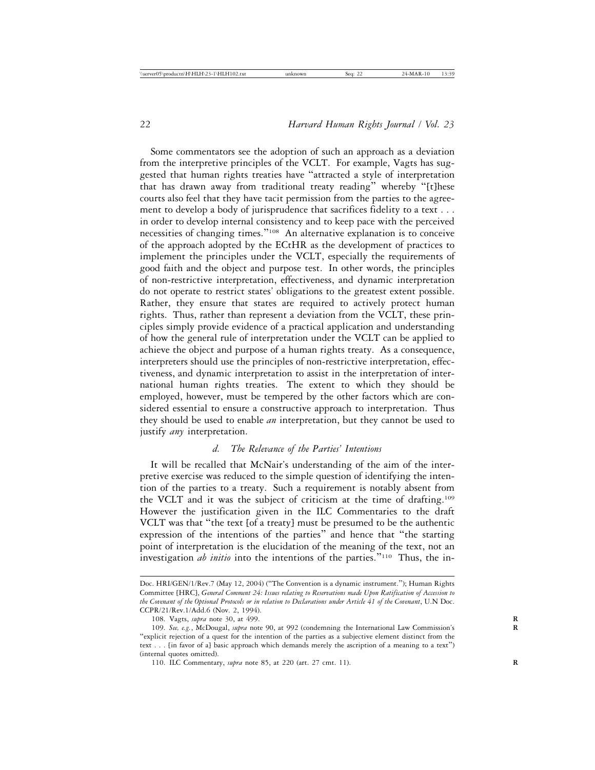Some commentators see the adoption of such an approach as a deviation from the interpretive principles of the VCLT. For example, Vagts has suggested that human rights treaties have "attracted a style of interpretation that has drawn away from traditional treaty reading" whereby "[t]hese courts also feel that they have tacit permission from the parties to the agreement to develop a body of jurisprudence that sacrifices fidelity to a text . . . in order to develop internal consistency and to keep pace with the perceived necessities of changing times."108 An alternative explanation is to conceive of the approach adopted by the ECtHR as the development of practices to implement the principles under the VCLT, especially the requirements of good faith and the object and purpose test. In other words, the principles of non-restrictive interpretation, effectiveness, and dynamic interpretation do not operate to restrict states' obligations to the greatest extent possible. Rather, they ensure that states are required to actively protect human rights. Thus, rather than represent a deviation from the VCLT, these principles simply provide evidence of a practical application and understanding of how the general rule of interpretation under the VCLT can be applied to achieve the object and purpose of a human rights treaty. As a consequence, interpreters should use the principles of non-restrictive interpretation, effectiveness, and dynamic interpretation to assist in the interpretation of international human rights treaties. The extent to which they should be employed, however, must be tempered by the other factors which are considered essential to ensure a constructive approach to interpretation. Thus they should be used to enable *an* interpretation, but they cannot be used to justify *any* interpretation.

## *d. The Relevance of the Parties' Intentions*

It will be recalled that McNair's understanding of the aim of the interpretive exercise was reduced to the simple question of identifying the intention of the parties to a treaty. Such a requirement is notably absent from the VCLT and it was the subject of criticism at the time of drafting.109 However the justification given in the ILC Commentaries to the draft VCLT was that "the text [of a treaty] must be presumed to be the authentic expression of the intentions of the parties" and hence that "the starting point of interpretation is the elucidation of the meaning of the text, not an investigation *ab initio* into the intentions of the parties."110 Thus, the in-

Doc. HRI/GEN/1/Rev.7 (May 12, 2004) ("The Convention is a dynamic instrument."); Human Rights Committee [HRC], *General Comment 24: Issues relating to Reservations made Upon Ratification of Accession to the Covenant of the Optional Protocols or in relation to Declarations under Article 41 of the Covenant*, U.N Doc. CCPR/21/Rev.1/Add.6 (Nov. 2, 1994).

<sup>108.</sup> Vagts, *supra* note 30, at 499. **R**

<sup>109.</sup> *See, e.g.*, McDougal, *supra* note 90, at 992 (condemning the International Law Commission's **R** "explicit rejection of a quest for the intention of the parties as a subjective element distinct from the text . . . [in favor of a] basic approach which demands merely the ascription of a meaning to a text") (internal quotes omitted).

<sup>110.</sup> ILC Commentary, *supra* note 85, at 220 (art. 27 cmt. 11). **R**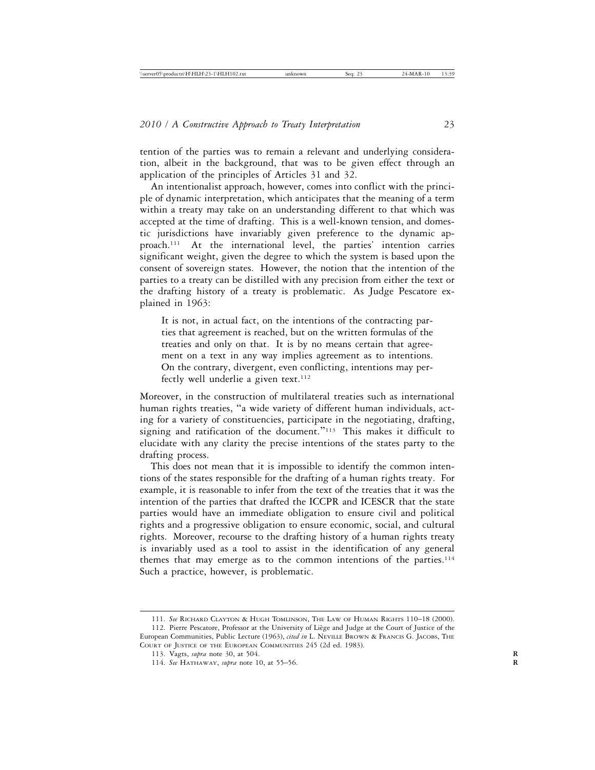tention of the parties was to remain a relevant and underlying consideration, albeit in the background, that was to be given effect through an application of the principles of Articles 31 and 32.

An intentionalist approach, however, comes into conflict with the principle of dynamic interpretation, which anticipates that the meaning of a term within a treaty may take on an understanding different to that which was accepted at the time of drafting. This is a well-known tension, and domestic jurisdictions have invariably given preference to the dynamic approach.111 At the international level, the parties' intention carries significant weight, given the degree to which the system is based upon the consent of sovereign states. However, the notion that the intention of the parties to a treaty can be distilled with any precision from either the text or the drafting history of a treaty is problematic. As Judge Pescatore explained in 1963:

It is not, in actual fact, on the intentions of the contracting parties that agreement is reached, but on the written formulas of the treaties and only on that. It is by no means certain that agreement on a text in any way implies agreement as to intentions. On the contrary, divergent, even conflicting, intentions may perfectly well underlie a given text.<sup>112</sup>

Moreover, in the construction of multilateral treaties such as international human rights treaties, "a wide variety of different human individuals, acting for a variety of constituencies, participate in the negotiating, drafting, signing and ratification of the document."<sup>113</sup> This makes it difficult to elucidate with any clarity the precise intentions of the states party to the drafting process.

This does not mean that it is impossible to identify the common intentions of the states responsible for the drafting of a human rights treaty. For example, it is reasonable to infer from the text of the treaties that it was the intention of the parties that drafted the ICCPR and ICESCR that the state parties would have an immediate obligation to ensure civil and political rights and a progressive obligation to ensure economic, social, and cultural rights. Moreover, recourse to the drafting history of a human rights treaty is invariably used as a tool to assist in the identification of any general themes that may emerge as to the common intentions of the parties.114 Such a practice, however, is problematic.

<sup>111.</sup> *See* RICHARD CLAYTON & HUGH TOMLINSON, THE LAW OF HUMAN RIGHTS 110–18 (2000). 112. Pierre Pescatore, Professor at the University of Liège and Judge at the Court of Justice of the European Communities, Public Lecture (1963), *cited in* L. NEVILLE BROWN & FRANCIS G. JACOBS, THE COURT OF JUSTICE OF THE EUROPEAN COMMUNITIES 245 (2d ed. 1983).

<sup>113.</sup> Vagts, *supra* note 30, at 504. **R**

<sup>114.</sup> *See* HATHAWAY, *supra* note 10, at 55–56. **R**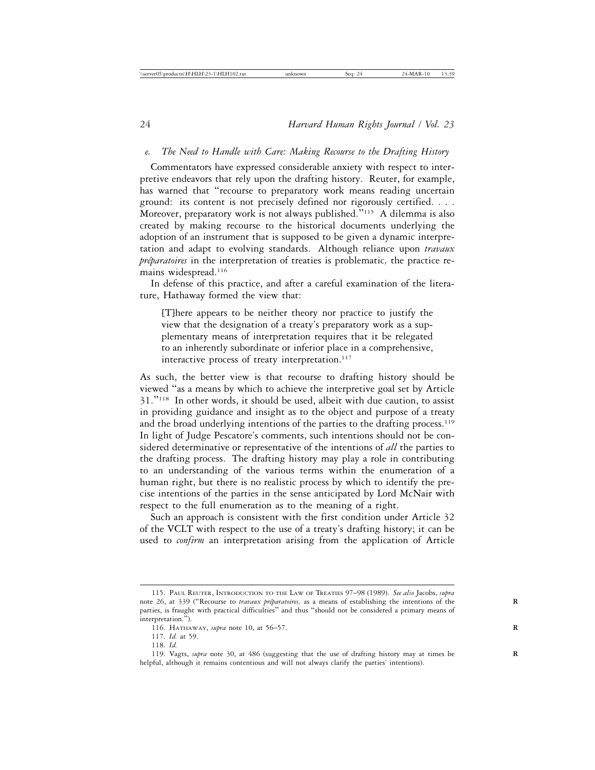#### *e. The Need to Handle with Care: Making Recourse to the Drafting History*

Commentators have expressed considerable anxiety with respect to interpretive endeavors that rely upon the drafting history. Reuter, for example, has warned that "recourse to preparatory work means reading uncertain ground: its content is not precisely defined nor rigorously certified. . . . Moreover, preparatory work is not always published."115 A dilemma is also created by making recourse to the historical documents underlying the adoption of an instrument that is supposed to be given a dynamic interpretation and adapt to evolving standards. Although reliance upon *travaux préparatoires* in the interpretation of treaties is problematic, the practice remains widespread.<sup>116</sup>

In defense of this practice, and after a careful examination of the literature, Hathaway formed the view that:

[T]here appears to be neither theory nor practice to justify the view that the designation of a treaty's preparatory work as a supplementary means of interpretation requires that it be relegated to an inherently subordinate or inferior place in a comprehensive, interactive process of treaty interpretation.<sup>117</sup>

As such, the better view is that recourse to drafting history should be viewed "as a means by which to achieve the interpretive goal set by Article 31."118 In other words, it should be used, albeit with due caution, to assist in providing guidance and insight as to the object and purpose of a treaty and the broad underlying intentions of the parties to the drafting process.<sup>119</sup> In light of Judge Pescatore's comments, such intentions should not be considered determinative or representative of the intentions of *all* the parties to the drafting process. The drafting history may play a role in contributing to an understanding of the various terms within the enumeration of a human right, but there is no realistic process by which to identify the precise intentions of the parties in the sense anticipated by Lord McNair with respect to the full enumeration as to the meaning of a right.

Such an approach is consistent with the first condition under Article 32 of the VCLT with respect to the use of a treaty's drafting history; it can be used to *confirm* an interpretation arising from the application of Article

<sup>115.</sup> PAUL REUTER, INTRODUCTION TO THE LAW OF TREATIES 97–98 (1989). *See also* Jacobs, *supra* note 26, at 339 ("Recourse to *travaux préparatoires*, as a means of establishing the intentions of the parties, is fraught with practical difficulties" and thus "should not be considered a primary means of interpretation.").

<sup>116.</sup> HATHAWAY, *supra* note 10, at 56–57. **R**

<sup>117.</sup> *Id.* at 59.

<sup>118.</sup> *Id.*

<sup>119.</sup> Vagts, *supra* note 30, at 486 (suggesting that the use of drafting history may at times be **R** helpful, although it remains contentious and will not always clarify the parties' intentions).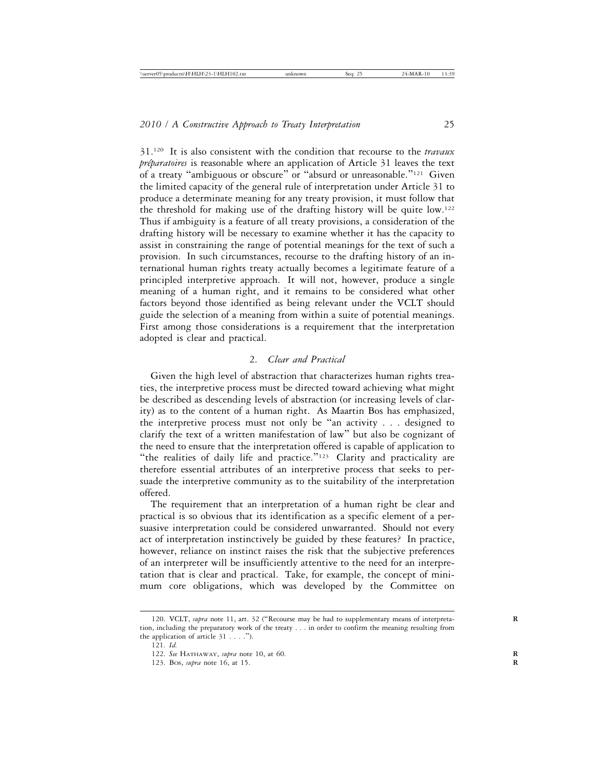31.120 It is also consistent with the condition that recourse to the *travaux préparatoires* is reasonable where an application of Article 31 leaves the text of a treaty "ambiguous or obscure" or "absurd or unreasonable."121 Given the limited capacity of the general rule of interpretation under Article 31 to produce a determinate meaning for any treaty provision, it must follow that the threshold for making use of the drafting history will be quite low.122 Thus if ambiguity is a feature of all treaty provisions, a consideration of the drafting history will be necessary to examine whether it has the capacity to assist in constraining the range of potential meanings for the text of such a provision. In such circumstances, recourse to the drafting history of an international human rights treaty actually becomes a legitimate feature of a principled interpretive approach. It will not, however, produce a single meaning of a human right, and it remains to be considered what other factors beyond those identified as being relevant under the VCLT should guide the selection of a meaning from within a suite of potential meanings. First among those considerations is a requirement that the interpretation adopted is clear and practical.

## 2. *Clear and Practical*

Given the high level of abstraction that characterizes human rights treaties, the interpretive process must be directed toward achieving what might be described as descending levels of abstraction (or increasing levels of clarity) as to the content of a human right. As Maartin Bos has emphasized, the interpretive process must not only be "an activity . . . designed to clarify the text of a written manifestation of law" but also be cognizant of the need to ensure that the interpretation offered is capable of application to "the realities of daily life and practice."123 Clarity and practicality are therefore essential attributes of an interpretive process that seeks to persuade the interpretive community as to the suitability of the interpretation offered.

The requirement that an interpretation of a human right be clear and practical is so obvious that its identification as a specific element of a persuasive interpretation could be considered unwarranted. Should not every act of interpretation instinctively be guided by these features? In practice, however, reliance on instinct raises the risk that the subjective preferences of an interpreter will be insufficiently attentive to the need for an interpretation that is clear and practical. Take, for example, the concept of minimum core obligations, which was developed by the Committee on

<sup>120.</sup> VCLT, *supra* note 11, art. 32 ("Recourse may be had to supplementary means of interpretation, including the preparatory work of the treaty . . . in order to confirm the meaning resulting from the application of article 31 . . . .").

<sup>121.</sup> *Id.*

<sup>122.</sup> *See* HATHAWAY, *supra* note 10, at 60. **R**

<sup>123.</sup> BOS, *supra* note 16, at 15. **R**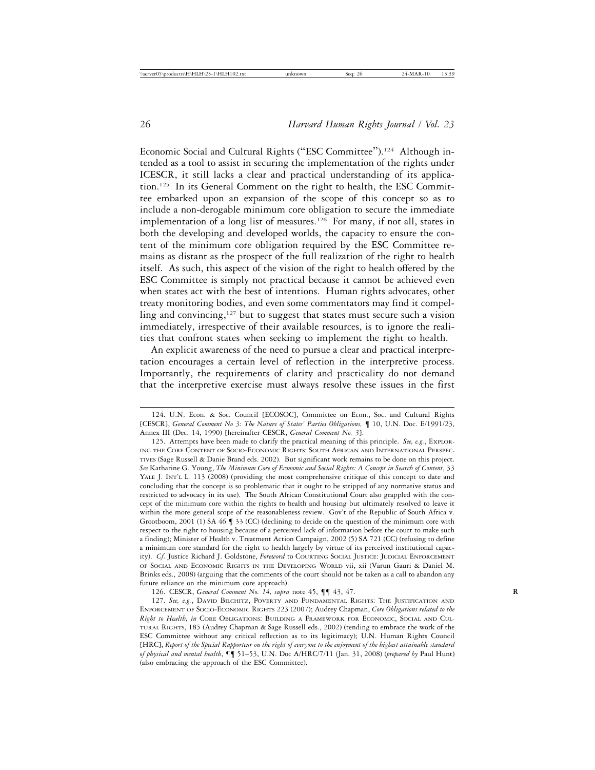Economic Social and Cultural Rights ("ESC Committee").<sup>124</sup> Although intended as a tool to assist in securing the implementation of the rights under ICESCR, it still lacks a clear and practical understanding of its application.125 In its General Comment on the right to health, the ESC Committee embarked upon an expansion of the scope of this concept so as to include a non-derogable minimum core obligation to secure the immediate implementation of a long list of measures.<sup>126</sup> For many, if not all, states in both the developing and developed worlds, the capacity to ensure the content of the minimum core obligation required by the ESC Committee remains as distant as the prospect of the full realization of the right to health itself. As such, this aspect of the vision of the right to health offered by the ESC Committee is simply not practical because it cannot be achieved even when states act with the best of intentions. Human rights advocates, other treaty monitoring bodies, and even some commentators may find it compelling and convincing, $127$  but to suggest that states must secure such a vision immediately, irrespective of their available resources, is to ignore the realities that confront states when seeking to implement the right to health.

An explicit awareness of the need to pursue a clear and practical interpretation encourages a certain level of reflection in the interpretive process. Importantly, the requirements of clarity and practicality do not demand that the interpretive exercise must always resolve these issues in the first

126. CESCR, *General Comment No. 14, supra* note 45, ¶¶ 43, 47. **R**

127. *See, e.g.*, DAVID BILCHITZ, POVERTY AND FUNDAMENTAL RIGHTS: THE JUSTIFICATION AND ENFORCEMENT OF SOCIO-ECONOMIC RIGHTS 223 (2007); Audrey Chapman, *Core Obligations related to the Right to Health, in* CORE OBLIGATIONS: BUILDING A FRAMEWORK FOR ECONOMIC, SOCIAL AND CUL-TURAL RIGHTS, 185 (Audrey Chapman & Sage Russell eds., 2002) (tending to embrace the work of the ESC Committee without any critical reflection as to its legitimacy); U.N. Human Rights Council [HRC], *Report of the Special Rapporteur on the right of everyone to the enjoyment of the highest attainable standard of physical and mental health*, ¶¶ 51–53, U.N. Doc A/HRC/7/11 (Jan. 31, 2008) (*prepared by* Paul Hunt) (also embracing the approach of the ESC Committee).

<sup>124.</sup> U.N. Econ. & Soc. Council [ECOSOC], Committee on Econ., Soc. and Cultural Rights [CESCR], *General Comment No 3: The Nature of States' Parties Obligations,* ¶ 10, U.N. Doc. E/1991/23, Annex III (Dec. 14, 1990) [hereinafter CESCR, *General Comment No. 3*].

<sup>125.</sup> Attempts have been made to clarify the practical meaning of this principle. *See, e.g.*, EXPLOR-ING THE CORE CONTENT OF SOCIO-ECONOMIC RIGHTS: SOUTH AFRICAN AND INTERNATIONAL PERSPEC-TIVES (Sage Russell & Danie Brand eds. 2002). But significant work remains to be done on this project. *See* Katharine G. Young, *The Minimum Core of Economic and Social Rights: A Concept in Search of Content*, 33 YALE J. INT'L L. 113 (2008) (providing the most comprehensive critique of this concept to date and concluding that the concept is so problematic that it ought to be stripped of any normative status and restricted to advocacy in its use). The South African Constitutional Court also grappled with the concept of the minimum core within the rights to health and housing but ultimately resolved to leave it within the more general scope of the reasonableness review. Gov't of the Republic of South Africa v. Grootboom, 2001 (1) SA 46 ¶ 33 (CC) (declining to decide on the question of the minimum core with respect to the right to housing because of a perceived lack of information before the court to make such a finding); Minister of Health v. Treatment Action Campaign, 2002 (5) SA 721 (CC) (refusing to define a minimum core standard for the right to health largely by virtue of its perceived institutional capacity). *Cf.* Justice Richard J. Goldstone, *Foreword* to COURTING SOCIAL JUSTICE: JUDICIAL ENFORCEMENT OF SOCIAL AND ECONOMIC RIGHTS IN THE DEVELOPING WORLD vii, xii (Varun Gauri & Daniel M. Brinks eds., 2008) (arguing that the comments of the court should not be taken as a call to abandon any future reliance on the minimum core approach).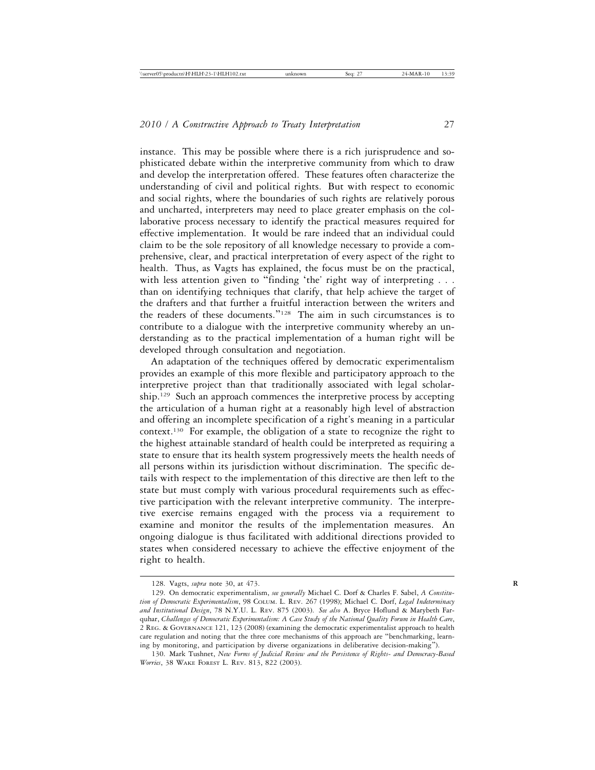instance. This may be possible where there is a rich jurisprudence and sophisticated debate within the interpretive community from which to draw and develop the interpretation offered. These features often characterize the understanding of civil and political rights. But with respect to economic and social rights, where the boundaries of such rights are relatively porous and uncharted, interpreters may need to place greater emphasis on the collaborative process necessary to identify the practical measures required for effective implementation. It would be rare indeed that an individual could claim to be the sole repository of all knowledge necessary to provide a comprehensive, clear, and practical interpretation of every aspect of the right to health. Thus, as Vagts has explained, the focus must be on the practical, with less attention given to "finding 'the' right way of interpreting . . . than on identifying techniques that clarify, that help achieve the target of the drafters and that further a fruitful interaction between the writers and the readers of these documents."128 The aim in such circumstances is to contribute to a dialogue with the interpretive community whereby an understanding as to the practical implementation of a human right will be developed through consultation and negotiation.

An adaptation of the techniques offered by democratic experimentalism provides an example of this more flexible and participatory approach to the interpretive project than that traditionally associated with legal scholarship.<sup>129</sup> Such an approach commences the interpretive process by accepting the articulation of a human right at a reasonably high level of abstraction and offering an incomplete specification of a right's meaning in a particular context.130 For example, the obligation of a state to recognize the right to the highest attainable standard of health could be interpreted as requiring a state to ensure that its health system progressively meets the health needs of all persons within its jurisdiction without discrimination. The specific details with respect to the implementation of this directive are then left to the state but must comply with various procedural requirements such as effective participation with the relevant interpretive community. The interpretive exercise remains engaged with the process via a requirement to examine and monitor the results of the implementation measures. An ongoing dialogue is thus facilitated with additional directions provided to states when considered necessary to achieve the effective enjoyment of the right to health.

<sup>128.</sup> Vagts, *supra* note 30, at 473. **R**

<sup>129.</sup> On democratic experimentalism, *see generally* Michael C. Dorf & Charles F. Sabel, *A Constitution of Democratic Experimentalism*, 98 COLUM. L. REV. 267 (1998); Michael C. Dorf, *Legal Indeterminacy and Institutional Design*, 78 N.Y.U. L. REV. 875 (2003). *See also* A. Bryce Hoflund & Marybeth Farquhar, *Challenges of Democratic Experimentalism: A Case Study of the National Quality Forum in Health Care*, 2 REG. & GOVERNANCE 121, 123 (2008) (examining the democratic experimentalist approach to health care regulation and noting that the three core mechanisms of this approach are "benchmarking, learning by monitoring, and participation by diverse organizations in deliberative decision-making").

<sup>130.</sup> Mark Tushnet, *New Forms of Judicial Review and the Persistence of Rights- and Democracy-Based Worries*, 38 WAKE FOREST L. REV. 813, 822 (2003).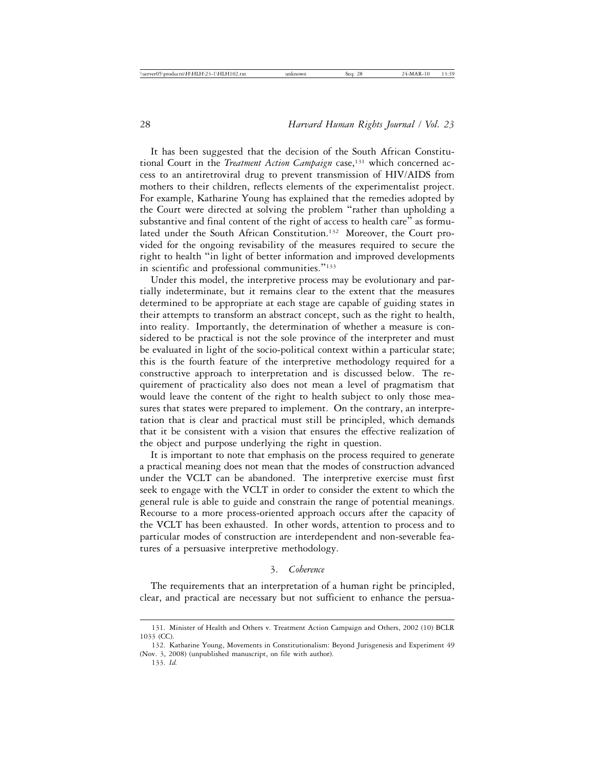It has been suggested that the decision of the South African Constitutional Court in the *Treatment Action Campaign* case,<sup>131</sup> which concerned access to an antiretroviral drug to prevent transmission of HIV/AIDS from mothers to their children, reflects elements of the experimentalist project. For example, Katharine Young has explained that the remedies adopted by the Court were directed at solving the problem "rather than upholding a substantive and final content of the right of access to health care" as formulated under the South African Constitution.<sup>132</sup> Moreover, the Court provided for the ongoing revisability of the measures required to secure the right to health "in light of better information and improved developments in scientific and professional communities."<sup>133</sup>

Under this model, the interpretive process may be evolutionary and partially indeterminate, but it remains clear to the extent that the measures determined to be appropriate at each stage are capable of guiding states in their attempts to transform an abstract concept, such as the right to health, into reality. Importantly, the determination of whether a measure is considered to be practical is not the sole province of the interpreter and must be evaluated in light of the socio-political context within a particular state; this is the fourth feature of the interpretive methodology required for a constructive approach to interpretation and is discussed below. The requirement of practicality also does not mean a level of pragmatism that would leave the content of the right to health subject to only those measures that states were prepared to implement. On the contrary, an interpretation that is clear and practical must still be principled, which demands that it be consistent with a vision that ensures the effective realization of the object and purpose underlying the right in question.

It is important to note that emphasis on the process required to generate a practical meaning does not mean that the modes of construction advanced under the VCLT can be abandoned. The interpretive exercise must first seek to engage with the VCLT in order to consider the extent to which the general rule is able to guide and constrain the range of potential meanings. Recourse to a more process-oriented approach occurs after the capacity of the VCLT has been exhausted. In other words, attention to process and to particular modes of construction are interdependent and non-severable features of a persuasive interpretive methodology.

### 3. *Coherence*

The requirements that an interpretation of a human right be principled, clear, and practical are necessary but not sufficient to enhance the persua-

<sup>131.</sup> Minister of Health and Others v. Treatment Action Campaign and Others, 2002 (10) BCLR 1033 (CC).

<sup>132.</sup> Katharine Young, Movements in Constitutionalism: Beyond Jurisgenesis and Experiment 49 (Nov. 3, 2008) (unpublished manuscript, on file with author).

<sup>133.</sup> *Id.*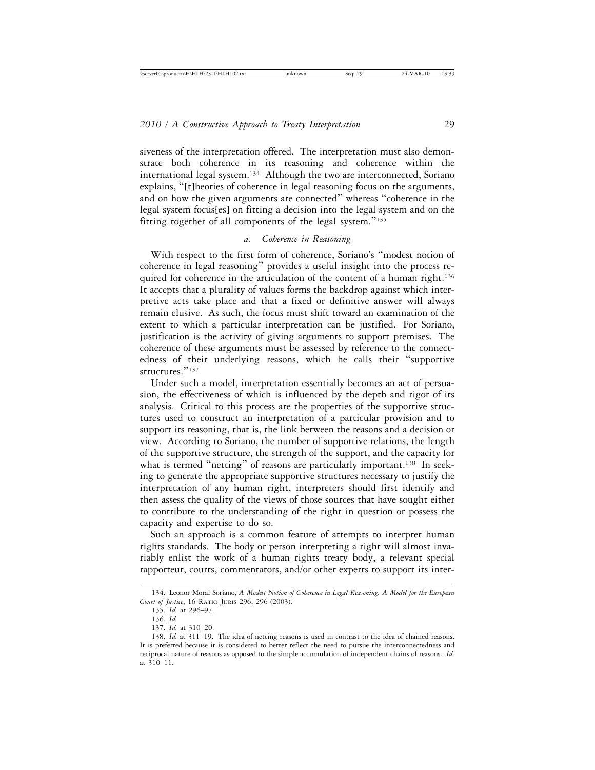siveness of the interpretation offered. The interpretation must also demonstrate both coherence in its reasoning and coherence within the international legal system.134 Although the two are interconnected, Soriano explains, "[t]heories of coherence in legal reasoning focus on the arguments, and on how the given arguments are connected" whereas "coherence in the legal system focus[es] on fitting a decision into the legal system and on the fitting together of all components of the legal system."<sup>135</sup>

#### *a. Coherence in Reasoning*

With respect to the first form of coherence, Soriano's "modest notion of coherence in legal reasoning" provides a useful insight into the process required for coherence in the articulation of the content of a human right.<sup>136</sup> It accepts that a plurality of values forms the backdrop against which interpretive acts take place and that a fixed or definitive answer will always remain elusive. As such, the focus must shift toward an examination of the extent to which a particular interpretation can be justified. For Soriano, justification is the activity of giving arguments to support premises. The coherence of these arguments must be assessed by reference to the connectedness of their underlying reasons, which he calls their "supportive structures."<sup>137</sup>

Under such a model, interpretation essentially becomes an act of persuasion, the effectiveness of which is influenced by the depth and rigor of its analysis. Critical to this process are the properties of the supportive structures used to construct an interpretation of a particular provision and to support its reasoning, that is, the link between the reasons and a decision or view. According to Soriano, the number of supportive relations, the length of the supportive structure, the strength of the support, and the capacity for what is termed "netting" of reasons are particularly important.<sup>138</sup> In seeking to generate the appropriate supportive structures necessary to justify the interpretation of any human right, interpreters should first identify and then assess the quality of the views of those sources that have sought either to contribute to the understanding of the right in question or possess the capacity and expertise to do so.

Such an approach is a common feature of attempts to interpret human rights standards. The body or person interpreting a right will almost invariably enlist the work of a human rights treaty body, a relevant special rapporteur, courts, commentators, and/or other experts to support its inter-

<sup>134.</sup> Leonor Moral Soriano, *A Modest Notion of Coherence in Legal Reasoning. A Model for the European Court of Justice*, 16 RATIO JURIS 296, 296 (2003).

<sup>135.</sup> *Id.* at 296–97.

<sup>136.</sup> *Id.*

<sup>137.</sup> *Id.* at 310–20.

<sup>138.</sup> *Id.* at 311–19. The idea of netting reasons is used in contrast to the idea of chained reasons. It is preferred because it is considered to better reflect the need to pursue the interconnectedness and reciprocal nature of reasons as opposed to the simple accumulation of independent chains of reasons. *Id.* at 310–11.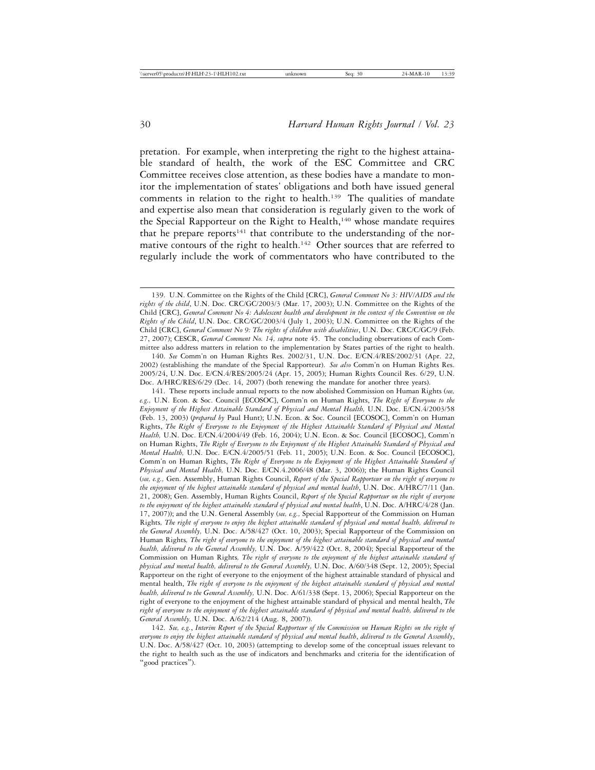pretation. For example, when interpreting the right to the highest attainable standard of health, the work of the ESC Committee and CRC Committee receives close attention, as these bodies have a mandate to monitor the implementation of states' obligations and both have issued general comments in relation to the right to health.<sup>139</sup> The qualities of mandate and expertise also mean that consideration is regularly given to the work of the Special Rapporteur on the Right to Health,<sup>140</sup> whose mandate requires that he prepare reports<sup>141</sup> that contribute to the understanding of the normative contours of the right to health.<sup>142</sup> Other sources that are referred to regularly include the work of commentators who have contributed to the

140. *See* Comm'n on Human Rights Res. 2002/31, U.N. Doc. E/CN.4/RES/2002/31 (Apr. 22, 2002) (establishing the mandate of the Special Rapporteur). *See also* Comm'n on Human Rights Res. 2005/24, U.N. Doc. E/CN.4/RES/2005/24 (Apr. 15, 2005); Human Rights Council Res. 6/29, U.N. Doc. A/HRC/RES/6/29 (Dec. 14, 2007) (both renewing the mandate for another three years).

<sup>139.</sup> U.N. Committee on the Rights of the Child [CRC], *General Comment No 3: HIV/AIDS and the rights of the child*, U.N. Doc. CRC/GC/2003/3 (Mar. 17, 2003); U.N. Committee on the Rights of the Child [CRC], *General Comment No 4: Adolescent health and development in the context of the Convention on the Rights of the Child*, U.N. Doc. CRC/GC/2003/4 (July 1, 2003); U.N. Committee on the Rights of the Child [CRC], *General Comment No 9: The rights of children with disabilities*, U.N. Doc. CRC/C/GC/9 (Feb. 27, 2007); CESCR, *General Comment No. 14, supra* note 45. The concluding observations of each Committee also address matters in relation to the implementation by States parties of the right to health.

<sup>141.</sup> These reports include annual reports to the now abolished Commission on Human Rights (*see, e.g.,* U.N. Econ. & Soc. Council [ECOSOC], Comm'n on Human Rights, *The Right of Everyone to the Enjoyment of the Highest Attainable Standard of Physical and Mental Health,* U.N. Doc. E/CN.4/2003/58 (Feb. 13, 2003) (*prepared by* Paul Hunt); U.N. Econ. & Soc. Council [ECOSOC], Comm'n on Human Rights, *The Right of Everyone to the Enjoyment of the Highest Attainable Standard of Physical and Mental Health,* U.N. Doc. E/CN.4/2004/49 (Feb. 16, 2004); U.N. Econ. & Soc. Council [ECOSOC], Comm'n on Human Rights, *The Right of Everyone to the Enjoyment of the Highest Attainable Standard of Physical and Mental Health,* U.N. Doc. E/CN.4/2005/51 (Feb. 11, 2005); U.N. Econ. & Soc. Council [ECOSOC], Comm'n on Human Rights, *The Right of Everyone to the Enjoyment of the Highest Attainable Standard of Physical and Mental Health,* U.N. Doc. E/CN.4.2006/48 (Mar. 3, 2006)); the Human Rights Council (*see, e.g.,* Gen. Assembly, Human Rights Council, *Report of the Special Rapporteur on the right of everyone to the enjoyment* o*f the highest attainable standard of physical and mental health*, U.N. Doc. A/HRC/7/11 (Jan. 21, 2008); Gen. Assembly, Human Rights Council, *Report of the Special Rapporteur on the right of everyone to the enjoyment* o*f the highest attainable standard of physical and mental health*, U.N. Doc. A/HRC/4/28 (Jan. 17, 2007)); and the U.N. General Assembly (*see, e.g.,* Special Rapporteur of the Commission on Human Rights*, The right of everyone to enjoy the highest attainable standard of physical and mental health, delivered to the General Assembly,* U.N. Doc. A/58/427 (Oct. 10, 2003); Special Rapporteur of the Commission on Human Rights*, The right of everyone to the enjoyment of the highest attainable standard of physical and mental health, delivered to the General Assembly,* U.N. Doc. A/59/422 (Oct. 8, 2004); Special Rapporteur of the Commission on Human Rights*, The right of everyone to the enjoyment of the highest attainable standard of physical and mental health, delivered to the General Assembly,* U.N. Doc. A/60/348 (Sept. 12, 2005); Special Rapporteur on the right of everyone to the enjoyment of the highest attainable standard of physical and mental health, *The right of everyone to the enjoyment of the highest attainable standard of physical and mental health, delivered to the General Assembly,* U.N. Doc. A/61/338 (Sept. 13, 2006); Special Rapporteur on the right of everyone to the enjoyment of the highest attainable standard of physical and mental health, *The right of everyone to the enjoyment of the highest attainable standard of physical and mental health, delivered to the General Assembly,* U.N. Doc. A/62/214 (Aug. 8, 2007)).

<sup>142.</sup> *See, e.g.*, *Interim Report of the Special Rapporteur of the Commission on Human Rights on the right of everyone to enjoy the highest attainable standard of physical and mental health*, *delivered to the General Assembly*, U.N. Doc. A/58/427 (Oct. 10, 2003) (attempting to develop some of the conceptual issues relevant to the right to health such as the use of indicators and benchmarks and criteria for the identification of "good practices").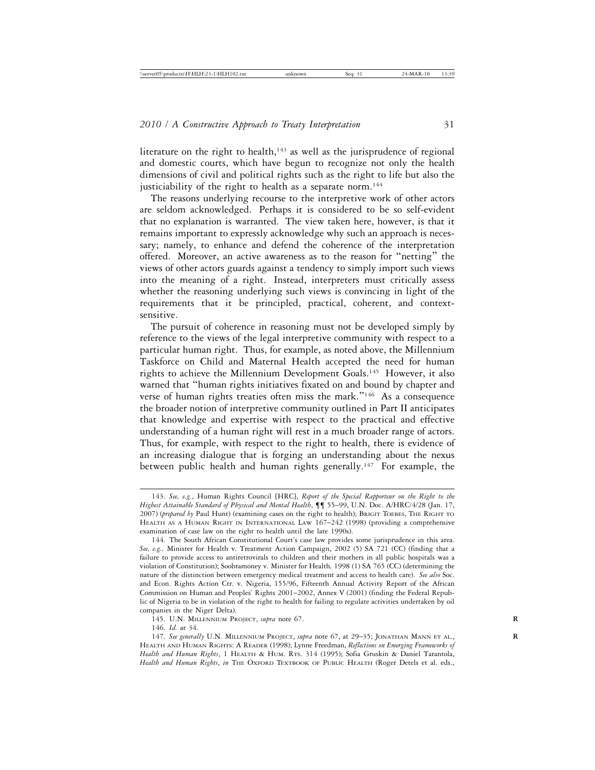literature on the right to health, $143$  as well as the jurisprudence of regional and domestic courts, which have begun to recognize not only the health dimensions of civil and political rights such as the right to life but also the justiciability of the right to health as a separate norm.<sup>144</sup>

The reasons underlying recourse to the interpretive work of other actors are seldom acknowledged. Perhaps it is considered to be so self-evident that no explanation is warranted. The view taken here, however, is that it remains important to expressly acknowledge why such an approach is necessary; namely, to enhance and defend the coherence of the interpretation offered. Moreover, an active awareness as to the reason for "netting" the views of other actors guards against a tendency to simply import such views into the meaning of a right. Instead, interpreters must critically assess whether the reasoning underlying such views is convincing in light of the requirements that it be principled, practical, coherent, and contextsensitive.

The pursuit of coherence in reasoning must not be developed simply by reference to the views of the legal interpretive community with respect to a particular human right. Thus, for example, as noted above, the Millennium Taskforce on Child and Maternal Health accepted the need for human rights to achieve the Millennium Development Goals.145 However, it also warned that "human rights initiatives fixated on and bound by chapter and verse of human rights treaties often miss the mark."146 As a consequence the broader notion of interpretive community outlined in Part II anticipates that knowledge and expertise with respect to the practical and effective understanding of a human right will rest in a much broader range of actors. Thus, for example, with respect to the right to health, there is evidence of an increasing dialogue that is forging an understanding about the nexus between public health and human rights generally.<sup>147</sup> For example, the

<sup>143.</sup> *See, e.g.*, Human Rights Council [HRC], *Report of the Special Rapporteur on the Right to the Highest Attainable Standard of Physical and Mental Health*, ¶¶ 55–99, U.N. Doc. A/HRC/4/28 (Jan. 17, 2007) (*prepared by* Paul Hunt) (examining cases on the right to health); BRIGIT TOEBES, THE RIGHT TO HEALTH AS A HUMAN RIGHT IN INTERNATIONAL LAW 167–242 (1998) (providing a comprehensive examination of case law on the right to health until the late 1990s).

<sup>144.</sup> The South African Constitutional Court's case law provides some jurisprudence in this area. *See, e.g.,* Minister for Health v. Treatment Action Campaign, 2002 (5) SA 721 (CC) (finding that a failure to provide access to antiretrovirals to children and their mothers in all public hospitals was a violation of Constitution); Soobramoney v. Minister for Health*,* 1998 (1) SA 765 (CC) (determining the nature of the distinction between emergency medical treatment and access to health care). *See also* Soc. and Econ. Rights Action Ctr. v. Nigeria, 155/96, Fifteenth Annual Activity Report of the African Commission on Human and Peoples' Rights 2001–2002, Annex V (2001) (finding the Federal Republic of Nigeria to be in violation of the right to health for failing to regulate activities undertaken by oil companies in the Niger Delta).

<sup>145.</sup> U.N. MILLENNIUM PROJECT, *supra* note 67. **R**

<sup>146.</sup> *Id.* at 34.

<sup>147.</sup> *See generally* U.N. MILLENNIUM PROJECT, *supra* note 67, at 29–35; JONATHAN MANN ET AL., **R** HEALTH AND HUMAN RIGHTS: A READER (1998); Lynne Freedman, *Reflections on Emerging Frameworks of Health and Human Rights*, 1 HEALTH & HUM. RTS. 314 (1995); Sofia Gruskin & Daniel Tarantola, *Health and Human Rights*, *in* THE OXFORD TEXTBOOK OF PUBLIC HEALTH (Roger Detels et al. eds.,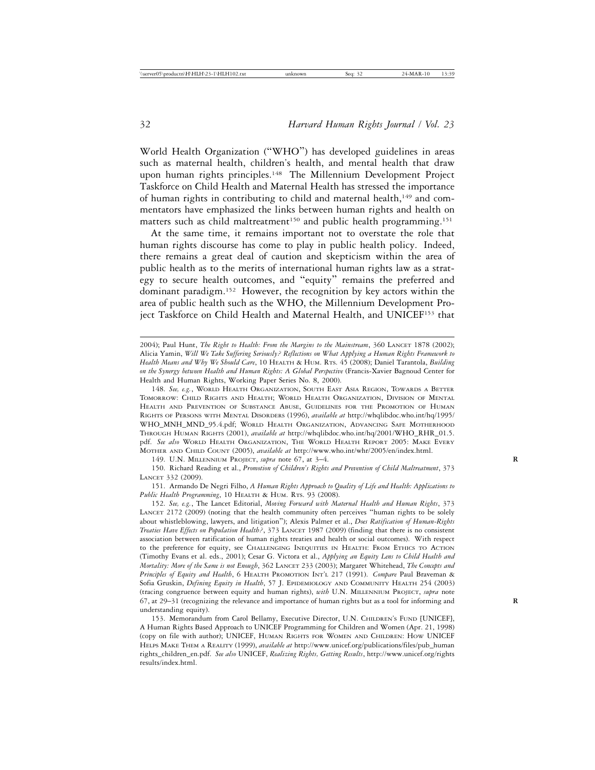World Health Organization ("WHO") has developed guidelines in areas such as maternal health, children's health, and mental health that draw upon human rights principles.<sup>148</sup> The Millennium Development Project Taskforce on Child Health and Maternal Health has stressed the importance of human rights in contributing to child and maternal health,<sup>149</sup> and commentators have emphasized the links between human rights and health on matters such as child maltreatment<sup>150</sup> and public health programming.<sup>151</sup>

At the same time, it remains important not to overstate the role that human rights discourse has come to play in public health policy. Indeed, there remains a great deal of caution and skepticism within the area of public health as to the merits of international human rights law as a strategy to secure health outcomes, and "equity" remains the preferred and dominant paradigm.152 However, the recognition by key actors within the area of public health such as the WHO, the Millennium Development Project Taskforce on Child Health and Maternal Health, and UNICEF153 that

148. *See, e.g.*, WORLD HEALTH ORGANIZATION, SOUTH EAST ASIA REGION, TOWARDS A BETTER TOMORROW: CHILD RIGHTS AND HEALTH; WORLD HEALTH ORGANIZATION, DIVISION OF MENTAL HEALTH AND PREVENTION OF SUBSTANCE ABUSE, GUIDELINES FOR THE PROMOTION OF HUMAN RIGHTS OF PERSONS WITH MENTAL DISORDERS (1996), *available at* http://whqlibdoc.who.int/hq/1995/ WHO\_MNH\_MND\_95.4.pdf; WORLD HEALTH ORGANIZATION, ADVANCING SAFE MOTHERHOOD THROUGH HUMAN RIGHTS (2001), *available at* http://whqlibdoc.who.int/hq/2001/WHO\_RHR\_01.5. pdf. *See also* WORLD HEALTH ORGANIZATION, THE WORLD HEALTH REPORT 2005: MAKE EVERY MOTHER AND CHILD COUNT (2005), *available at* http://www.who.int/whr/2005/en/index.html.

149. U.N. MILLENNIUM PROJECT, *supra* note 67, at 3–4. **R**

150. Richard Reading et al., *Promotion of Children's Rights and Prevention of Child Maltreatment*, 373 LANCET 332 (2009).

151. Armando De Negri Filho, *A Human Rights Approach to Quality of Life and Health: Applications to* Public Health Programming, 10 HEALTH & HUM. RTS. 93 (2008).

152. *See, e.g.*, The Lancet Editorial, *Moving Forward with Maternal Health and Human Rights*, 373 LANCET 2172 (2009) (noting that the health community often perceives "human rights to be solely about whistleblowing, lawyers, and litigation"); Alexis Palmer et al., *Does Ratification of Human-Rights Treaties Have Effects on Population Health?*, 373 LANCET 1987 (2009) (finding that there is no consistent association between ratification of human rights treaties and health or social outcomes). With respect to the preference for equity, see CHALLENGING INEQUITIES IN HEALTH: FROM ETHICS TO ACTION (Timothy Evans et al. eds., 2001); Cesar G. Victora et al., *Applying an Equity Lens to Child Health and Mortality: More of the Same is not Enough*, 362 LANCET 233 (2003); Margaret Whitehead, *The Concepts and Principles of Equity and Health*, 6 HEALTH PROMOTION INT'L 217 (1991). *Compare* Paul Braveman & Sofia Gruskin, *Defining Equity in Health*, 57 J. EPIDEMIOLOGY AND COMMUNITY HEALTH 254 (2003) (tracing congruence between equity and human rights), *with* U.N. MILLENNIUM PROJECT, *supra* note 67, at 29–31 (recognizing the relevance and importance of human rights but as a tool for informing and **R** understanding equity).

153. Memorandum from Carol Bellamy, Executive Director, U.N. CHILDREN'S FUND [UNICEF], A Human Rights Based Approach to UNICEF Programming for Children and Women (Apr. 21, 1998) (copy on file with author); UNICEF, HUMAN RIGHTS FOR WOMEN AND CHILDREN: HOW UNICEF HELPS MAKE THEM A REALITY (1999), *available at* http://www.unicef.org/publications/files/pub\_human rights\_children\_en.pdf. *See also* UNICEF, *Realizing Rights, Getting Results*, http://www.unicef.org/rights results/index.html.

<sup>2004);</sup> Paul Hunt, *The Right to Health: From the Margins to the Mainstream*, 360 LANCET 1878 (2002); Alicia Yamin, *Will We Take Suffering Seriously? Reflections on What Applying a Human Rights Framework to Health Means and Why We Should Care*, 10 HEALTH & HUM. RTS. 45 (2008); Daniel Tarantola, *Building on the Synergy between Health and Human Rights: A Global Perspective* (Francis-Xavier Bagnoud Center for Health and Human Rights, Working Paper Series No. 8, 2000).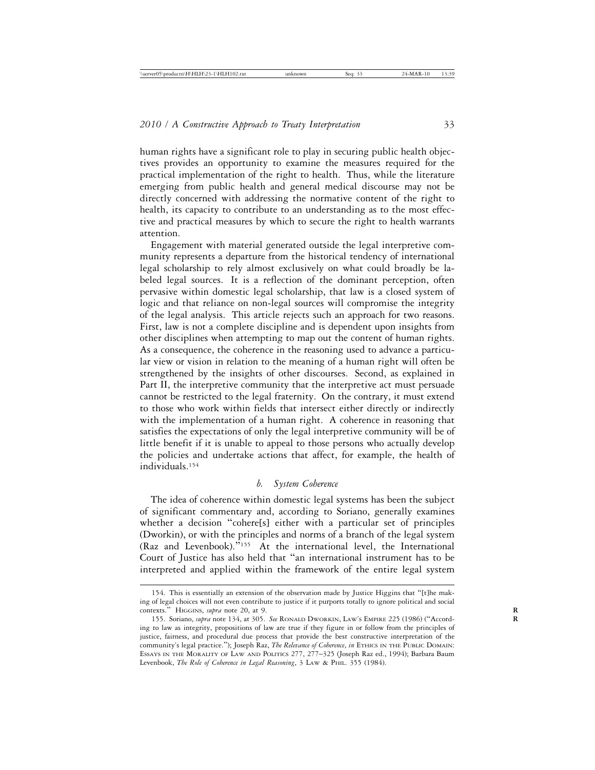human rights have a significant role to play in securing public health objectives provides an opportunity to examine the measures required for the practical implementation of the right to health. Thus, while the literature emerging from public health and general medical discourse may not be directly concerned with addressing the normative content of the right to health, its capacity to contribute to an understanding as to the most effective and practical measures by which to secure the right to health warrants attention.

Engagement with material generated outside the legal interpretive community represents a departure from the historical tendency of international legal scholarship to rely almost exclusively on what could broadly be labeled legal sources. It is a reflection of the dominant perception, often pervasive within domestic legal scholarship, that law is a closed system of logic and that reliance on non-legal sources will compromise the integrity of the legal analysis. This article rejects such an approach for two reasons. First, law is not a complete discipline and is dependent upon insights from other disciplines when attempting to map out the content of human rights. As a consequence, the coherence in the reasoning used to advance a particular view or vision in relation to the meaning of a human right will often be strengthened by the insights of other discourses. Second, as explained in Part II, the interpretive community that the interpretive act must persuade cannot be restricted to the legal fraternity. On the contrary, it must extend to those who work within fields that intersect either directly or indirectly with the implementation of a human right. A coherence in reasoning that satisfies the expectations of only the legal interpretive community will be of little benefit if it is unable to appeal to those persons who actually develop the policies and undertake actions that affect, for example, the health of individuals.154

## *b. System Coherence*

The idea of coherence within domestic legal systems has been the subject of significant commentary and, according to Soriano, generally examines whether a decision "cohere[s] either with a particular set of principles (Dworkin), or with the principles and norms of a branch of the legal system (Raz and Levenbook)."155 At the international level, the International Court of Justice has also held that "an international instrument has to be interpreted and applied within the framework of the entire legal system

<sup>154.</sup> This is essentially an extension of the observation made by Justice Higgins that "[t]he making of legal choices will not even contribute to justice if it purports totally to ignore political and social contexts." HIGGINS, *supra* note 20, at 9.

<sup>155.</sup> Soriano, *supra* note 134, at 305. *See* RONALD DWORKIN, LAW'S EMPIRE 225 (1986) ("Accord- **R** ing to law as integrity, propositions of law are true if they figure in or follow from the principles of justice, fairness, and procedural due process that provide the best constructive interpretation of the community's legal practice."); Joseph Raz, *The Relevance of Coherence*, *in* ETHICS IN THE PUBLIC DOMAIN: ESSAYS IN THE MORALITY OF LAW AND POLITICS 277, 277–325 (Joseph Raz ed., 1994); Barbara Baum Levenbook, *The Role of Coherence in Legal Reasoning*, 3 LAW & PHIL. 355 (1984).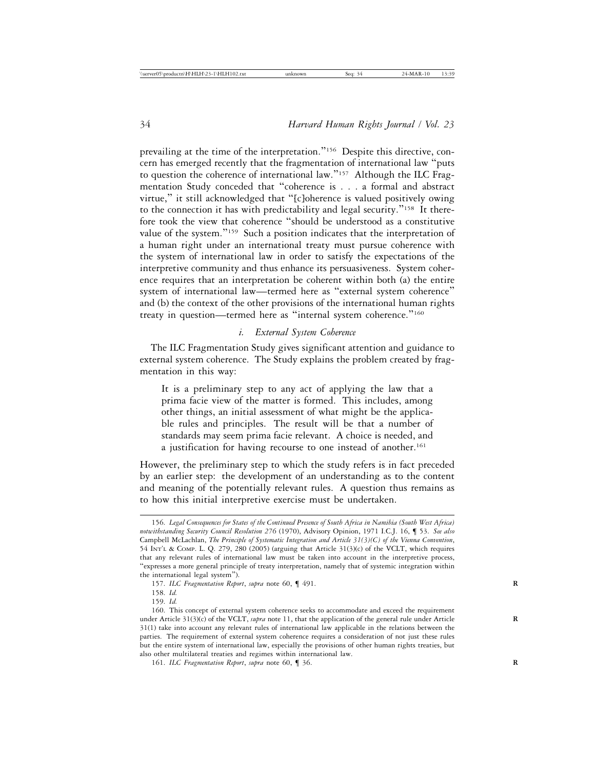prevailing at the time of the interpretation."156 Despite this directive, concern has emerged recently that the fragmentation of international law "puts to question the coherence of international law."157 Although the ILC Fragmentation Study conceded that "coherence is . . . a formal and abstract virtue," it still acknowledged that "[c]oherence is valued positively owing to the connection it has with predictability and legal security."158 It therefore took the view that coherence "should be understood as a constitutive value of the system."<sup>159</sup> Such a position indicates that the interpretation of a human right under an international treaty must pursue coherence with the system of international law in order to satisfy the expectations of the interpretive community and thus enhance its persuasiveness. System coherence requires that an interpretation be coherent within both (a) the entire system of international law—termed here as "external system coherence" and (b) the context of the other provisions of the international human rights treaty in question—termed here as "internal system coherence."<sup>160</sup>

## *i. External System Coherence*

The ILC Fragmentation Study gives significant attention and guidance to external system coherence. The Study explains the problem created by fragmentation in this way:

It is a preliminary step to any act of applying the law that a prima facie view of the matter is formed. This includes, among other things, an initial assessment of what might be the applicable rules and principles. The result will be that a number of standards may seem prima facie relevant. A choice is needed, and a justification for having recourse to one instead of another.<sup>161</sup>

However, the preliminary step to which the study refers is in fact preceded by an earlier step: the development of an understanding as to the content and meaning of the potentially relevant rules. A question thus remains as to how this initial interpretive exercise must be undertaken.

<sup>156.</sup> *Legal Consequences for States of the Continued Presence of South Africa in Namibia (South West Africa) notwithstanding Security Council Resolution 276* (1970), Advisory Opinion, 1971 I.C.J. 16, ¶ 53. *See also* Campbell McLachlan, *The Principle of Systematic Integration and Article 31(3)(C) of the Vienna Convention*, 54 INT'L & COMP. L. Q. 279, 280 (2005) (arguing that Article 31(3)(c) of the VCLT, which requires that any relevant rules of international law must be taken into account in the interpretive process, "expresses a more general principle of treaty interpretation, namely that of systemic integration within the international legal system").

<sup>157.</sup> ILC Fragmentation Report, supra note 60, 1491.

<sup>158.</sup> *Id.*

<sup>159.</sup> *Id.*

<sup>160.</sup> This concept of external system coherence seeks to accommodate and exceed the requirement under Article 31(3)(c) of the VCLT, *supra* note 11, that the application of the general rule under Article 31(1) take into account any relevant rules of international law applicable in the relations between the parties. The requirement of external system coherence requires a consideration of not just these rules but the entire system of international law, especially the provisions of other human rights treaties, but also other multilateral treaties and regimes within international law.

<sup>161.</sup> *ILC Fragmentation Report*, *supra* note 60, ¶ 36. **R**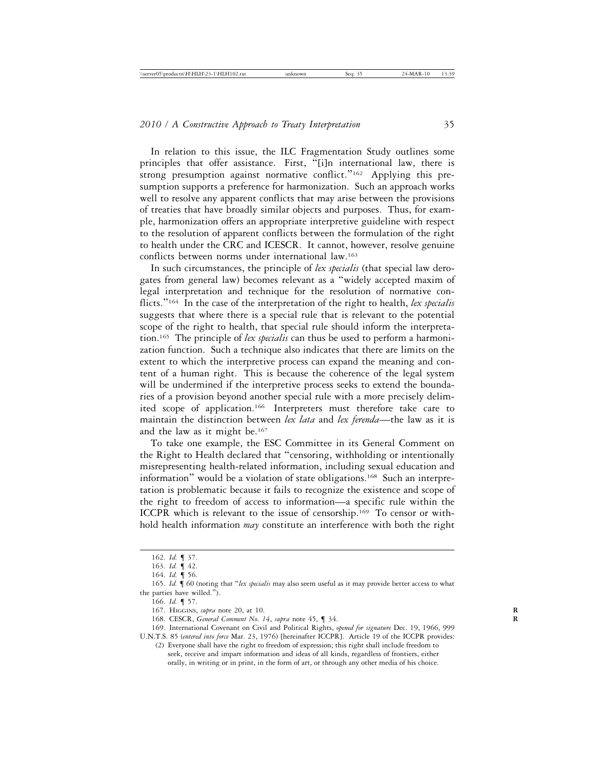In relation to this issue, the ILC Fragmentation Study outlines some principles that offer assistance. First, "[i]n international law, there is strong presumption against normative conflict."<sup>162</sup> Applying this presumption supports a preference for harmonization. Such an approach works well to resolve any apparent conflicts that may arise between the provisions of treaties that have broadly similar objects and purposes. Thus, for example, harmonization offers an appropriate interpretive guideline with respect to the resolution of apparent conflicts between the formulation of the right to health under the CRC and ICESCR. It cannot, however, resolve genuine conflicts between norms under international law.163

In such circumstances, the principle of *lex specialis* (that special law derogates from general law) becomes relevant as a "widely accepted maxim of legal interpretation and technique for the resolution of normative conflicts."164 In the case of the interpretation of the right to health, *lex specialis* suggests that where there is a special rule that is relevant to the potential scope of the right to health, that special rule should inform the interpretation.165 The principle of *lex specialis* can thus be used to perform a harmonization function. Such a technique also indicates that there are limits on the extent to which the interpretive process can expand the meaning and content of a human right. This is because the coherence of the legal system will be undermined if the interpretive process seeks to extend the boundaries of a provision beyond another special rule with a more precisely delimited scope of application.166 Interpreters must therefore take care to maintain the distinction between *lex lata* and *lex ferenda*—the law as it is and the law as it might be.167

To take one example, the ESC Committee in its General Comment on the Right to Health declared that "censoring, withholding or intentionally misrepresenting health-related information, including sexual education and information" would be a violation of state obligations.168 Such an interpretation is problematic because it fails to recognize the existence and scope of the right to freedom of access to information—a specific rule within the ICCPR which is relevant to the issue of censorship.169 To censor or withhold health information *may* constitute an interference with both the right

166. *Id.* ¶ 57.

168. CESCR, *General Comment No. 14*, *supra* note 45, ¶ 34. **R**

169. International Covenant on Civil and Political Rights, *opened for signature* Dec. 19, 1966, 999 U.N.T.S. 85 (*entered into force* Mar. 23, 1976) [hereinafter ICCPR]. Article 19 of the ICCPR provides:

(2) Everyone shall have the right to freedom of expression; this right shall include freedom to seek, receive and impart information and ideas of all kinds, regardless of frontiers, either orally, in writing or in print, in the form of art, or through any other media of his choice.

<sup>162.</sup> *Id.* ¶ 37.

<sup>163.</sup> *Id.* ¶ 42.

<sup>164.</sup> *Id.* ¶ 56.

<sup>165.</sup> *Id.* ¶ 60 (noting that "*lex specialis* may also seem useful as it may provide better access to what the parties have willed.").

<sup>167.</sup> HIGGINS, *supra* note 20, at 10. **R**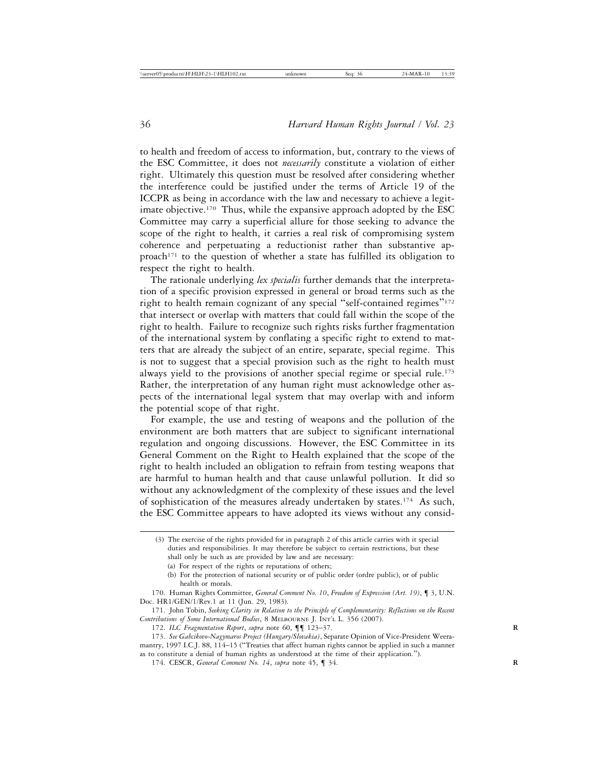to health and freedom of access to information, but, contrary to the views of the ESC Committee, it does not *necessarily* constitute a violation of either right. Ultimately this question must be resolved after considering whether the interference could be justified under the terms of Article 19 of the ICCPR as being in accordance with the law and necessary to achieve a legitimate objective.<sup>170</sup> Thus, while the expansive approach adopted by the ESC Committee may carry a superficial allure for those seeking to advance the scope of the right to health, it carries a real risk of compromising system coherence and perpetuating a reductionist rather than substantive approach<sup>171</sup> to the question of whether a state has fulfilled its obligation to respect the right to health.

The rationale underlying *lex specialis* further demands that the interpretation of a specific provision expressed in general or broad terms such as the right to health remain cognizant of any special "self-contained regimes"<sup>172</sup> that intersect or overlap with matters that could fall within the scope of the right to health. Failure to recognize such rights risks further fragmentation of the international system by conflating a specific right to extend to matters that are already the subject of an entire, separate, special regime. This is not to suggest that a special provision such as the right to health must always yield to the provisions of another special regime or special rule.<sup>173</sup> Rather, the interpretation of any human right must acknowledge other aspects of the international legal system that may overlap with and inform the potential scope of that right.

For example, the use and testing of weapons and the pollution of the environment are both matters that are subject to significant international regulation and ongoing discussions. However, the ESC Committee in its General Comment on the Right to Health explained that the scope of the right to health included an obligation to refrain from testing weapons that are harmful to human health and that cause unlawful pollution. It did so without any acknowledgment of the complexity of these issues and the level of sophistication of the measures already undertaken by states.<sup>174</sup> As such, the ESC Committee appears to have adopted its views without any consid-

171. John Tobin, *Seeking Clarity in Relation to the Principle of Complementarity: Reflections on the Recent Contributions of Some International Bodies*, 8 MELBOURNE J. INT'L L. 356 (2007).

<sup>(3)</sup> The exercise of the rights provided for in paragraph 2 of this article carries with it special duties and responsibilities. It may therefore be subject to certain restrictions, but these shall only be such as are provided by law and are necessary:

<sup>(</sup>a) For respect of the rights or reputations of others;

<sup>(</sup>b) For the protection of national security or of public order (ordre public), or of public health or morals.

<sup>170.</sup> Human Rights Committee, *General Comment No. 10*, *Freedom of Expression (Art. 19)*, ¶ 3, U.N. Doc. HR1/GEN/1/Rev.1 at 11 (Jun. 29, 1983).

<sup>172.</sup> ILC Fragmentation Report, supra note 60,  $\P\P$  123-37.

<sup>173.</sup> *See Gabcikovo-Nagymaros Project (Hungary/Slovakia)*, Separate Opinion of Vice-President Weeramantry, 1997 I.C.J. 88, 114–15 ("Treaties that affect human rights cannot be applied in such a manner as to constitute a denial of human rights as understood at the time of their application.").

<sup>174.</sup> CESCR, *General Comment No. 14*, *supra* note 45, ¶ 34. **R**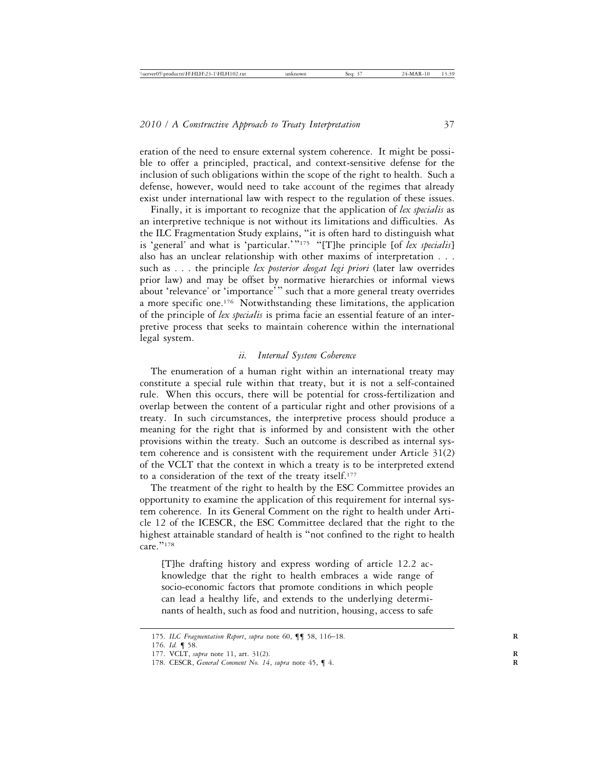eration of the need to ensure external system coherence. It might be possible to offer a principled, practical, and context-sensitive defense for the inclusion of such obligations within the scope of the right to health. Such a defense, however, would need to take account of the regimes that already exist under international law with respect to the regulation of these issues.

Finally, it is important to recognize that the application of *lex specialis* as an interpretive technique is not without its limitations and difficulties. As the ILC Fragmentation Study explains, "it is often hard to distinguish what is 'general' and what is 'particular.'"<sup>175</sup> "[T]he principle [of *lex specialis*] also has an unclear relationship with other maxims of interpretation . . . such as . . . the principle *lex posterior deogat legi priori* (later law overrides prior law) and may be offset by normative hierarchies or informal views about 'relevance' or 'importance'" such that a more general treaty overrides a more specific one.<sup>176</sup> Notwithstanding these limitations, the application of the principle of *lex specialis* is prima facie an essential feature of an interpretive process that seeks to maintain coherence within the international legal system.

### *ii. Internal System Coherence*

The enumeration of a human right within an international treaty may constitute a special rule within that treaty, but it is not a self-contained rule. When this occurs, there will be potential for cross-fertilization and overlap between the content of a particular right and other provisions of a treaty. In such circumstances, the interpretive process should produce a meaning for the right that is informed by and consistent with the other provisions within the treaty. Such an outcome is described as internal system coherence and is consistent with the requirement under Article 31(2) of the VCLT that the context in which a treaty is to be interpreted extend to a consideration of the text of the treaty itself.177

The treatment of the right to health by the ESC Committee provides an opportunity to examine the application of this requirement for internal system coherence. In its General Comment on the right to health under Article 12 of the ICESCR, the ESC Committee declared that the right to the highest attainable standard of health is "not confined to the right to health  $\overline{\text{care}}$ ."178

[T]he drafting history and express wording of article 12.2 acknowledge that the right to health embraces a wide range of socio-economic factors that promote conditions in which people can lead a healthy life, and extends to the underlying determinants of health, such as food and nutrition, housing, access to safe

<sup>175.</sup> *ILC Fragmentation Report*, *supra* note 60, ¶¶ 58, 116–18. **R**

<sup>176.</sup> *Id.* ¶ 58.

<sup>177.</sup> VCLT, *supra* note 11, art. 31(2). **R**

<sup>178.</sup> CESCR, *General Comment No. 14*, *supra* note 45, ¶ 4. **R**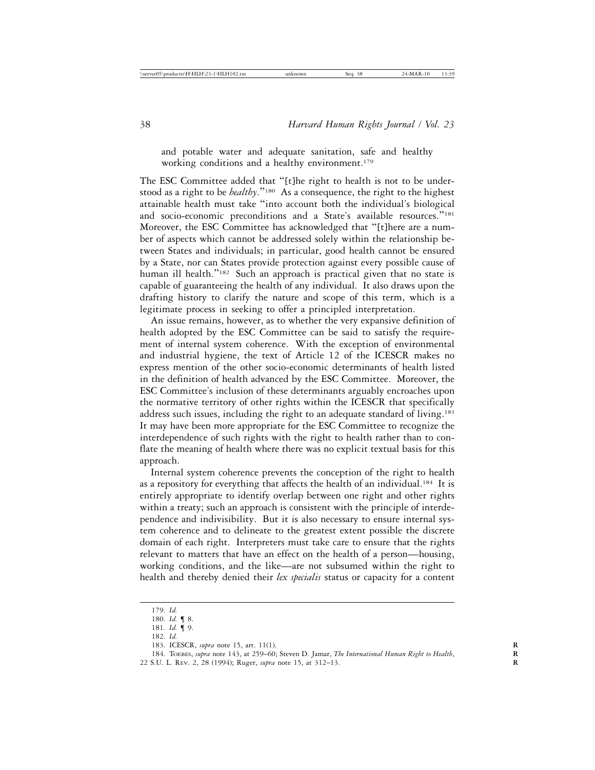and potable water and adequate sanitation, safe and healthy working conditions and a healthy environment.<sup>179</sup>

The ESC Committee added that "[t]he right to health is not to be understood as a right to be *healthy*."180 As a consequence, the right to the highest attainable health must take "into account both the individual's biological and socio-economic preconditions and a State's available resources."<sup>181</sup> Moreover, the ESC Committee has acknowledged that "[t]here are a number of aspects which cannot be addressed solely within the relationship between States and individuals; in particular, good health cannot be ensured by a State, nor can States provide protection against every possible cause of human ill health."<sup>182</sup> Such an approach is practical given that no state is capable of guaranteeing the health of any individual. It also draws upon the drafting history to clarify the nature and scope of this term, which is a legitimate process in seeking to offer a principled interpretation.

An issue remains, however, as to whether the very expansive definition of health adopted by the ESC Committee can be said to satisfy the requirement of internal system coherence. With the exception of environmental and industrial hygiene, the text of Article 12 of the ICESCR makes no express mention of the other socio-economic determinants of health listed in the definition of health advanced by the ESC Committee. Moreover, the ESC Committee's inclusion of these determinants arguably encroaches upon the normative territory of other rights within the ICESCR that specifically address such issues, including the right to an adequate standard of living.<sup>183</sup> It may have been more appropriate for the ESC Committee to recognize the interdependence of such rights with the right to health rather than to conflate the meaning of health where there was no explicit textual basis for this approach.

Internal system coherence prevents the conception of the right to health as a repository for everything that affects the health of an individual.<sup>184</sup> It is entirely appropriate to identify overlap between one right and other rights within a treaty; such an approach is consistent with the principle of interdependence and indivisibility. But it is also necessary to ensure internal system coherence and to delineate to the greatest extent possible the discrete domain of each right. Interpreters must take care to ensure that the rights relevant to matters that have an effect on the health of a person—housing, working conditions, and the like—are not subsumed within the right to health and thereby denied their *lex specialis* status or capacity for a content

<sup>179.</sup> *Id.*

<sup>180.</sup> *Id.* ¶ 8.

<sup>181.</sup> *Id.* ¶ 9.

<sup>182.</sup> *Id.*

<sup>183.</sup> ICESCR, *supra* note 15, art. 11(1). **R**

<sup>184.</sup> TOEBES, *supra* note 143, at 259–60; Steven D. Jamar, *The International Human Right to Health*, **R** 22 S.U. L. REV. 2, 28 (1994); Ruger, *supra* note 15, at 312-13.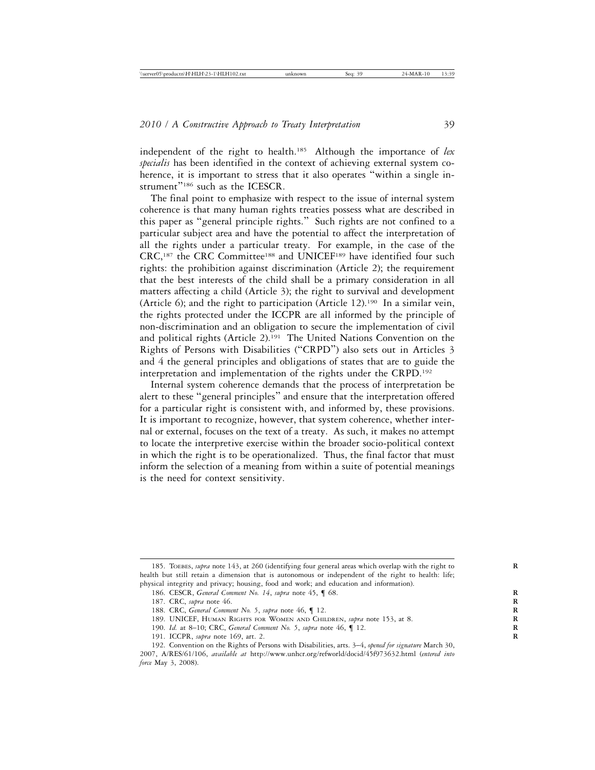independent of the right to health.185 Although the importance of *lex specialis* has been identified in the context of achieving external system coherence, it is important to stress that it also operates "within a single instrument"<sup>186</sup> such as the ICESCR.

The final point to emphasize with respect to the issue of internal system coherence is that many human rights treaties possess what are described in this paper as "general principle rights." Such rights are not confined to a particular subject area and have the potential to affect the interpretation of all the rights under a particular treaty. For example, in the case of the CRC,<sup>187</sup> the CRC Committee<sup>188</sup> and UNICEF<sup>189</sup> have identified four such rights: the prohibition against discrimination (Article 2); the requirement that the best interests of the child shall be a primary consideration in all matters affecting a child (Article 3); the right to survival and development (Article 6); and the right to participation (Article 12).190 In a similar vein, the rights protected under the ICCPR are all informed by the principle of non-discrimination and an obligation to secure the implementation of civil and political rights (Article 2).<sup>191</sup> The United Nations Convention on the Rights of Persons with Disabilities ("CRPD") also sets out in Articles 3 and 4 the general principles and obligations of states that are to guide the interpretation and implementation of the rights under the CRPD.192

Internal system coherence demands that the process of interpretation be alert to these "general principles" and ensure that the interpretation offered for a particular right is consistent with, and informed by, these provisions. It is important to recognize, however, that system coherence, whether internal or external, focuses on the text of a treaty. As such, it makes no attempt to locate the interpretive exercise within the broader socio-political context in which the right is to be operationalized. Thus, the final factor that must inform the selection of a meaning from within a suite of potential meanings is the need for context sensitivity.

191. ICCPR, *supra* note 169, art. 2. **R**

<sup>185.</sup> TOEBES, *supra* note 143, at 260 (identifying four general areas which overlap with the right to **R** health but still retain a dimension that is autonomous or independent of the right to health: life; physical integrity and privacy; housing, food and work; and education and information).

<sup>186.</sup> CESCR, *General Comment No. 14*, *supra* note 45, ¶ 68. **R**

<sup>187.</sup> CRC, *supra* note 46. **R**

<sup>188.</sup> CRC, *General Comment No. 5*, *supra* note 46, ¶ 12. **R**

<sup>189.</sup> UNICEF, HUMAN RIGHTS FOR WOMEN AND CHILDREN, *supra* note 153, at 8. **R**

<sup>190.</sup> *Id.* at 8–10; CRC, *General Comment No. 5*, *supra* note 46, ¶ 12. **R**

<sup>192.</sup> Convention on the Rights of Persons with Disabilities, arts. 3–4, *opened for signature* March 30, 2007, A/RES/61/106, *available at* http://www.unhcr.org/refworld/docid/45f973632.html (*entered into force* May 3, 2008).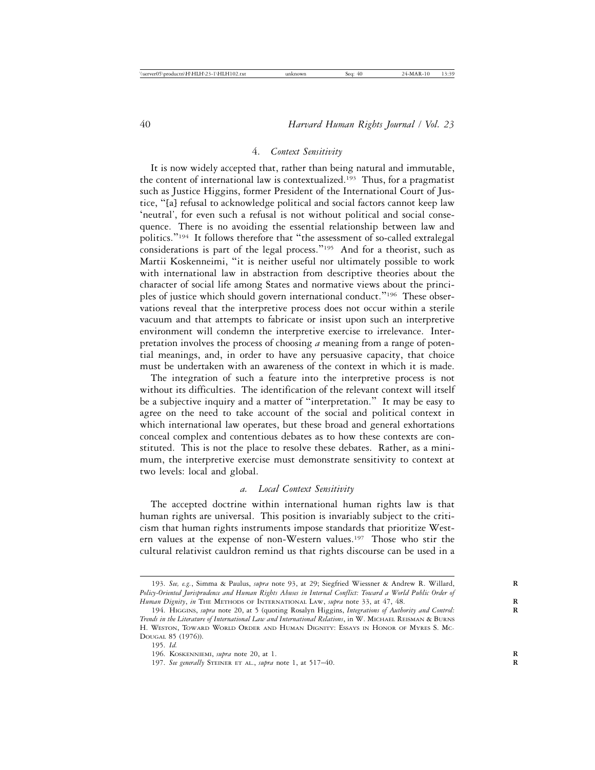#### 4. *Context Sensitivity*

It is now widely accepted that, rather than being natural and immutable, the content of international law is contextualized.193 Thus, for a pragmatist such as Justice Higgins, former President of the International Court of Justice, "[a] refusal to acknowledge political and social factors cannot keep law 'neutral', for even such a refusal is not without political and social consequence. There is no avoiding the essential relationship between law and politics."194 It follows therefore that "the assessment of so-called extralegal considerations is part of the legal process."<sup>195</sup> And for a theorist, such as Martii Koskenneimi, "it is neither useful nor ultimately possible to work with international law in abstraction from descriptive theories about the character of social life among States and normative views about the principles of justice which should govern international conduct."196 These observations reveal that the interpretive process does not occur within a sterile vacuum and that attempts to fabricate or insist upon such an interpretive environment will condemn the interpretive exercise to irrelevance. Interpretation involves the process of choosing *a* meaning from a range of potential meanings, and, in order to have any persuasive capacity, that choice must be undertaken with an awareness of the context in which it is made.

The integration of such a feature into the interpretive process is not without its difficulties. The identification of the relevant context will itself be a subjective inquiry and a matter of "interpretation." It may be easy to agree on the need to take account of the social and political context in which international law operates, but these broad and general exhortations conceal complex and contentious debates as to how these contexts are constituted. This is not the place to resolve these debates. Rather, as a minimum, the interpretive exercise must demonstrate sensitivity to context at two levels: local and global.

#### *a. Local Context Sensitivity*

The accepted doctrine within international human rights law is that human rights are universal. This position is invariably subject to the criticism that human rights instruments impose standards that prioritize Western values at the expense of non-Western values.197 Those who stir the cultural relativist cauldron remind us that rights discourse can be used in a

<sup>193.</sup> *See, e.g.*, Simma & Paulus, *supra* note 93, at 29; Siegfried Wiessner & Andrew R. Willard, **R** *Policy-Oriented Jurisprudence and Human Rights Abuses in Internal Conflict: Toward a World Public Order of* Human Dignity, in THE METHODS OF INTERNATIONAL LAW, supra note 33, at 47, 48.

<sup>194.</sup> HIGGINS, *supra* note 20, at 5 (quoting Rosalyn Higgins, *Integrations of Authority and Control:* **R** *Trends in the Literature of International Law and International Relations*, in W. MICHAEL REISMAN & BURNS H. WESTON, TOWARD WORLD ORDER AND HUMAN DIGNITY: ESSAYS IN HONOR OF MYRES S. MC-DOUGAL 85 (1976)).

<sup>195.</sup> *Id.*

<sup>196.</sup> KOSKENNIEMI, *supra* note 20, at 1. **R**

<sup>197.</sup> *See generally* STEINER ET AL., *supra* note 1, at 517–40. **R**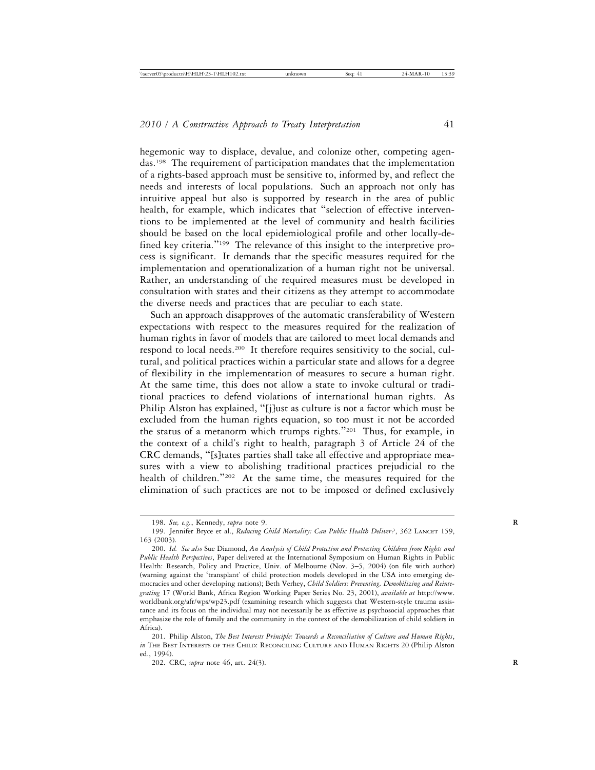hegemonic way to displace, devalue, and colonize other, competing agendas.198 The requirement of participation mandates that the implementation of a rights-based approach must be sensitive to, informed by, and reflect the needs and interests of local populations. Such an approach not only has intuitive appeal but also is supported by research in the area of public health, for example, which indicates that "selection of effective interventions to be implemented at the level of community and health facilities should be based on the local epidemiological profile and other locally-defined key criteria."<sup>199</sup> The relevance of this insight to the interpretive process is significant. It demands that the specific measures required for the implementation and operationalization of a human right not be universal. Rather, an understanding of the required measures must be developed in consultation with states and their citizens as they attempt to accommodate the diverse needs and practices that are peculiar to each state.

Such an approach disapproves of the automatic transferability of Western expectations with respect to the measures required for the realization of human rights in favor of models that are tailored to meet local demands and respond to local needs.200 It therefore requires sensitivity to the social, cultural, and political practices within a particular state and allows for a degree of flexibility in the implementation of measures to secure a human right. At the same time, this does not allow a state to invoke cultural or traditional practices to defend violations of international human rights. As Philip Alston has explained, "[j]ust as culture is not a factor which must be excluded from the human rights equation, so too must it not be accorded the status of a metanorm which trumps rights."201 Thus, for example, in the context of a child's right to health, paragraph 3 of Article 24 of the CRC demands, "[s]tates parties shall take all effective and appropriate measures with a view to abolishing traditional practices prejudicial to the health of children."<sup>202</sup> At the same time, the measures required for the elimination of such practices are not to be imposed or defined exclusively

<sup>198.</sup> *See, e.g.*, Kennedy, *supra* note 9. **R**

<sup>199.</sup> Jennifer Bryce et al., *Reducing Child Mortality: Can Public Health Deliver?*, 362 LANCET 159, 163 (2003).

<sup>200.</sup> *Id. See also* Sue Diamond, *An Analysis of Child Protection and Protecting Children from Rights and Public Health Perspectives*, Paper delivered at the International Symposium on Human Rights in Public Health: Research, Policy and Practice, Univ. of Melbourne (Nov. 3–5, 2004) (on file with author) (warning against the 'transplant' of child protection models developed in the USA into emerging democracies and other developing nations); Beth Verhey, *Child Soldiers: Preventing, Demobilizing and Reintegrating* 17 (World Bank, Africa Region Working Paper Series No. 23, 2001), *available at* http://www. worldbank.org/afr/wps/wp23.pdf (examining research which suggests that Western-style trauma assistance and its focus on the individual may not necessarily be as effective as psychosocial approaches that emphasize the role of family and the community in the context of the demobilization of child soldiers in Africa).

<sup>201.</sup> Philip Alston, *The Best Interests Principle: Towards a Reconciliation of Culture and Human Rights*, *in* THE BEST INTERESTS OF THE CHILD: RECONCILING CULTURE AND HUMAN RIGHTS 20 (Philip Alston ed., 1994).

<sup>202.</sup> CRC, *supra* note 46, art. 24(3). **R**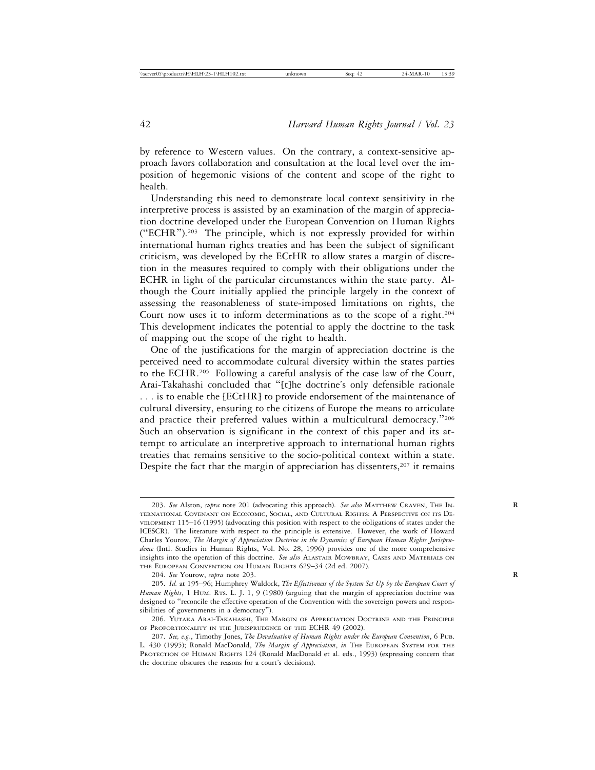by reference to Western values. On the contrary, a context-sensitive approach favors collaboration and consultation at the local level over the imposition of hegemonic visions of the content and scope of the right to health.

Understanding this need to demonstrate local context sensitivity in the interpretive process is assisted by an examination of the margin of appreciation doctrine developed under the European Convention on Human Rights ("ECHR").203 The principle, which is not expressly provided for within international human rights treaties and has been the subject of significant criticism, was developed by the ECtHR to allow states a margin of discretion in the measures required to comply with their obligations under the ECHR in light of the particular circumstances within the state party. Although the Court initially applied the principle largely in the context of assessing the reasonableness of state-imposed limitations on rights, the Court now uses it to inform determinations as to the scope of a right.<sup>204</sup> This development indicates the potential to apply the doctrine to the task of mapping out the scope of the right to health.

One of the justifications for the margin of appreciation doctrine is the perceived need to accommodate cultural diversity within the states parties to the ECHR.205 Following a careful analysis of the case law of the Court, Arai-Takahashi concluded that "[t]he doctrine's only defensible rationale . . . is to enable the [ECtHR] to provide endorsement of the maintenance of cultural diversity, ensuring to the citizens of Europe the means to articulate and practice their preferred values within a multicultural democracy."<sup>206</sup> Such an observation is significant in the context of this paper and its attempt to articulate an interpretive approach to international human rights treaties that remains sensitive to the socio-political context within a state. Despite the fact that the margin of appreciation has dissenters, $2^{07}$  it remains

<sup>203.</sup> *See* Alston, *supra* note 201 (advocating this approach). *See also* MATTHEW CRAVEN, THE IN- **R** TERNATIONAL COVENANT ON ECONOMIC, SOCIAL, AND CULTURAL RIGHTS: A PERSPECTIVE ON ITS DE-VELOPMENT 115–16 (1995) (advocating this position with respect to the obligations of states under the ICESCR). The literature with respect to the principle is extensive. However, the work of Howard Charles Yourow, *The Margin of Appreciation Doctrine in the Dynamics of European Human Rights Jurisprudence* (Intl. Studies in Human Rights, Vol. No. 28, 1996) provides one of the more comprehensive insights into the operation of this doctrine. *See also* ALASTAIR MOWBRAY, CASES AND MATERIALS ON THE EUROPEAN CONVENTION ON HUMAN RIGHTS 629–34 (2d ed. 2007).

<sup>204.</sup> *See* Yourow, *supra* note 203. **R**

<sup>205.</sup> *Id.* at 195–96; Humphrey Waldock, *The Effectiveness of the System Set Up by the European Court of Human Rights*, 1 HUM. RTS. L. J. 1, 9 (1980) (arguing that the margin of appreciation doctrine was designed to "reconcile the effective operation of the Convention with the sovereign powers and responsibilities of governments in a democracy").

<sup>206.</sup> YUTAKA ARAI-TAKAHASHI, THE MARGIN OF APPRECIATION DOCTRINE AND THE PRINCIPLE OF PROPORTIONALITY IN THE JURISPRUDENCE OF THE ECHR 49 (2002).

<sup>207.</sup> *See, e.g.*, Timothy Jones, *The Devaluation of Human Rights under the European Convention*, 6 PUB. L. 430 (1995); Ronald MacDonald, *The Margin of Appreciation*, *in* THE EUROPEAN SYSTEM FOR THE PROTECTION OF HUMAN RIGHTS 124 (Ronald MacDonald et al. eds., 1993) (expressing concern that the doctrine obscures the reasons for a court's decisions).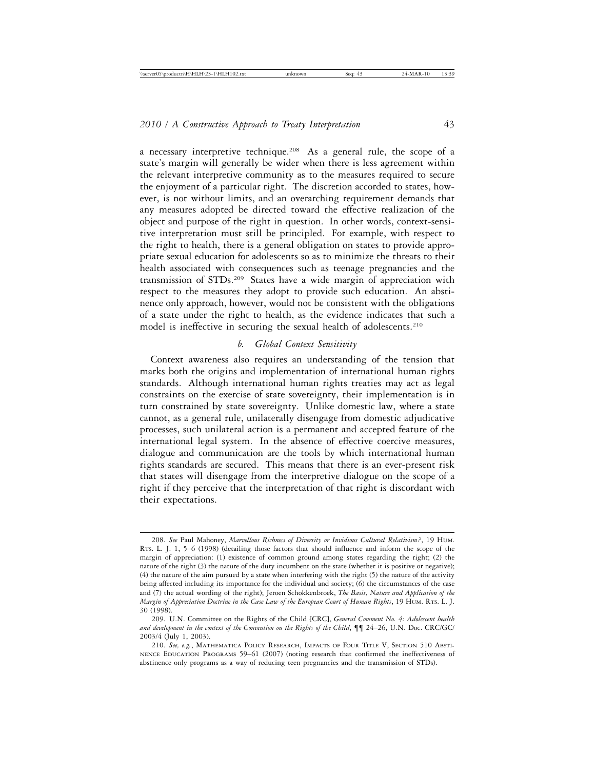a necessary interpretive technique.<sup>208</sup> As a general rule, the scope of a state's margin will generally be wider when there is less agreement within the relevant interpretive community as to the measures required to secure the enjoyment of a particular right. The discretion accorded to states, however, is not without limits, and an overarching requirement demands that any measures adopted be directed toward the effective realization of the object and purpose of the right in question. In other words, context-sensitive interpretation must still be principled. For example, with respect to the right to health, there is a general obligation on states to provide appropriate sexual education for adolescents so as to minimize the threats to their health associated with consequences such as teenage pregnancies and the transmission of STDs.209 States have a wide margin of appreciation with respect to the measures they adopt to provide such education. An abstinence only approach, however, would not be consistent with the obligations of a state under the right to health, as the evidence indicates that such a model is ineffective in securing the sexual health of adolescents.<sup>210</sup>

## *b. Global Context Sensitivity*

Context awareness also requires an understanding of the tension that marks both the origins and implementation of international human rights standards. Although international human rights treaties may act as legal constraints on the exercise of state sovereignty, their implementation is in turn constrained by state sovereignty. Unlike domestic law, where a state cannot, as a general rule, unilaterally disengage from domestic adjudicative processes, such unilateral action is a permanent and accepted feature of the international legal system. In the absence of effective coercive measures, dialogue and communication are the tools by which international human rights standards are secured. This means that there is an ever-present risk that states will disengage from the interpretive dialogue on the scope of a right if they perceive that the interpretation of that right is discordant with their expectations.

<sup>208.</sup> *See* Paul Mahoney, *Marvellous Richness of Diversity or Invidious Cultural Relativism?*, 19 HUM. RTS. L. J. 1, 5–6 (1998) (detailing those factors that should influence and inform the scope of the margin of appreciation: (1) existence of common ground among states regarding the right; (2) the nature of the right (3) the nature of the duty incumbent on the state (whether it is positive or negative); (4) the nature of the aim pursued by a state when interfering with the right (5) the nature of the activity being affected including its importance for the individual and society; (6) the circumstances of the case and (7) the actual wording of the right); Jeroen Schokkenbroek, *The Basis, Nature and Application of the Margin of Appreciation Doctrine in the Case Law of the European Court of Human Rights*, 19 HUM. RTS. L. J. 30 (1998).

<sup>209.</sup> U.N. Committee on the Rights of the Child [CRC], *General Comment No. 4: Adolescent health and development in the context of the Convention on the Rights of the Child*, ¶¶ 24–26, U.N. Doc. CRC/GC/ 2003/4 (July 1, 2003).

<sup>210.</sup> *See, e.g.*, MATHEMATICA POLICY RESEARCH, IMPACTS OF FOUR TITLE V, SECTION 510 ABSTI-NENCE EDUCATION PROGRAMS 59–61 (2007) (noting research that confirmed the ineffectiveness of abstinence only programs as a way of reducing teen pregnancies and the transmission of STDs).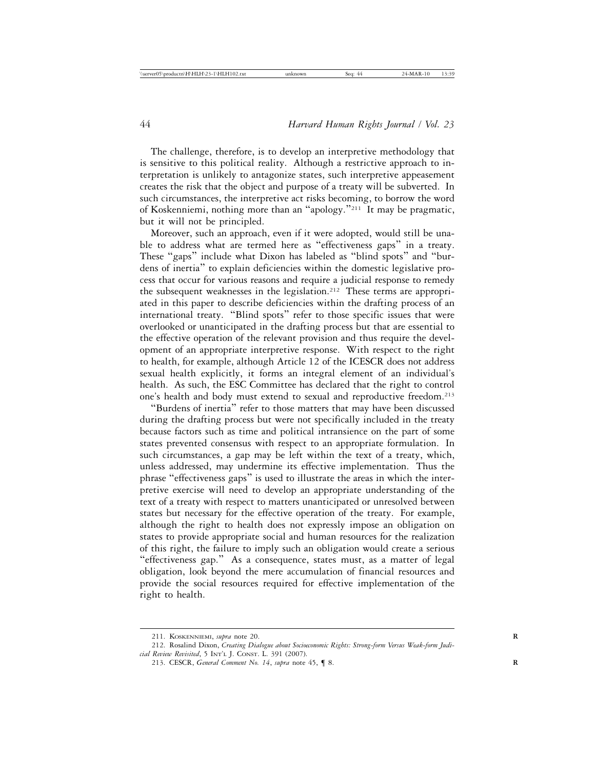The challenge, therefore, is to develop an interpretive methodology that is sensitive to this political reality. Although a restrictive approach to interpretation is unlikely to antagonize states, such interpretive appeasement creates the risk that the object and purpose of a treaty will be subverted. In such circumstances, the interpretive act risks becoming, to borrow the word of Koskenniemi, nothing more than an "apology."211 It may be pragmatic, but it will not be principled.

Moreover, such an approach, even if it were adopted, would still be unable to address what are termed here as "effectiveness gaps" in a treaty. These "gaps" include what Dixon has labeled as "blind spots" and "burdens of inertia" to explain deficiencies within the domestic legislative process that occur for various reasons and require a judicial response to remedy the subsequent weaknesses in the legislation.<sup>212</sup> These terms are appropriated in this paper to describe deficiencies within the drafting process of an international treaty. "Blind spots" refer to those specific issues that were overlooked or unanticipated in the drafting process but that are essential to the effective operation of the relevant provision and thus require the development of an appropriate interpretive response. With respect to the right to health, for example, although Article 12 of the ICESCR does not address sexual health explicitly, it forms an integral element of an individual's health. As such, the ESC Committee has declared that the right to control one's health and body must extend to sexual and reproductive freedom.213

"Burdens of inertia" refer to those matters that may have been discussed during the drafting process but were not specifically included in the treaty because factors such as time and political intransience on the part of some states prevented consensus with respect to an appropriate formulation. In such circumstances, a gap may be left within the text of a treaty, which, unless addressed, may undermine its effective implementation. Thus the phrase "effectiveness gaps" is used to illustrate the areas in which the interpretive exercise will need to develop an appropriate understanding of the text of a treaty with respect to matters unanticipated or unresolved between states but necessary for the effective operation of the treaty. For example, although the right to health does not expressly impose an obligation on states to provide appropriate social and human resources for the realization of this right, the failure to imply such an obligation would create a serious "effectiveness gap." As a consequence, states must, as a matter of legal obligation, look beyond the mere accumulation of financial resources and provide the social resources required for effective implementation of the right to health.

<sup>211.</sup> KOSKENNIEMI, *supra* note 20. **R**

<sup>212.</sup> Rosalind Dixon, *Creating Dialogue about Socioeconomic Rights: Strong-form Versus Weak-form Judicial Review Revisited*, 5 INT'L J. CONST. L. 391 (2007).

<sup>213.</sup> CESCR, *General Comment No. 14*, *supra* note 45, ¶ 8. **R**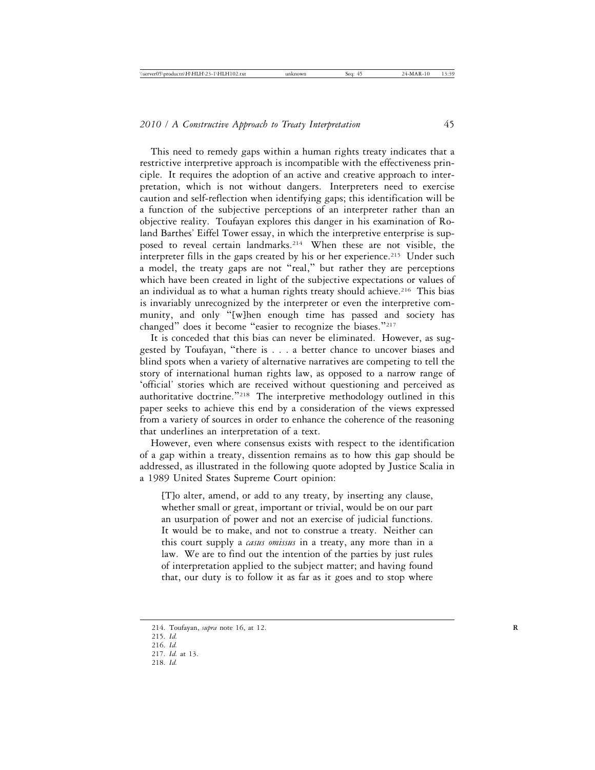This need to remedy gaps within a human rights treaty indicates that a restrictive interpretive approach is incompatible with the effectiveness principle. It requires the adoption of an active and creative approach to interpretation, which is not without dangers. Interpreters need to exercise caution and self-reflection when identifying gaps; this identification will be a function of the subjective perceptions of an interpreter rather than an objective reality. Toufayan explores this danger in his examination of Roland Barthes' Eiffel Tower essay, in which the interpretive enterprise is supposed to reveal certain landmarks.<sup>214</sup> When these are not visible, the interpreter fills in the gaps created by his or her experience.<sup>215</sup> Under such a model, the treaty gaps are not "real," but rather they are perceptions which have been created in light of the subjective expectations or values of an individual as to what a human rights treaty should achieve.<sup>216</sup> This bias is invariably unrecognized by the interpreter or even the interpretive community, and only "[w]hen enough time has passed and society has changed" does it become "easier to recognize the biases."<sup>217</sup>

It is conceded that this bias can never be eliminated. However, as suggested by Toufayan, "there is . . . a better chance to uncover biases and blind spots when a variety of alternative narratives are competing to tell the story of international human rights law, as opposed to a narrow range of 'official' stories which are received without questioning and perceived as authoritative doctrine."218 The interpretive methodology outlined in this paper seeks to achieve this end by a consideration of the views expressed from a variety of sources in order to enhance the coherence of the reasoning that underlines an interpretation of a text.

However, even where consensus exists with respect to the identification of a gap within a treaty, dissention remains as to how this gap should be addressed, as illustrated in the following quote adopted by Justice Scalia in a 1989 United States Supreme Court opinion:

[T]o alter, amend, or add to any treaty, by inserting any clause, whether small or great, important or trivial, would be on our part an usurpation of power and not an exercise of judicial functions. It would be to make, and not to construe a treaty. Neither can this court supply a *casus omissus* in a treaty, any more than in a law. We are to find out the intention of the parties by just rules of interpretation applied to the subject matter; and having found that, our duty is to follow it as far as it goes and to stop where

218. *Id.*

<sup>214.</sup> Toufayan, *supra* note 16, at 12. **R**

<sup>215.</sup> *Id.*

<sup>216.</sup> *Id.*

<sup>217.</sup> *Id.* at 13.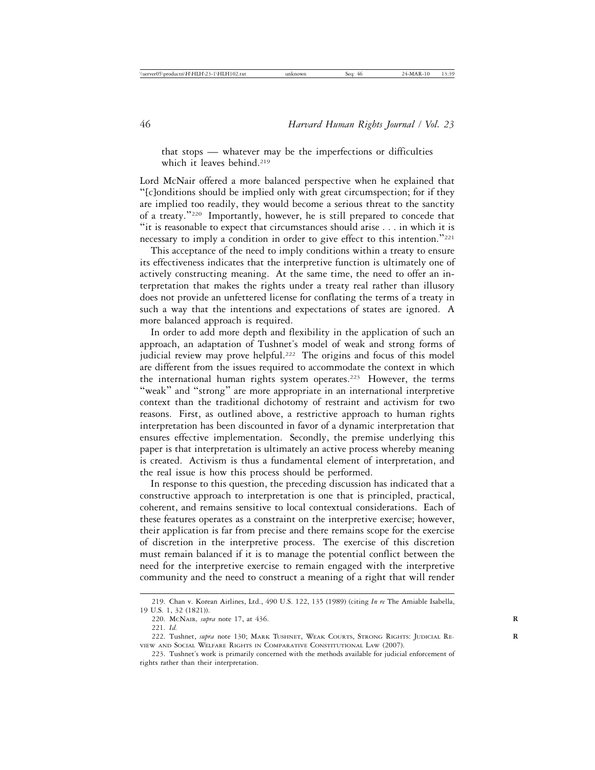that stops — whatever may be the imperfections or difficulties which it leaves behind.<sup>219</sup>

Lord McNair offered a more balanced perspective when he explained that "[c]onditions should be implied only with great circumspection; for if they are implied too readily, they would become a serious threat to the sanctity of a treaty."220 Importantly, however, he is still prepared to concede that "it is reasonable to expect that circumstances should arise . . . in which it is necessary to imply a condition in order to give effect to this intention."<sup>221</sup>

This acceptance of the need to imply conditions within a treaty to ensure its effectiveness indicates that the interpretive function is ultimately one of actively constructing meaning. At the same time, the need to offer an interpretation that makes the rights under a treaty real rather than illusory does not provide an unfettered license for conflating the terms of a treaty in such a way that the intentions and expectations of states are ignored. A more balanced approach is required.

In order to add more depth and flexibility in the application of such an approach, an adaptation of Tushnet's model of weak and strong forms of judicial review may prove helpful.<sup>222</sup> The origins and focus of this model are different from the issues required to accommodate the context in which the international human rights system operates.<sup>223</sup> However, the terms "weak" and "strong" are more appropriate in an international interpretive context than the traditional dichotomy of restraint and activism for two reasons. First, as outlined above, a restrictive approach to human rights interpretation has been discounted in favor of a dynamic interpretation that ensures effective implementation. Secondly, the premise underlying this paper is that interpretation is ultimately an active process whereby meaning is created. Activism is thus a fundamental element of interpretation, and the real issue is how this process should be performed.

In response to this question, the preceding discussion has indicated that a constructive approach to interpretation is one that is principled, practical, coherent, and remains sensitive to local contextual considerations. Each of these features operates as a constraint on the interpretive exercise; however, their application is far from precise and there remains scope for the exercise of discretion in the interpretive process. The exercise of this discretion must remain balanced if it is to manage the potential conflict between the need for the interpretive exercise to remain engaged with the interpretive community and the need to construct a meaning of a right that will render

<sup>219.</sup> Chan v. Korean Airlines, Ltd., 490 U.S. 122, 135 (1989) (citing *In re* The Amiable Isabella, 19 U.S. 1, 32 (1821)).

<sup>220.</sup> MCNAIR*, supra* note 17, at 436. **R**

<sup>221.</sup> *Id.*

<sup>222.</sup> Tushnet, *supra* note 130; MARK TUSHNET, WEAK COURTS, STRONG RIGHTS: JUDICIAL RE-VIEW AND SOCIAL WELFARE RIGHTS IN COMPARATIVE CONSTITUTIONAL LAW (2007).

<sup>223.</sup> Tushnet's work is primarily concerned with the methods available for judicial enforcement of rights rather than their interpretation.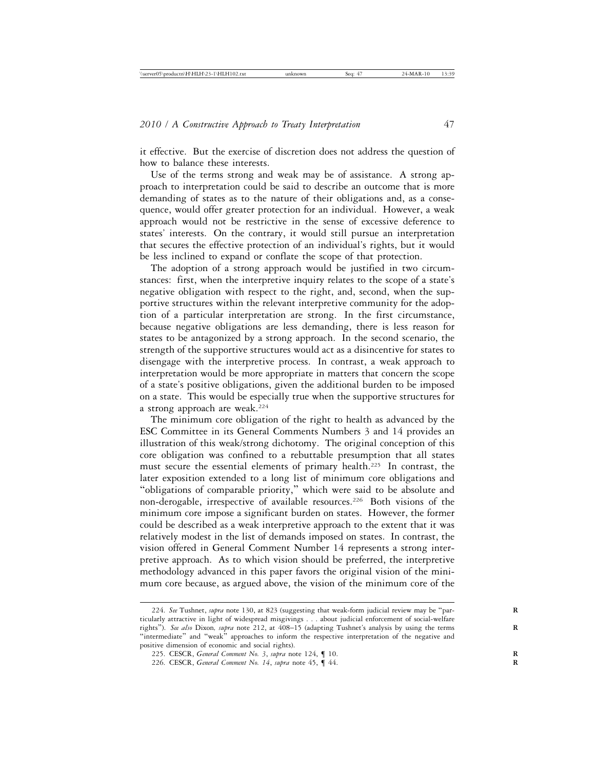it effective. But the exercise of discretion does not address the question of how to balance these interests.

Use of the terms strong and weak may be of assistance. A strong approach to interpretation could be said to describe an outcome that is more demanding of states as to the nature of their obligations and, as a consequence, would offer greater protection for an individual. However, a weak approach would not be restrictive in the sense of excessive deference to states' interests. On the contrary, it would still pursue an interpretation that secures the effective protection of an individual's rights, but it would be less inclined to expand or conflate the scope of that protection.

The adoption of a strong approach would be justified in two circumstances: first, when the interpretive inquiry relates to the scope of a state's negative obligation with respect to the right, and, second, when the supportive structures within the relevant interpretive community for the adoption of a particular interpretation are strong. In the first circumstance, because negative obligations are less demanding, there is less reason for states to be antagonized by a strong approach. In the second scenario, the strength of the supportive structures would act as a disincentive for states to disengage with the interpretive process. In contrast, a weak approach to interpretation would be more appropriate in matters that concern the scope of a state's positive obligations, given the additional burden to be imposed on a state. This would be especially true when the supportive structures for a strong approach are weak.<sup>224</sup>

The minimum core obligation of the right to health as advanced by the ESC Committee in its General Comments Numbers 3 and 14 provides an illustration of this weak/strong dichotomy. The original conception of this core obligation was confined to a rebuttable presumption that all states must secure the essential elements of primary health.225 In contrast, the later exposition extended to a long list of minimum core obligations and "obligations of comparable priority," which were said to be absolute and non-derogable, irrespective of available resources.<sup>226</sup> Both visions of the minimum core impose a significant burden on states. However, the former could be described as a weak interpretive approach to the extent that it was relatively modest in the list of demands imposed on states. In contrast, the vision offered in General Comment Number 14 represents a strong interpretive approach. As to which vision should be preferred, the interpretive methodology advanced in this paper favors the original vision of the minimum core because, as argued above, the vision of the minimum core of the

<sup>224.</sup> See Tushnet, *supra* note 130, at 823 (suggesting that weak-form judicial review may be "particularly attractive in light of widespread misgivings . . . about judicial enforcement of social-welfare rights"). *See also* Dixon*, supra* note 212, at 408–15 (adapting Tushnet's analysis by using the terms **R** "intermediate" and "weak" approaches to inform the respective interpretation of the negative and positive dimension of economic and social rights).

<sup>225.</sup> CESCR, *General Comment No. 3*, *supra* note 124, ¶ 10. **R**

<sup>226.</sup> CESCR, *General Comment No. 14*, *supra* note 45, ¶ 44. **R**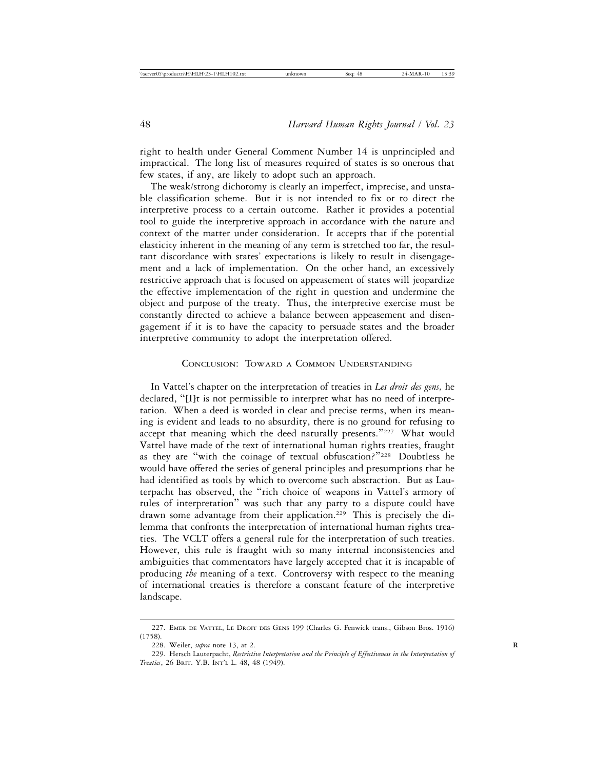right to health under General Comment Number 14 is unprincipled and impractical. The long list of measures required of states is so onerous that few states, if any, are likely to adopt such an approach.

The weak/strong dichotomy is clearly an imperfect, imprecise, and unstable classification scheme. But it is not intended to fix or to direct the interpretive process to a certain outcome. Rather it provides a potential tool to guide the interpretive approach in accordance with the nature and context of the matter under consideration. It accepts that if the potential elasticity inherent in the meaning of any term is stretched too far, the resultant discordance with states' expectations is likely to result in disengagement and a lack of implementation. On the other hand, an excessively restrictive approach that is focused on appeasement of states will jeopardize the effective implementation of the right in question and undermine the object and purpose of the treaty. Thus, the interpretive exercise must be constantly directed to achieve a balance between appeasement and disengagement if it is to have the capacity to persuade states and the broader interpretive community to adopt the interpretation offered.

# CONCLUSION: TOWARD A COMMON UNDERSTANDING

In Vattel's chapter on the interpretation of treaties in *Les droit des gens,* he declared, "[I]t is not permissible to interpret what has no need of interpretation. When a deed is worded in clear and precise terms, when its meaning is evident and leads to no absurdity, there is no ground for refusing to accept that meaning which the deed naturally presents."227 What would Vattel have made of the text of international human rights treaties, fraught as they are "with the coinage of textual obfuscation?"228 Doubtless he would have offered the series of general principles and presumptions that he had identified as tools by which to overcome such abstraction. But as Lauterpacht has observed, the "rich choice of weapons in Vattel's armory of rules of interpretation" was such that any party to a dispute could have drawn some advantage from their application.<sup>229</sup> This is precisely the dilemma that confronts the interpretation of international human rights treaties. The VCLT offers a general rule for the interpretation of such treaties. However, this rule is fraught with so many internal inconsistencies and ambiguities that commentators have largely accepted that it is incapable of producing *the* meaning of a text. Controversy with respect to the meaning of international treaties is therefore a constant feature of the interpretive landscape.

<sup>227.</sup> EMER DE VATTEL, LE DROIT DES GENS 199 (Charles G. Fenwick trans., Gibson Bros. 1916) (1758).

<sup>228.</sup> Weiler, *supra* note 13, at 2. **R**

<sup>229.</sup> Hersch Lauterpacht, *Restrictive Interpretation and the Principle of Effectiveness in the Interpretation of Treaties*, 26 BRIT. Y.B. INT'L L. 48, 48 (1949).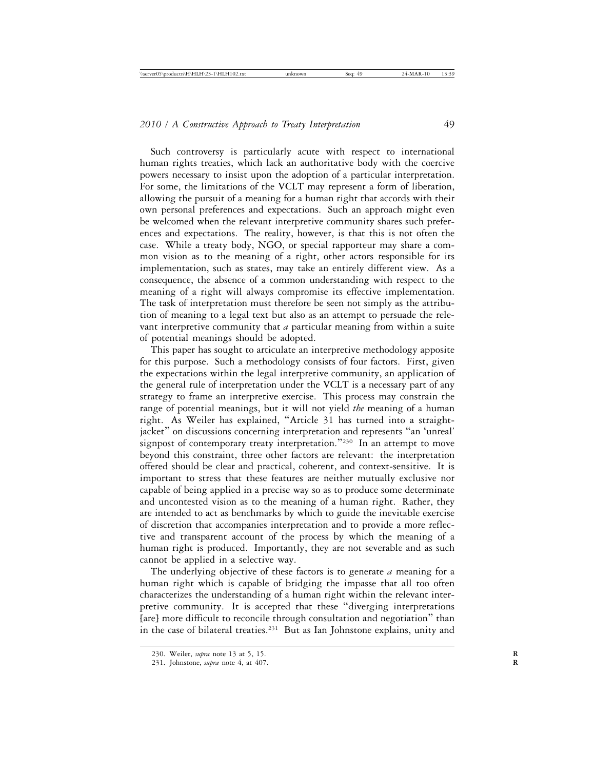Such controversy is particularly acute with respect to international human rights treaties, which lack an authoritative body with the coercive powers necessary to insist upon the adoption of a particular interpretation. For some, the limitations of the VCLT may represent a form of liberation, allowing the pursuit of a meaning for a human right that accords with their own personal preferences and expectations. Such an approach might even be welcomed when the relevant interpretive community shares such preferences and expectations. The reality, however, is that this is not often the case. While a treaty body, NGO, or special rapporteur may share a common vision as to the meaning of a right, other actors responsible for its implementation, such as states, may take an entirely different view. As a consequence, the absence of a common understanding with respect to the meaning of a right will always compromise its effective implementation. The task of interpretation must therefore be seen not simply as the attribution of meaning to a legal text but also as an attempt to persuade the relevant interpretive community that *a* particular meaning from within a suite of potential meanings should be adopted.

This paper has sought to articulate an interpretive methodology apposite for this purpose. Such a methodology consists of four factors. First, given the expectations within the legal interpretive community, an application of the general rule of interpretation under the VCLT is a necessary part of any strategy to frame an interpretive exercise. This process may constrain the range of potential meanings, but it will not yield *the* meaning of a human right. As Weiler has explained, "Article 31 has turned into a straightjacket" on discussions concerning interpretation and represents "an 'unreal' signpost of contemporary treaty interpretation."<sup>230</sup> In an attempt to move beyond this constraint, three other factors are relevant: the interpretation offered should be clear and practical, coherent, and context-sensitive. It is important to stress that these features are neither mutually exclusive nor capable of being applied in a precise way so as to produce some determinate and uncontested vision as to the meaning of a human right. Rather, they are intended to act as benchmarks by which to guide the inevitable exercise of discretion that accompanies interpretation and to provide a more reflective and transparent account of the process by which the meaning of a human right is produced. Importantly, they are not severable and as such cannot be applied in a selective way.

The underlying objective of these factors is to generate *a* meaning for a human right which is capable of bridging the impasse that all too often characterizes the understanding of a human right within the relevant interpretive community. It is accepted that these "diverging interpretations [are] more difficult to reconcile through consultation and negotiation" than in the case of bilateral treaties.<sup>231</sup> But as Ian Johnstone explains, unity and

<sup>230.</sup> Weiler, *supra* note 13 at 5, 15. **R**

<sup>231.</sup> Johnstone, *supra* note 4, at 407. **R**